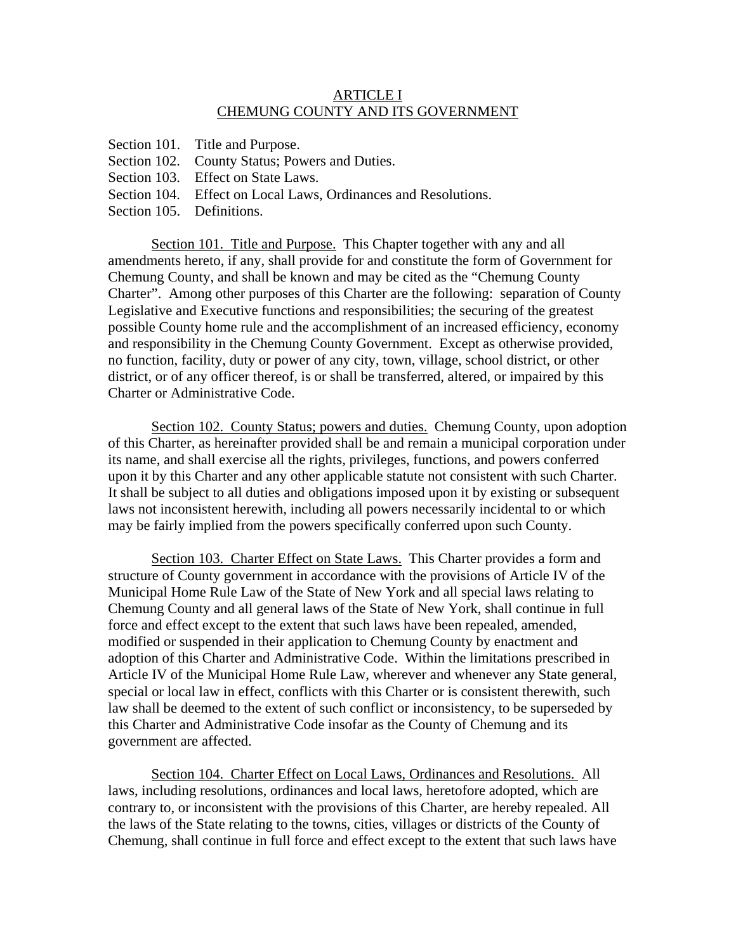## ARTICLE I CHEMUNG COUNTY AND ITS GOVERNMENT

- Section 101. Title and Purpose.
- Section 102. County Status; Powers and Duties.
- Section 103. Effect on State Laws.
- Section 104. Effect on Local Laws, Ordinances and Resolutions.
- Section 105. Definitions.

Section 101. Title and Purpose. This Chapter together with any and all amendments hereto, if any, shall provide for and constitute the form of Government for Chemung County, and shall be known and may be cited as the "Chemung County Charter". Among other purposes of this Charter are the following: separation of County Legislative and Executive functions and responsibilities; the securing of the greatest possible County home rule and the accomplishment of an increased efficiency, economy and responsibility in the Chemung County Government. Except as otherwise provided, no function, facility, duty or power of any city, town, village, school district, or other district, or of any officer thereof, is or shall be transferred, altered, or impaired by this Charter or Administrative Code.

Section 102. County Status; powers and duties. Chemung County, upon adoption of this Charter, as hereinafter provided shall be and remain a municipal corporation under its name, and shall exercise all the rights, privileges, functions, and powers conferred upon it by this Charter and any other applicable statute not consistent with such Charter. It shall be subject to all duties and obligations imposed upon it by existing or subsequent laws not inconsistent herewith, including all powers necessarily incidental to or which may be fairly implied from the powers specifically conferred upon such County.

Section 103. Charter Effect on State Laws. This Charter provides a form and structure of County government in accordance with the provisions of Article IV of the Municipal Home Rule Law of the State of New York and all special laws relating to Chemung County and all general laws of the State of New York, shall continue in full force and effect except to the extent that such laws have been repealed, amended, modified or suspended in their application to Chemung County by enactment and adoption of this Charter and Administrative Code. Within the limitations prescribed in Article IV of the Municipal Home Rule Law, wherever and whenever any State general, special or local law in effect, conflicts with this Charter or is consistent therewith, such law shall be deemed to the extent of such conflict or inconsistency, to be superseded by this Charter and Administrative Code insofar as the County of Chemung and its government are affected.

Section 104. Charter Effect on Local Laws, Ordinances and Resolutions. All laws, including resolutions, ordinances and local laws, heretofore adopted, which are contrary to, or inconsistent with the provisions of this Charter, are hereby repealed. All the laws of the State relating to the towns, cities, villages or districts of the County of Chemung, shall continue in full force and effect except to the extent that such laws have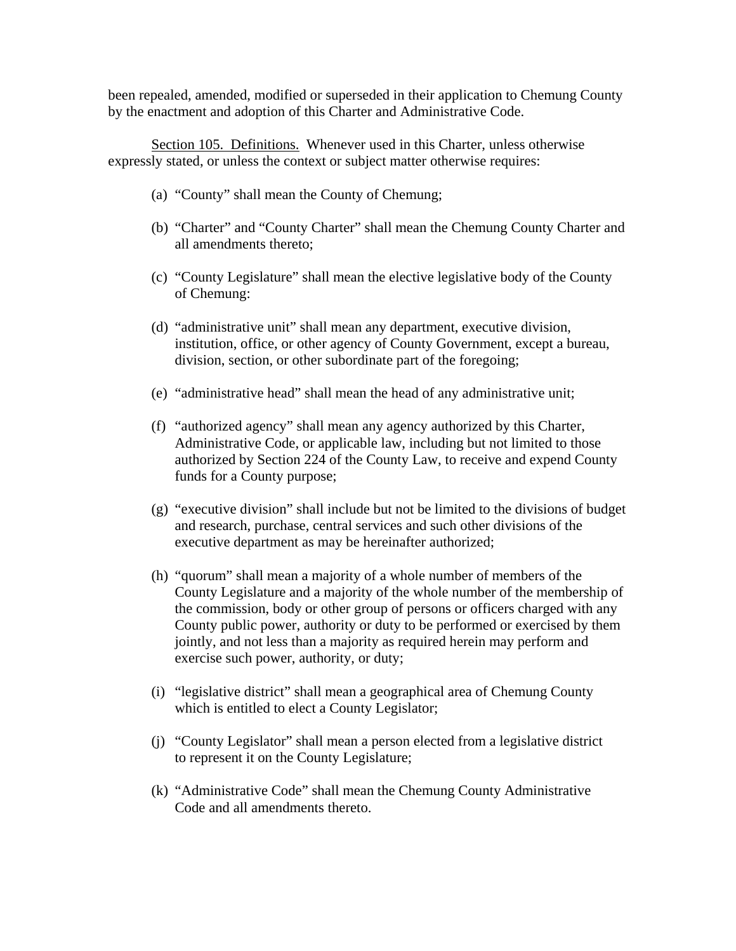been repealed, amended, modified or superseded in their application to Chemung County by the enactment and adoption of this Charter and Administrative Code.

Section 105. Definitions. Whenever used in this Charter, unless otherwise expressly stated, or unless the context or subject matter otherwise requires:

- (a) "County" shall mean the County of Chemung;
- (b) "Charter" and "County Charter" shall mean the Chemung County Charter and all amendments thereto;
- (c) "County Legislature" shall mean the elective legislative body of the County of Chemung:
- (d) "administrative unit" shall mean any department, executive division, institution, office, or other agency of County Government, except a bureau, division, section, or other subordinate part of the foregoing;
- (e) "administrative head" shall mean the head of any administrative unit;
- (f) "authorized agency" shall mean any agency authorized by this Charter, Administrative Code, or applicable law, including but not limited to those authorized by Section 224 of the County Law, to receive and expend County funds for a County purpose;
- (g) "executive division" shall include but not be limited to the divisions of budget and research, purchase, central services and such other divisions of the executive department as may be hereinafter authorized;
- (h) "quorum" shall mean a majority of a whole number of members of the County Legislature and a majority of the whole number of the membership of the commission, body or other group of persons or officers charged with any County public power, authority or duty to be performed or exercised by them jointly, and not less than a majority as required herein may perform and exercise such power, authority, or duty;
- (i) "legislative district" shall mean a geographical area of Chemung County which is entitled to elect a County Legislator;
- (j) "County Legislator" shall mean a person elected from a legislative district to represent it on the County Legislature;
- (k) "Administrative Code" shall mean the Chemung County Administrative Code and all amendments thereto.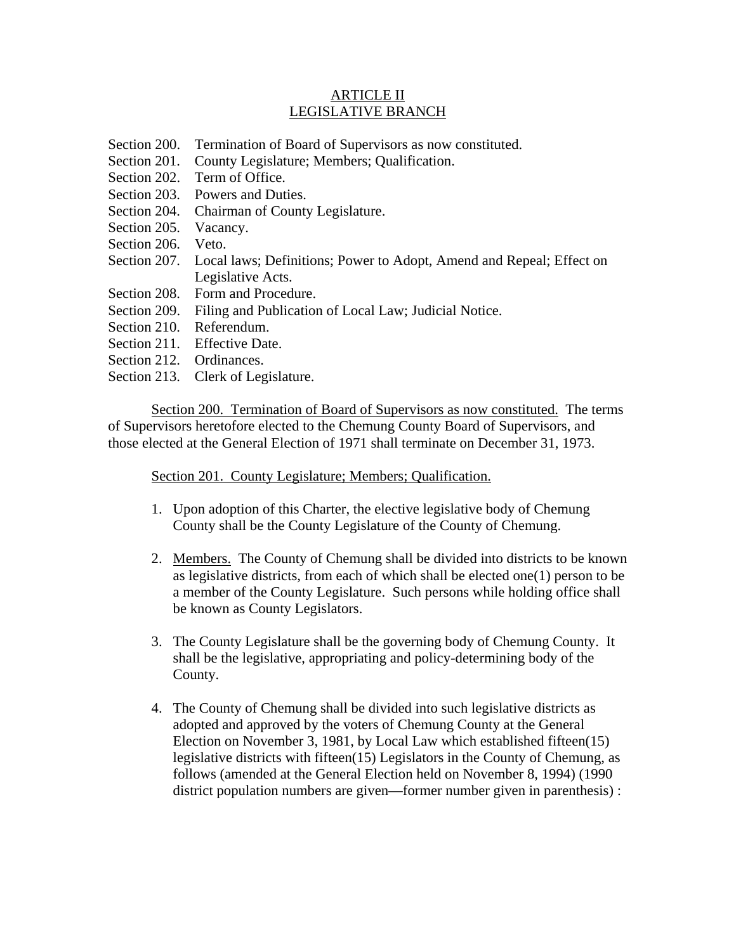# ARTICLE II LEGISLATIVE BRANCH

- Section 200. Termination of Board of Supervisors as now constituted.
- Section 201. County Legislature; Members; Qualification.
- Section 202. Term of Office.
- Section 203. Powers and Duties.
- Section 204. Chairman of County Legislature.
- Section 205. Vacancy.
- Section 206. Veto.
- Section 207. Local laws; Definitions; Power to Adopt, Amend and Repeal; Effect on Legislative Acts.
- Section 208. Form and Procedure.
- Section 209. Filing and Publication of Local Law; Judicial Notice.
- Section 210. Referendum.
- Section 211. Effective Date.
- Section 212. Ordinances.
- Section 213. Clerk of Legislature.

Section 200. Termination of Board of Supervisors as now constituted. The terms of Supervisors heretofore elected to the Chemung County Board of Supervisors, and those elected at the General Election of 1971 shall terminate on December 31, 1973.

# Section 201. County Legislature; Members; Qualification.

- 1. Upon adoption of this Charter, the elective legislative body of Chemung County shall be the County Legislature of the County of Chemung.
- 2. Members. The County of Chemung shall be divided into districts to be known as legislative districts, from each of which shall be elected one(1) person to be a member of the County Legislature. Such persons while holding office shall be known as County Legislators.
- 3. The County Legislature shall be the governing body of Chemung County. It shall be the legislative, appropriating and policy-determining body of the County.
- 4. The County of Chemung shall be divided into such legislative districts as adopted and approved by the voters of Chemung County at the General Election on November 3, 1981, by Local Law which established fifteen(15) legislative districts with fifteen(15) Legislators in the County of Chemung, as follows (amended at the General Election held on November 8, 1994) (1990 district population numbers are given—former number given in parenthesis) :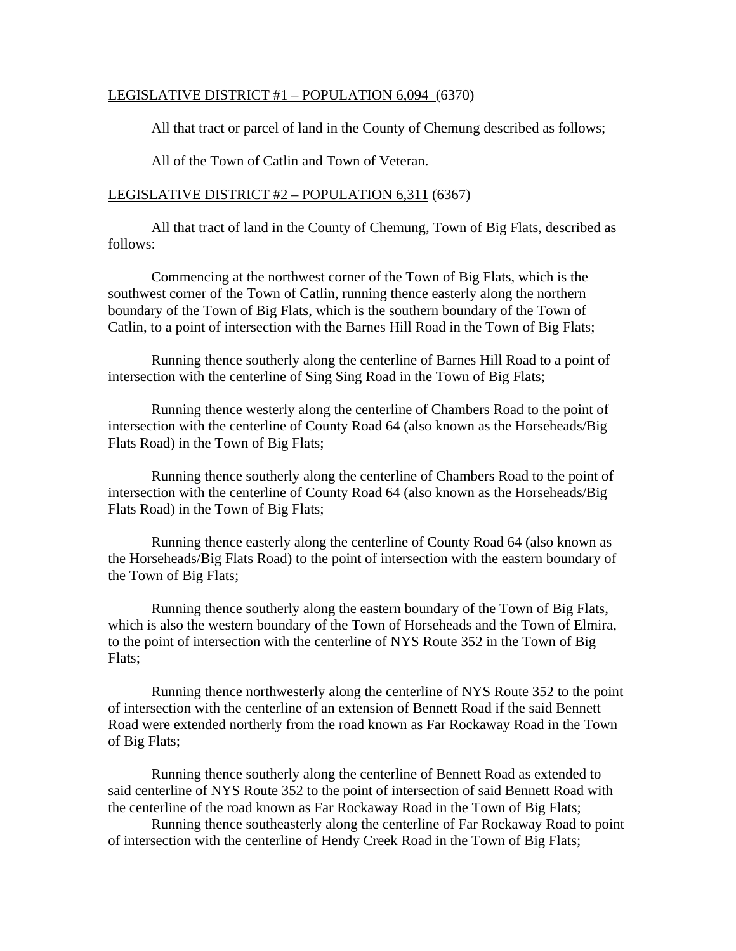#### LEGISLATIVE DISTRICT #1 – POPULATION 6,094 (6370)

All that tract or parcel of land in the County of Chemung described as follows;

All of the Town of Catlin and Town of Veteran.

#### LEGISLATIVE DISTRICT #2 – POPULATION 6,311 (6367)

 All that tract of land in the County of Chemung, Town of Big Flats, described as follows:

 Commencing at the northwest corner of the Town of Big Flats, which is the southwest corner of the Town of Catlin, running thence easterly along the northern boundary of the Town of Big Flats, which is the southern boundary of the Town of Catlin, to a point of intersection with the Barnes Hill Road in the Town of Big Flats;

 Running thence southerly along the centerline of Barnes Hill Road to a point of intersection with the centerline of Sing Sing Road in the Town of Big Flats;

 Running thence westerly along the centerline of Chambers Road to the point of intersection with the centerline of County Road 64 (also known as the Horseheads/Big Flats Road) in the Town of Big Flats;

 Running thence southerly along the centerline of Chambers Road to the point of intersection with the centerline of County Road 64 (also known as the Horseheads/Big Flats Road) in the Town of Big Flats;

 Running thence easterly along the centerline of County Road 64 (also known as the Horseheads/Big Flats Road) to the point of intersection with the eastern boundary of the Town of Big Flats;

 Running thence southerly along the eastern boundary of the Town of Big Flats, which is also the western boundary of the Town of Horseheads and the Town of Elmira, to the point of intersection with the centerline of NYS Route 352 in the Town of Big Flats;

 Running thence northwesterly along the centerline of NYS Route 352 to the point of intersection with the centerline of an extension of Bennett Road if the said Bennett Road were extended northerly from the road known as Far Rockaway Road in the Town of Big Flats;

 Running thence southerly along the centerline of Bennett Road as extended to said centerline of NYS Route 352 to the point of intersection of said Bennett Road with the centerline of the road known as Far Rockaway Road in the Town of Big Flats;

 Running thence southeasterly along the centerline of Far Rockaway Road to point of intersection with the centerline of Hendy Creek Road in the Town of Big Flats;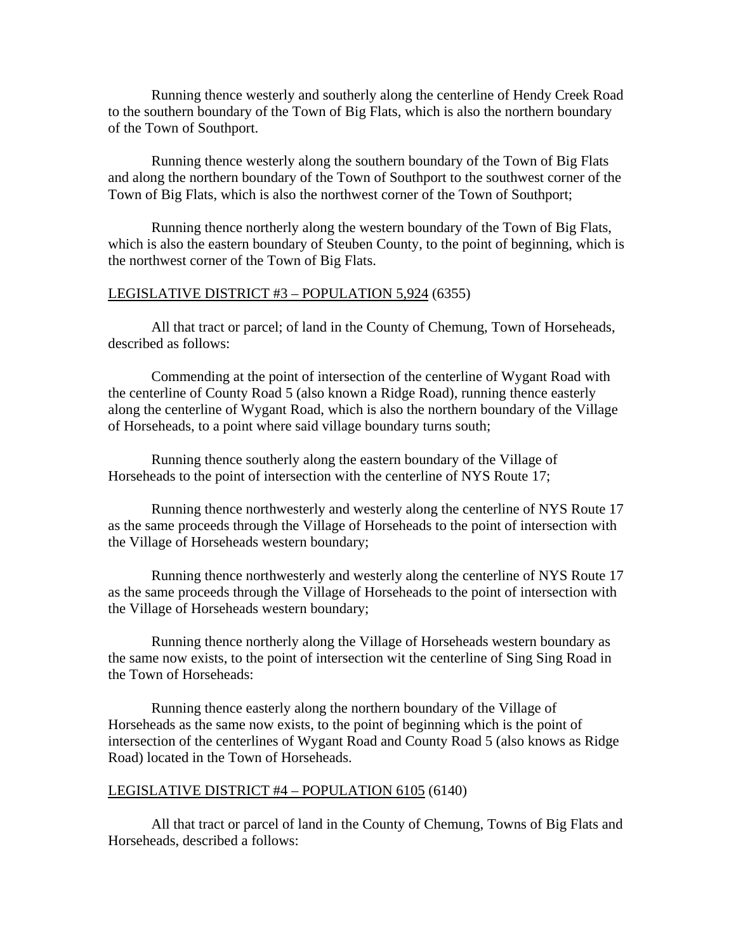Running thence westerly and southerly along the centerline of Hendy Creek Road to the southern boundary of the Town of Big Flats, which is also the northern boundary of the Town of Southport.

 Running thence westerly along the southern boundary of the Town of Big Flats and along the northern boundary of the Town of Southport to the southwest corner of the Town of Big Flats, which is also the northwest corner of the Town of Southport;

 Running thence northerly along the western boundary of the Town of Big Flats, which is also the eastern boundary of Steuben County, to the point of beginning, which is the northwest corner of the Town of Big Flats.

#### LEGISLATIVE DISTRICT #3 – POPULATION 5,924 (6355)

 All that tract or parcel; of land in the County of Chemung, Town of Horseheads, described as follows:

 Commending at the point of intersection of the centerline of Wygant Road with the centerline of County Road 5 (also known a Ridge Road), running thence easterly along the centerline of Wygant Road, which is also the northern boundary of the Village of Horseheads, to a point where said village boundary turns south;

 Running thence southerly along the eastern boundary of the Village of Horseheads to the point of intersection with the centerline of NYS Route 17;

 Running thence northwesterly and westerly along the centerline of NYS Route 17 as the same proceeds through the Village of Horseheads to the point of intersection with the Village of Horseheads western boundary;

 Running thence northwesterly and westerly along the centerline of NYS Route 17 as the same proceeds through the Village of Horseheads to the point of intersection with the Village of Horseheads western boundary;

 Running thence northerly along the Village of Horseheads western boundary as the same now exists, to the point of intersection wit the centerline of Sing Sing Road in the Town of Horseheads:

 Running thence easterly along the northern boundary of the Village of Horseheads as the same now exists, to the point of beginning which is the point of intersection of the centerlines of Wygant Road and County Road 5 (also knows as Ridge Road) located in the Town of Horseheads.

## LEGISLATIVE DISTRICT #4 – POPULATION 6105 (6140)

 All that tract or parcel of land in the County of Chemung, Towns of Big Flats and Horseheads, described a follows: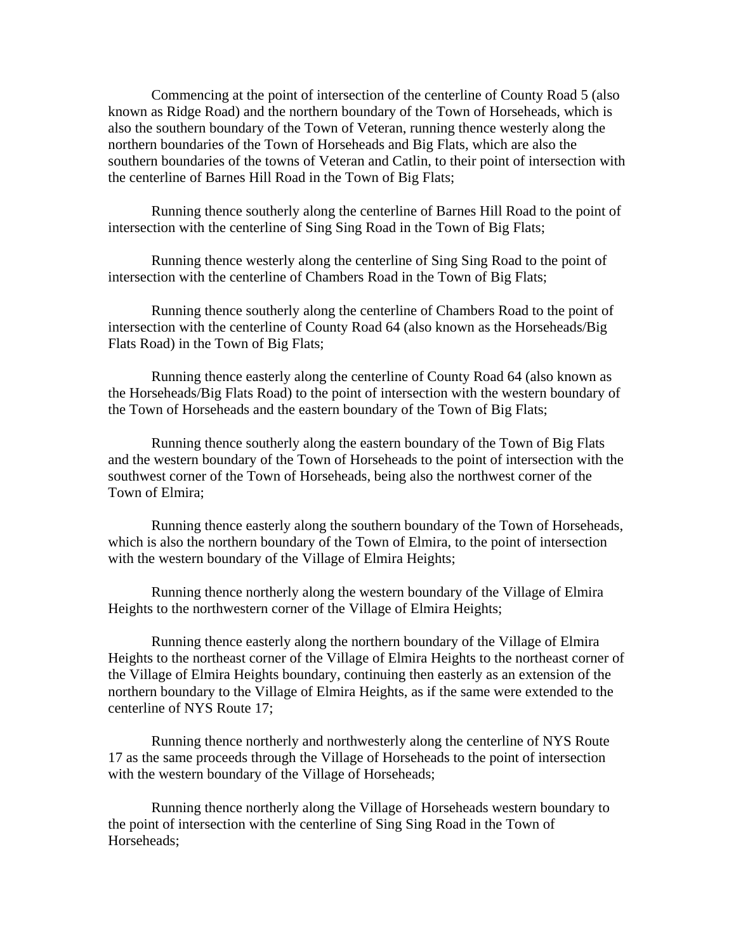Commencing at the point of intersection of the centerline of County Road 5 (also known as Ridge Road) and the northern boundary of the Town of Horseheads, which is also the southern boundary of the Town of Veteran, running thence westerly along the northern boundaries of the Town of Horseheads and Big Flats, which are also the southern boundaries of the towns of Veteran and Catlin, to their point of intersection with the centerline of Barnes Hill Road in the Town of Big Flats;

 Running thence southerly along the centerline of Barnes Hill Road to the point of intersection with the centerline of Sing Sing Road in the Town of Big Flats;

 Running thence westerly along the centerline of Sing Sing Road to the point of intersection with the centerline of Chambers Road in the Town of Big Flats;

 Running thence southerly along the centerline of Chambers Road to the point of intersection with the centerline of County Road 64 (also known as the Horseheads/Big Flats Road) in the Town of Big Flats;

 Running thence easterly along the centerline of County Road 64 (also known as the Horseheads/Big Flats Road) to the point of intersection with the western boundary of the Town of Horseheads and the eastern boundary of the Town of Big Flats;

 Running thence southerly along the eastern boundary of the Town of Big Flats and the western boundary of the Town of Horseheads to the point of intersection with the southwest corner of the Town of Horseheads, being also the northwest corner of the Town of Elmira;

 Running thence easterly along the southern boundary of the Town of Horseheads, which is also the northern boundary of the Town of Elmira, to the point of intersection with the western boundary of the Village of Elmira Heights;

 Running thence northerly along the western boundary of the Village of Elmira Heights to the northwestern corner of the Village of Elmira Heights;

 Running thence easterly along the northern boundary of the Village of Elmira Heights to the northeast corner of the Village of Elmira Heights to the northeast corner of the Village of Elmira Heights boundary, continuing then easterly as an extension of the northern boundary to the Village of Elmira Heights, as if the same were extended to the centerline of NYS Route 17;

 Running thence northerly and northwesterly along the centerline of NYS Route 17 as the same proceeds through the Village of Horseheads to the point of intersection with the western boundary of the Village of Horseheads;

 Running thence northerly along the Village of Horseheads western boundary to the point of intersection with the centerline of Sing Sing Road in the Town of Horseheads;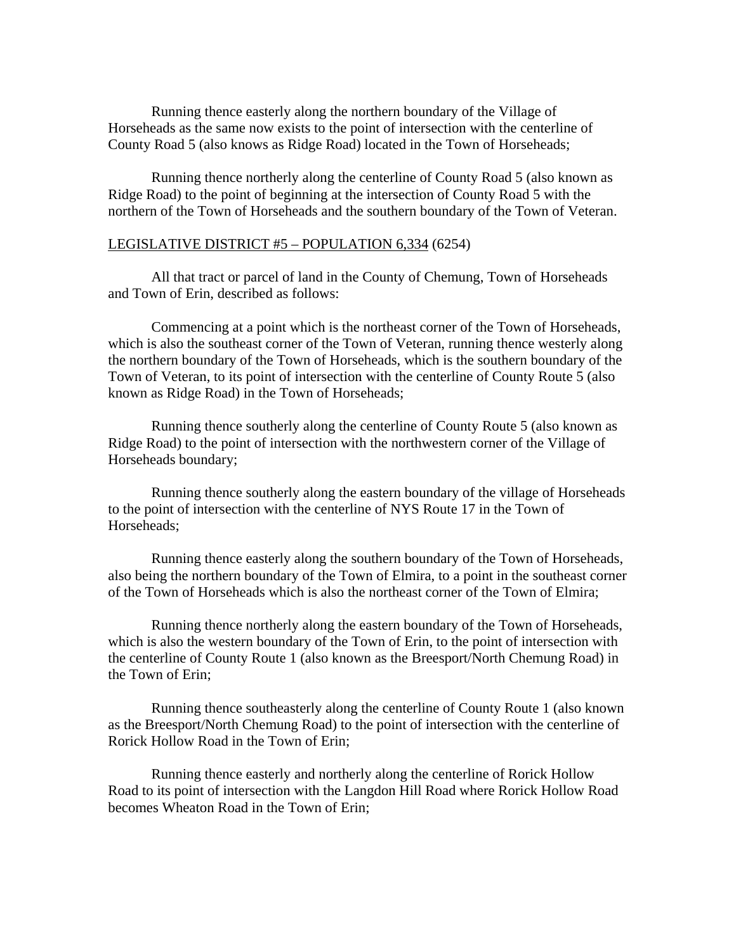Running thence easterly along the northern boundary of the Village of Horseheads as the same now exists to the point of intersection with the centerline of County Road 5 (also knows as Ridge Road) located in the Town of Horseheads;

 Running thence northerly along the centerline of County Road 5 (also known as Ridge Road) to the point of beginning at the intersection of County Road 5 with the northern of the Town of Horseheads and the southern boundary of the Town of Veteran.

## LEGISLATIVE DISTRICT #5 – POPULATION 6,334 (6254)

 All that tract or parcel of land in the County of Chemung, Town of Horseheads and Town of Erin, described as follows:

 Commencing at a point which is the northeast corner of the Town of Horseheads, which is also the southeast corner of the Town of Veteran, running thence westerly along the northern boundary of the Town of Horseheads, which is the southern boundary of the Town of Veteran, to its point of intersection with the centerline of County Route 5 (also known as Ridge Road) in the Town of Horseheads;

 Running thence southerly along the centerline of County Route 5 (also known as Ridge Road) to the point of intersection with the northwestern corner of the Village of Horseheads boundary;

 Running thence southerly along the eastern boundary of the village of Horseheads to the point of intersection with the centerline of NYS Route 17 in the Town of Horseheads;

 Running thence easterly along the southern boundary of the Town of Horseheads, also being the northern boundary of the Town of Elmira, to a point in the southeast corner of the Town of Horseheads which is also the northeast corner of the Town of Elmira;

 Running thence northerly along the eastern boundary of the Town of Horseheads, which is also the western boundary of the Town of Erin, to the point of intersection with the centerline of County Route 1 (also known as the Breesport/North Chemung Road) in the Town of Erin;

 Running thence southeasterly along the centerline of County Route 1 (also known as the Breesport/North Chemung Road) to the point of intersection with the centerline of Rorick Hollow Road in the Town of Erin;

 Running thence easterly and northerly along the centerline of Rorick Hollow Road to its point of intersection with the Langdon Hill Road where Rorick Hollow Road becomes Wheaton Road in the Town of Erin;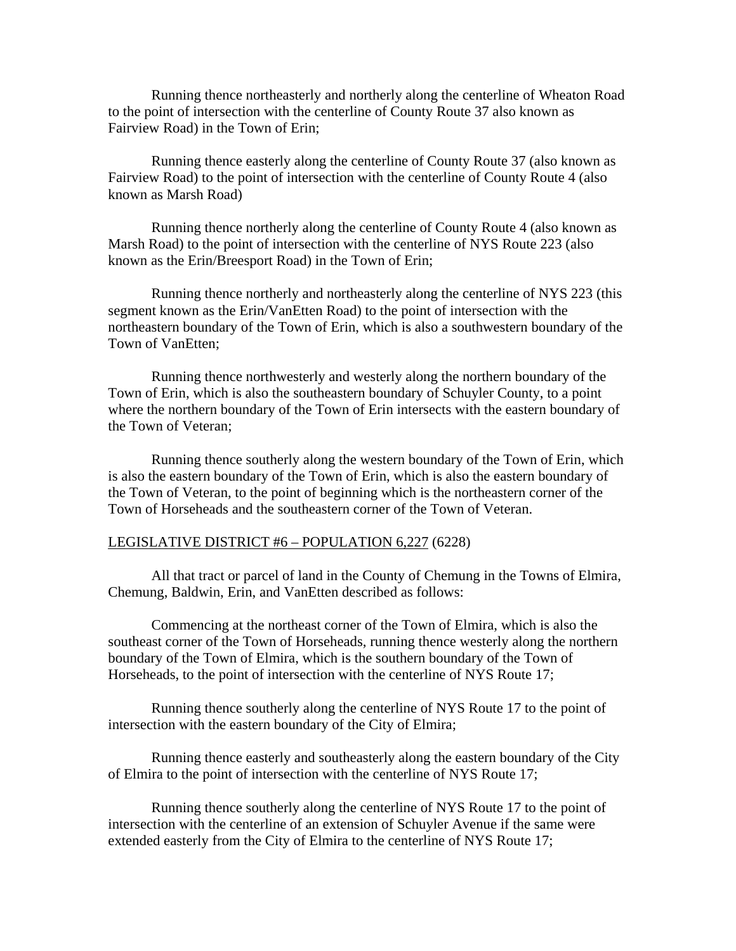Running thence northeasterly and northerly along the centerline of Wheaton Road to the point of intersection with the centerline of County Route 37 also known as Fairview Road) in the Town of Erin;

 Running thence easterly along the centerline of County Route 37 (also known as Fairview Road) to the point of intersection with the centerline of County Route 4 (also known as Marsh Road)

 Running thence northerly along the centerline of County Route 4 (also known as Marsh Road) to the point of intersection with the centerline of NYS Route 223 (also known as the Erin/Breesport Road) in the Town of Erin;

 Running thence northerly and northeasterly along the centerline of NYS 223 (this segment known as the Erin/VanEtten Road) to the point of intersection with the northeastern boundary of the Town of Erin, which is also a southwestern boundary of the Town of VanEtten;

 Running thence northwesterly and westerly along the northern boundary of the Town of Erin, which is also the southeastern boundary of Schuyler County, to a point where the northern boundary of the Town of Erin intersects with the eastern boundary of the Town of Veteran;

 Running thence southerly along the western boundary of the Town of Erin, which is also the eastern boundary of the Town of Erin, which is also the eastern boundary of the Town of Veteran, to the point of beginning which is the northeastern corner of the Town of Horseheads and the southeastern corner of the Town of Veteran.

## LEGISLATIVE DISTRICT #6 – POPULATION 6,227 (6228)

 All that tract or parcel of land in the County of Chemung in the Towns of Elmira, Chemung, Baldwin, Erin, and VanEtten described as follows:

 Commencing at the northeast corner of the Town of Elmira, which is also the southeast corner of the Town of Horseheads, running thence westerly along the northern boundary of the Town of Elmira, which is the southern boundary of the Town of Horseheads, to the point of intersection with the centerline of NYS Route 17;

 Running thence southerly along the centerline of NYS Route 17 to the point of intersection with the eastern boundary of the City of Elmira;

 Running thence easterly and southeasterly along the eastern boundary of the City of Elmira to the point of intersection with the centerline of NYS Route 17;

 Running thence southerly along the centerline of NYS Route 17 to the point of intersection with the centerline of an extension of Schuyler Avenue if the same were extended easterly from the City of Elmira to the centerline of NYS Route 17;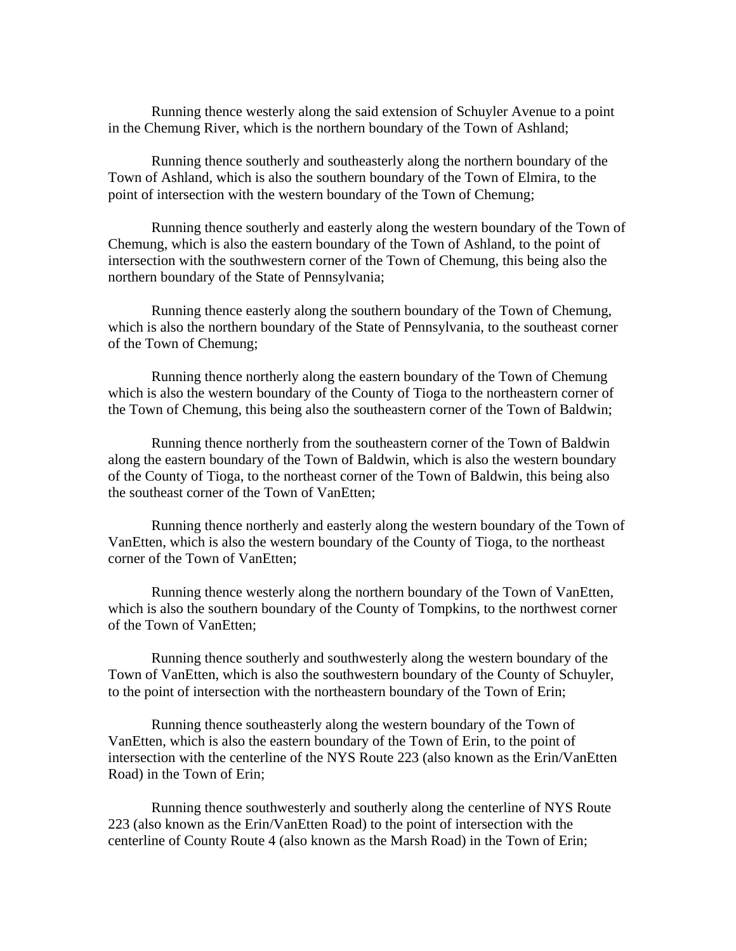Running thence westerly along the said extension of Schuyler Avenue to a point in the Chemung River, which is the northern boundary of the Town of Ashland;

 Running thence southerly and southeasterly along the northern boundary of the Town of Ashland, which is also the southern boundary of the Town of Elmira, to the point of intersection with the western boundary of the Town of Chemung;

 Running thence southerly and easterly along the western boundary of the Town of Chemung, which is also the eastern boundary of the Town of Ashland, to the point of intersection with the southwestern corner of the Town of Chemung, this being also the northern boundary of the State of Pennsylvania;

 Running thence easterly along the southern boundary of the Town of Chemung, which is also the northern boundary of the State of Pennsylvania, to the southeast corner of the Town of Chemung;

 Running thence northerly along the eastern boundary of the Town of Chemung which is also the western boundary of the County of Tioga to the northeastern corner of the Town of Chemung, this being also the southeastern corner of the Town of Baldwin;

 Running thence northerly from the southeastern corner of the Town of Baldwin along the eastern boundary of the Town of Baldwin, which is also the western boundary of the County of Tioga, to the northeast corner of the Town of Baldwin, this being also the southeast corner of the Town of VanEtten;

 Running thence northerly and easterly along the western boundary of the Town of VanEtten, which is also the western boundary of the County of Tioga, to the northeast corner of the Town of VanEtten;

 Running thence westerly along the northern boundary of the Town of VanEtten, which is also the southern boundary of the County of Tompkins, to the northwest corner of the Town of VanEtten;

 Running thence southerly and southwesterly along the western boundary of the Town of VanEtten, which is also the southwestern boundary of the County of Schuyler, to the point of intersection with the northeastern boundary of the Town of Erin;

 Running thence southeasterly along the western boundary of the Town of VanEtten, which is also the eastern boundary of the Town of Erin, to the point of intersection with the centerline of the NYS Route 223 (also known as the Erin/VanEtten Road) in the Town of Erin;

 Running thence southwesterly and southerly along the centerline of NYS Route 223 (also known as the Erin/VanEtten Road) to the point of intersection with the centerline of County Route 4 (also known as the Marsh Road) in the Town of Erin;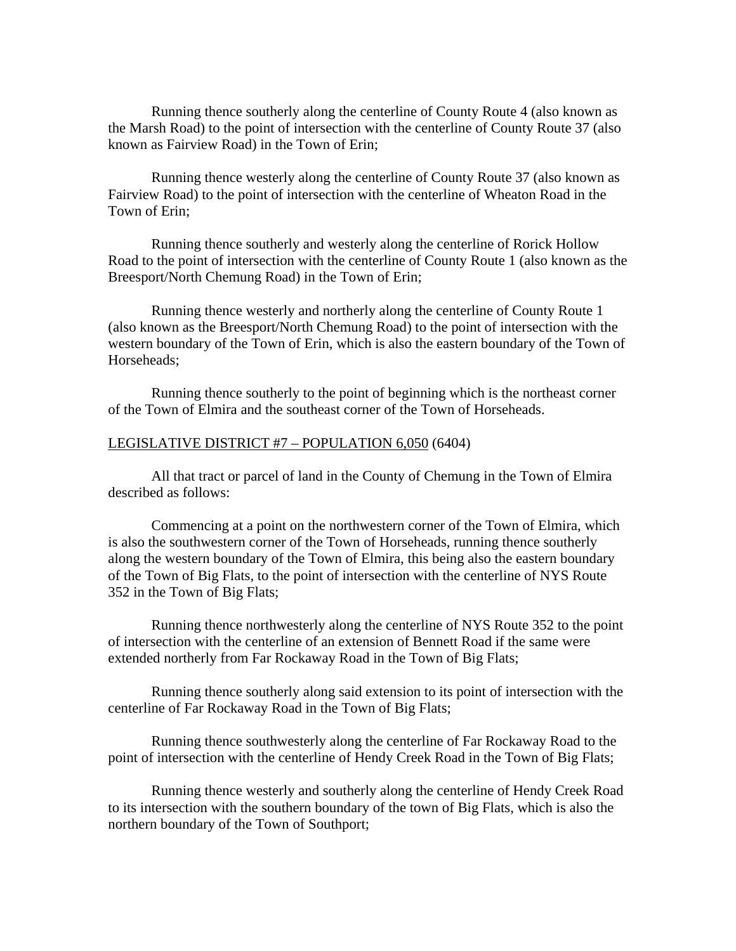Running thence southerly along the centerline of County Route 4 (also known as the Marsh Road) to the point of intersection with the centerline of County Route 37 (also known as Fairview Road) in the Town of Erin;

 Running thence westerly along the centerline of County Route 37 (also known as Fairview Road) to the point of intersection with the centerline of Wheaton Road in the Town of Erin;

 Running thence southerly and westerly along the centerline of Rorick Hollow Road to the point of intersection with the centerline of County Route 1 (also known as the Breesport/North Chemung Road) in the Town of Erin;

 Running thence westerly and northerly along the centerline of County Route 1 (also known as the Breesport/North Chemung Road) to the point of intersection with the western boundary of the Town of Erin, which is also the eastern boundary of the Town of Horseheads;

 Running thence southerly to the point of beginning which is the northeast corner of the Town of Elmira and the southeast corner of the Town of Horseheads.

#### LEGISLATIVE DISTRICT #7 – POPULATION 6,050 (6404)

 All that tract or parcel of land in the County of Chemung in the Town of Elmira described as follows:

 Commencing at a point on the northwestern corner of the Town of Elmira, which is also the southwestern corner of the Town of Horseheads, running thence southerly along the western boundary of the Town of Elmira, this being also the eastern boundary of the Town of Big Flats, to the point of intersection with the centerline of NYS Route 352 in the Town of Big Flats;

 Running thence northwesterly along the centerline of NYS Route 352 to the point of intersection with the centerline of an extension of Bennett Road if the same were extended northerly from Far Rockaway Road in the Town of Big Flats;

 Running thence southerly along said extension to its point of intersection with the centerline of Far Rockaway Road in the Town of Big Flats;

 Running thence southwesterly along the centerline of Far Rockaway Road to the point of intersection with the centerline of Hendy Creek Road in the Town of Big Flats;

 Running thence westerly and southerly along the centerline of Hendy Creek Road to its intersection with the southern boundary of the town of Big Flats, which is also the northern boundary of the Town of Southport;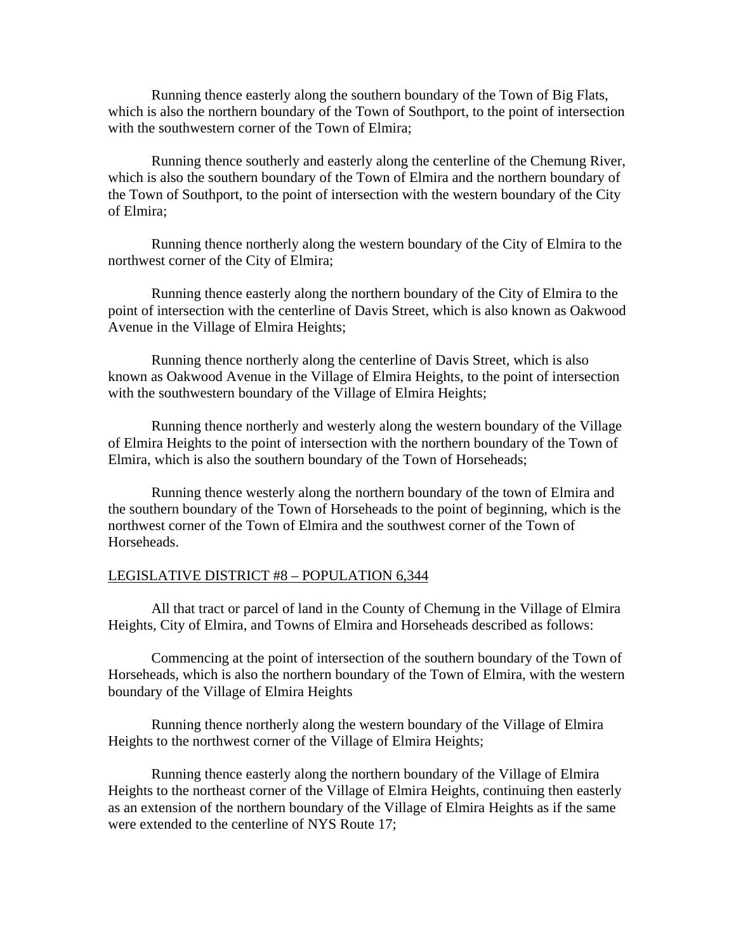Running thence easterly along the southern boundary of the Town of Big Flats, which is also the northern boundary of the Town of Southport, to the point of intersection with the southwestern corner of the Town of Elmira;

 Running thence southerly and easterly along the centerline of the Chemung River, which is also the southern boundary of the Town of Elmira and the northern boundary of the Town of Southport, to the point of intersection with the western boundary of the City of Elmira;

 Running thence northerly along the western boundary of the City of Elmira to the northwest corner of the City of Elmira;

 Running thence easterly along the northern boundary of the City of Elmira to the point of intersection with the centerline of Davis Street, which is also known as Oakwood Avenue in the Village of Elmira Heights;

 Running thence northerly along the centerline of Davis Street, which is also known as Oakwood Avenue in the Village of Elmira Heights, to the point of intersection with the southwestern boundary of the Village of Elmira Heights;

 Running thence northerly and westerly along the western boundary of the Village of Elmira Heights to the point of intersection with the northern boundary of the Town of Elmira, which is also the southern boundary of the Town of Horseheads;

 Running thence westerly along the northern boundary of the town of Elmira and the southern boundary of the Town of Horseheads to the point of beginning, which is the northwest corner of the Town of Elmira and the southwest corner of the Town of Horseheads.

#### LEGISLATIVE DISTRICT #8 – POPULATION 6,344

 All that tract or parcel of land in the County of Chemung in the Village of Elmira Heights, City of Elmira, and Towns of Elmira and Horseheads described as follows:

 Commencing at the point of intersection of the southern boundary of the Town of Horseheads, which is also the northern boundary of the Town of Elmira, with the western boundary of the Village of Elmira Heights

 Running thence northerly along the western boundary of the Village of Elmira Heights to the northwest corner of the Village of Elmira Heights;

 Running thence easterly along the northern boundary of the Village of Elmira Heights to the northeast corner of the Village of Elmira Heights, continuing then easterly as an extension of the northern boundary of the Village of Elmira Heights as if the same were extended to the centerline of NYS Route 17;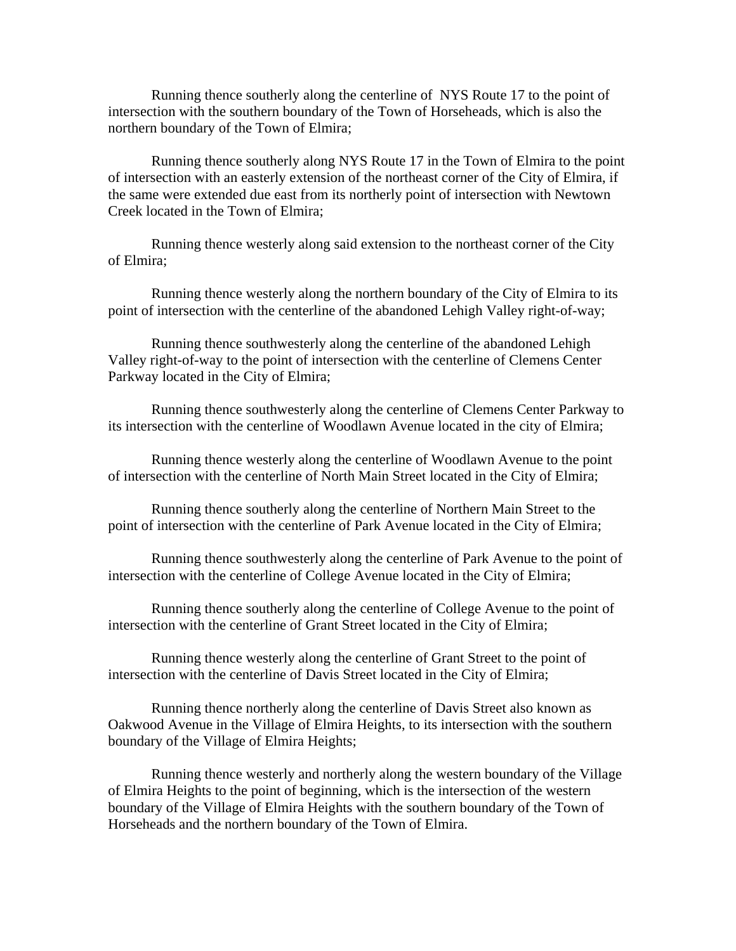Running thence southerly along the centerline of NYS Route 17 to the point of intersection with the southern boundary of the Town of Horseheads, which is also the northern boundary of the Town of Elmira;

 Running thence southerly along NYS Route 17 in the Town of Elmira to the point of intersection with an easterly extension of the northeast corner of the City of Elmira, if the same were extended due east from its northerly point of intersection with Newtown Creek located in the Town of Elmira;

 Running thence westerly along said extension to the northeast corner of the City of Elmira;

 Running thence westerly along the northern boundary of the City of Elmira to its point of intersection with the centerline of the abandoned Lehigh Valley right-of-way;

 Running thence southwesterly along the centerline of the abandoned Lehigh Valley right-of-way to the point of intersection with the centerline of Clemens Center Parkway located in the City of Elmira;

 Running thence southwesterly along the centerline of Clemens Center Parkway to its intersection with the centerline of Woodlawn Avenue located in the city of Elmira;

 Running thence westerly along the centerline of Woodlawn Avenue to the point of intersection with the centerline of North Main Street located in the City of Elmira;

 Running thence southerly along the centerline of Northern Main Street to the point of intersection with the centerline of Park Avenue located in the City of Elmira;

 Running thence southwesterly along the centerline of Park Avenue to the point of intersection with the centerline of College Avenue located in the City of Elmira;

 Running thence southerly along the centerline of College Avenue to the point of intersection with the centerline of Grant Street located in the City of Elmira;

 Running thence westerly along the centerline of Grant Street to the point of intersection with the centerline of Davis Street located in the City of Elmira;

 Running thence northerly along the centerline of Davis Street also known as Oakwood Avenue in the Village of Elmira Heights, to its intersection with the southern boundary of the Village of Elmira Heights;

 Running thence westerly and northerly along the western boundary of the Village of Elmira Heights to the point of beginning, which is the intersection of the western boundary of the Village of Elmira Heights with the southern boundary of the Town of Horseheads and the northern boundary of the Town of Elmira.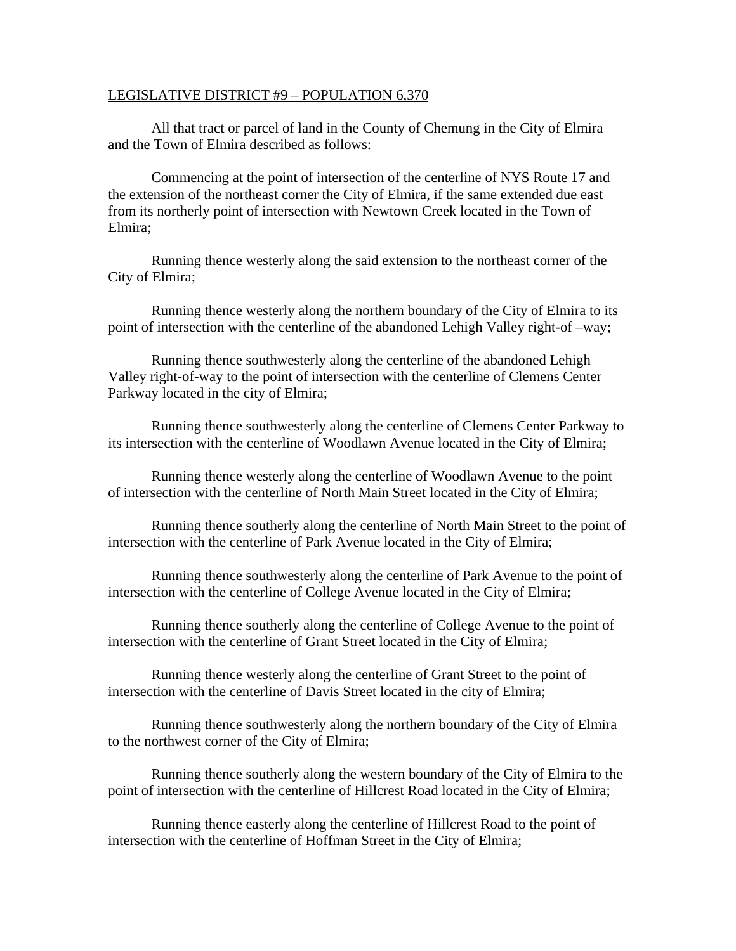#### LEGISLATIVE DISTRICT #9 – POPULATION 6,370

 All that tract or parcel of land in the County of Chemung in the City of Elmira and the Town of Elmira described as follows:

 Commencing at the point of intersection of the centerline of NYS Route 17 and the extension of the northeast corner the City of Elmira, if the same extended due east from its northerly point of intersection with Newtown Creek located in the Town of Elmira;

 Running thence westerly along the said extension to the northeast corner of the City of Elmira;

 Running thence westerly along the northern boundary of the City of Elmira to its point of intersection with the centerline of the abandoned Lehigh Valley right-of –way;

 Running thence southwesterly along the centerline of the abandoned Lehigh Valley right-of-way to the point of intersection with the centerline of Clemens Center Parkway located in the city of Elmira;

 Running thence southwesterly along the centerline of Clemens Center Parkway to its intersection with the centerline of Woodlawn Avenue located in the City of Elmira;

 Running thence westerly along the centerline of Woodlawn Avenue to the point of intersection with the centerline of North Main Street located in the City of Elmira;

 Running thence southerly along the centerline of North Main Street to the point of intersection with the centerline of Park Avenue located in the City of Elmira;

 Running thence southwesterly along the centerline of Park Avenue to the point of intersection with the centerline of College Avenue located in the City of Elmira;

 Running thence southerly along the centerline of College Avenue to the point of intersection with the centerline of Grant Street located in the City of Elmira;

 Running thence westerly along the centerline of Grant Street to the point of intersection with the centerline of Davis Street located in the city of Elmira;

 Running thence southwesterly along the northern boundary of the City of Elmira to the northwest corner of the City of Elmira;

 Running thence southerly along the western boundary of the City of Elmira to the point of intersection with the centerline of Hillcrest Road located in the City of Elmira;

 Running thence easterly along the centerline of Hillcrest Road to the point of intersection with the centerline of Hoffman Street in the City of Elmira;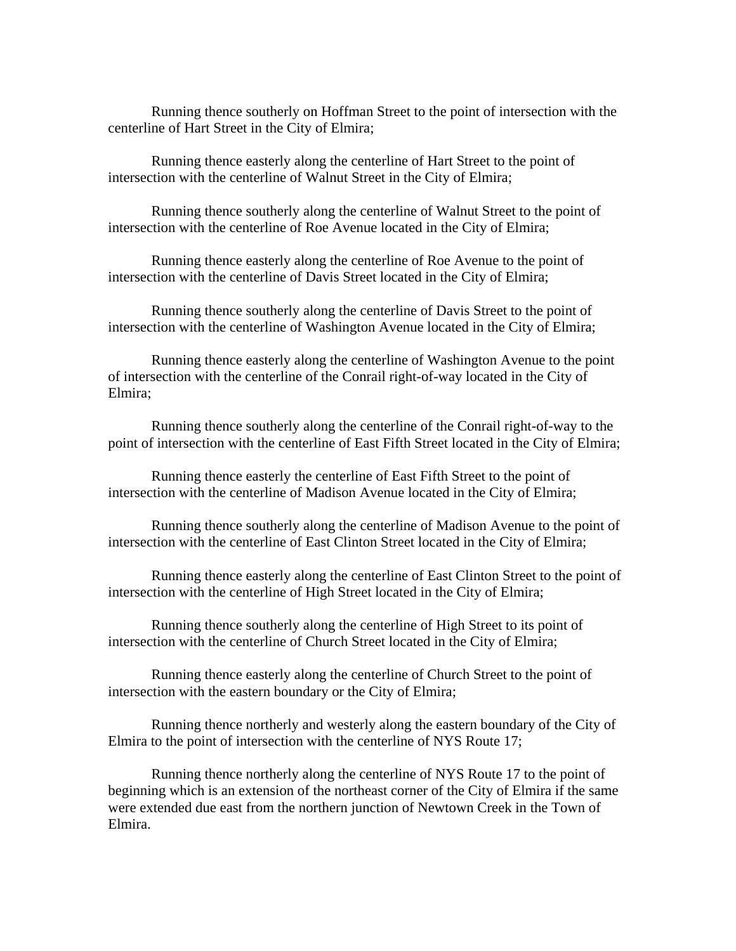Running thence southerly on Hoffman Street to the point of intersection with the centerline of Hart Street in the City of Elmira;

 Running thence easterly along the centerline of Hart Street to the point of intersection with the centerline of Walnut Street in the City of Elmira;

 Running thence southerly along the centerline of Walnut Street to the point of intersection with the centerline of Roe Avenue located in the City of Elmira;

 Running thence easterly along the centerline of Roe Avenue to the point of intersection with the centerline of Davis Street located in the City of Elmira;

 Running thence southerly along the centerline of Davis Street to the point of intersection with the centerline of Washington Avenue located in the City of Elmira;

 Running thence easterly along the centerline of Washington Avenue to the point of intersection with the centerline of the Conrail right-of-way located in the City of Elmira;

 Running thence southerly along the centerline of the Conrail right-of-way to the point of intersection with the centerline of East Fifth Street located in the City of Elmira;

 Running thence easterly the centerline of East Fifth Street to the point of intersection with the centerline of Madison Avenue located in the City of Elmira;

 Running thence southerly along the centerline of Madison Avenue to the point of intersection with the centerline of East Clinton Street located in the City of Elmira;

 Running thence easterly along the centerline of East Clinton Street to the point of intersection with the centerline of High Street located in the City of Elmira;

 Running thence southerly along the centerline of High Street to its point of intersection with the centerline of Church Street located in the City of Elmira;

 Running thence easterly along the centerline of Church Street to the point of intersection with the eastern boundary or the City of Elmira;

 Running thence northerly and westerly along the eastern boundary of the City of Elmira to the point of intersection with the centerline of NYS Route 17;

 Running thence northerly along the centerline of NYS Route 17 to the point of beginning which is an extension of the northeast corner of the City of Elmira if the same were extended due east from the northern junction of Newtown Creek in the Town of Elmira.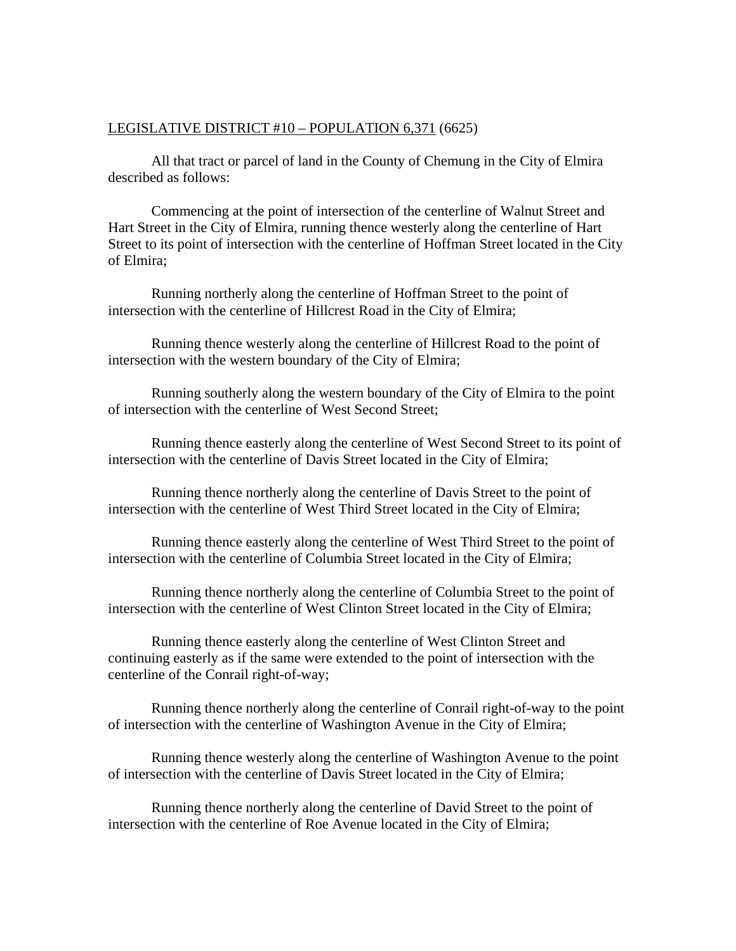## LEGISLATIVE DISTRICT #10 – POPULATION 6,371 (6625)

 All that tract or parcel of land in the County of Chemung in the City of Elmira described as follows:

 Commencing at the point of intersection of the centerline of Walnut Street and Hart Street in the City of Elmira, running thence westerly along the centerline of Hart Street to its point of intersection with the centerline of Hoffman Street located in the City of Elmira;

 Running northerly along the centerline of Hoffman Street to the point of intersection with the centerline of Hillcrest Road in the City of Elmira;

 Running thence westerly along the centerline of Hillcrest Road to the point of intersection with the western boundary of the City of Elmira;

 Running southerly along the western boundary of the City of Elmira to the point of intersection with the centerline of West Second Street;

 Running thence easterly along the centerline of West Second Street to its point of intersection with the centerline of Davis Street located in the City of Elmira;

 Running thence northerly along the centerline of Davis Street to the point of intersection with the centerline of West Third Street located in the City of Elmira;

 Running thence easterly along the centerline of West Third Street to the point of intersection with the centerline of Columbia Street located in the City of Elmira;

 Running thence northerly along the centerline of Columbia Street to the point of intersection with the centerline of West Clinton Street located in the City of Elmira;

 Running thence easterly along the centerline of West Clinton Street and continuing easterly as if the same were extended to the point of intersection with the centerline of the Conrail right-of-way;

 Running thence northerly along the centerline of Conrail right-of-way to the point of intersection with the centerline of Washington Avenue in the City of Elmira;

 Running thence westerly along the centerline of Washington Avenue to the point of intersection with the centerline of Davis Street located in the City of Elmira;

 Running thence northerly along the centerline of David Street to the point of intersection with the centerline of Roe Avenue located in the City of Elmira;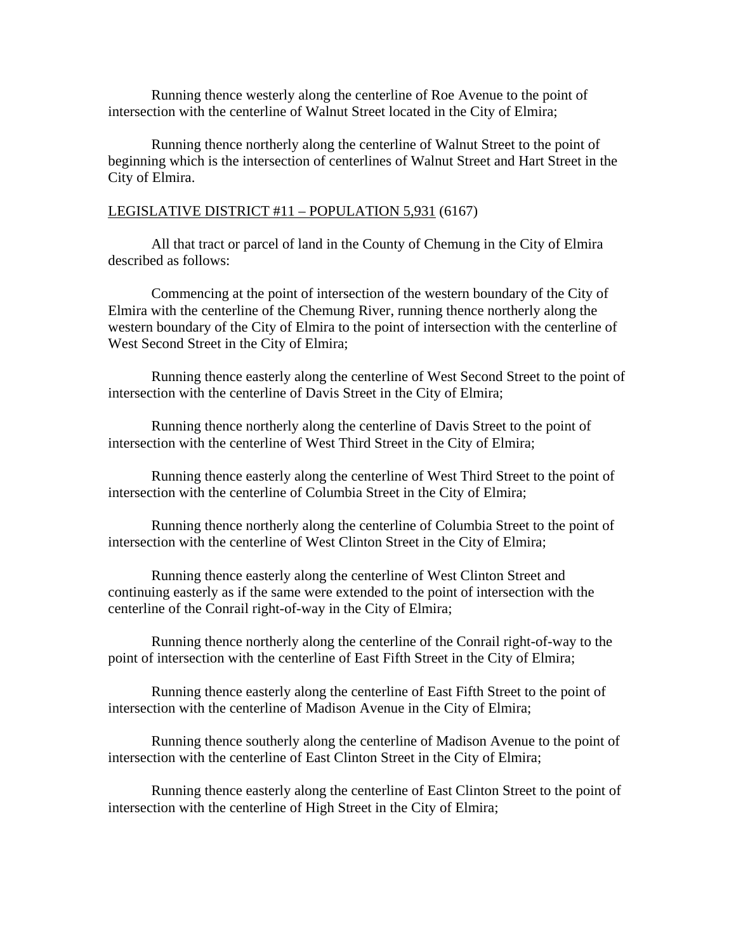Running thence westerly along the centerline of Roe Avenue to the point of intersection with the centerline of Walnut Street located in the City of Elmira;

 Running thence northerly along the centerline of Walnut Street to the point of beginning which is the intersection of centerlines of Walnut Street and Hart Street in the City of Elmira.

## LEGISLATIVE DISTRICT #11 – POPULATION 5,931 (6167)

 All that tract or parcel of land in the County of Chemung in the City of Elmira described as follows:

 Commencing at the point of intersection of the western boundary of the City of Elmira with the centerline of the Chemung River, running thence northerly along the western boundary of the City of Elmira to the point of intersection with the centerline of West Second Street in the City of Elmira;

 Running thence easterly along the centerline of West Second Street to the point of intersection with the centerline of Davis Street in the City of Elmira;

 Running thence northerly along the centerline of Davis Street to the point of intersection with the centerline of West Third Street in the City of Elmira;

 Running thence easterly along the centerline of West Third Street to the point of intersection with the centerline of Columbia Street in the City of Elmira;

 Running thence northerly along the centerline of Columbia Street to the point of intersection with the centerline of West Clinton Street in the City of Elmira;

 Running thence easterly along the centerline of West Clinton Street and continuing easterly as if the same were extended to the point of intersection with the centerline of the Conrail right-of-way in the City of Elmira;

 Running thence northerly along the centerline of the Conrail right-of-way to the point of intersection with the centerline of East Fifth Street in the City of Elmira;

 Running thence easterly along the centerline of East Fifth Street to the point of intersection with the centerline of Madison Avenue in the City of Elmira;

 Running thence southerly along the centerline of Madison Avenue to the point of intersection with the centerline of East Clinton Street in the City of Elmira;

 Running thence easterly along the centerline of East Clinton Street to the point of intersection with the centerline of High Street in the City of Elmira;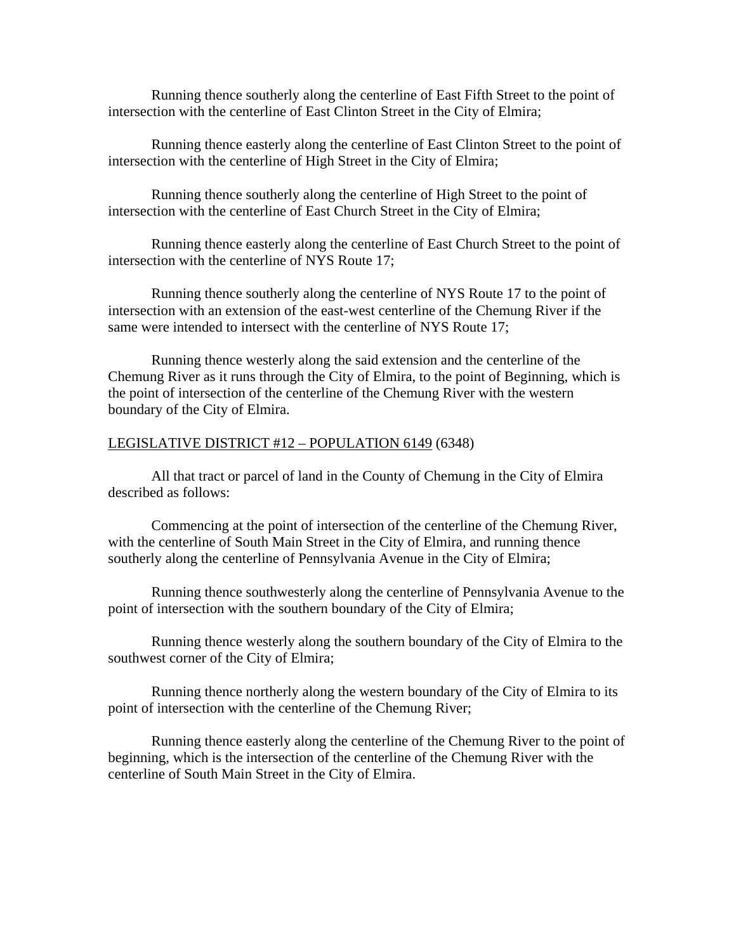Running thence southerly along the centerline of East Fifth Street to the point of intersection with the centerline of East Clinton Street in the City of Elmira;

 Running thence easterly along the centerline of East Clinton Street to the point of intersection with the centerline of High Street in the City of Elmira;

 Running thence southerly along the centerline of High Street to the point of intersection with the centerline of East Church Street in the City of Elmira;

 Running thence easterly along the centerline of East Church Street to the point of intersection with the centerline of NYS Route 17;

 Running thence southerly along the centerline of NYS Route 17 to the point of intersection with an extension of the east-west centerline of the Chemung River if the same were intended to intersect with the centerline of NYS Route 17;

 Running thence westerly along the said extension and the centerline of the Chemung River as it runs through the City of Elmira, to the point of Beginning, which is the point of intersection of the centerline of the Chemung River with the western boundary of the City of Elmira.

#### LEGISLATIVE DISTRICT #12 – POPULATION 6149 (6348)

 All that tract or parcel of land in the County of Chemung in the City of Elmira described as follows:

 Commencing at the point of intersection of the centerline of the Chemung River, with the centerline of South Main Street in the City of Elmira, and running thence southerly along the centerline of Pennsylvania Avenue in the City of Elmira;

 Running thence southwesterly along the centerline of Pennsylvania Avenue to the point of intersection with the southern boundary of the City of Elmira;

 Running thence westerly along the southern boundary of the City of Elmira to the southwest corner of the City of Elmira;

 Running thence northerly along the western boundary of the City of Elmira to its point of intersection with the centerline of the Chemung River;

 Running thence easterly along the centerline of the Chemung River to the point of beginning, which is the intersection of the centerline of the Chemung River with the centerline of South Main Street in the City of Elmira.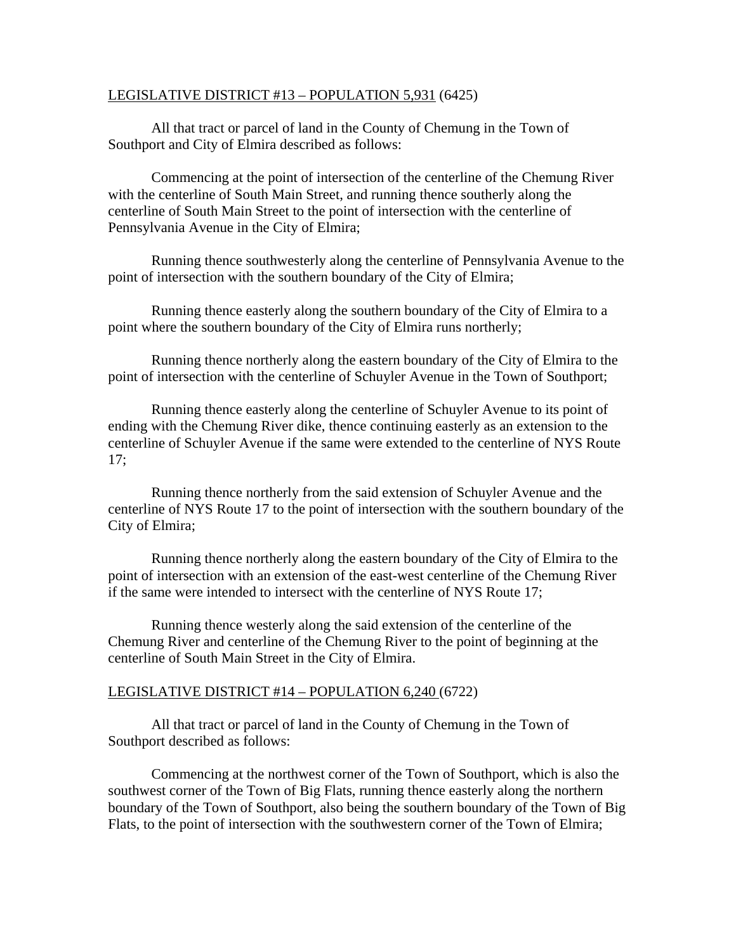## LEGISLATIVE DISTRICT #13 – POPULATION 5,931 (6425)

 All that tract or parcel of land in the County of Chemung in the Town of Southport and City of Elmira described as follows:

 Commencing at the point of intersection of the centerline of the Chemung River with the centerline of South Main Street, and running thence southerly along the centerline of South Main Street to the point of intersection with the centerline of Pennsylvania Avenue in the City of Elmira;

 Running thence southwesterly along the centerline of Pennsylvania Avenue to the point of intersection with the southern boundary of the City of Elmira;

 Running thence easterly along the southern boundary of the City of Elmira to a point where the southern boundary of the City of Elmira runs northerly;

 Running thence northerly along the eastern boundary of the City of Elmira to the point of intersection with the centerline of Schuyler Avenue in the Town of Southport;

 Running thence easterly along the centerline of Schuyler Avenue to its point of ending with the Chemung River dike, thence continuing easterly as an extension to the centerline of Schuyler Avenue if the same were extended to the centerline of NYS Route 17;

 Running thence northerly from the said extension of Schuyler Avenue and the centerline of NYS Route 17 to the point of intersection with the southern boundary of the City of Elmira;

 Running thence northerly along the eastern boundary of the City of Elmira to the point of intersection with an extension of the east-west centerline of the Chemung River if the same were intended to intersect with the centerline of NYS Route 17;

 Running thence westerly along the said extension of the centerline of the Chemung River and centerline of the Chemung River to the point of beginning at the centerline of South Main Street in the City of Elmira.

#### LEGISLATIVE DISTRICT #14 – POPULATION 6,240 (6722)

 All that tract or parcel of land in the County of Chemung in the Town of Southport described as follows:

 Commencing at the northwest corner of the Town of Southport, which is also the southwest corner of the Town of Big Flats, running thence easterly along the northern boundary of the Town of Southport, also being the southern boundary of the Town of Big Flats, to the point of intersection with the southwestern corner of the Town of Elmira;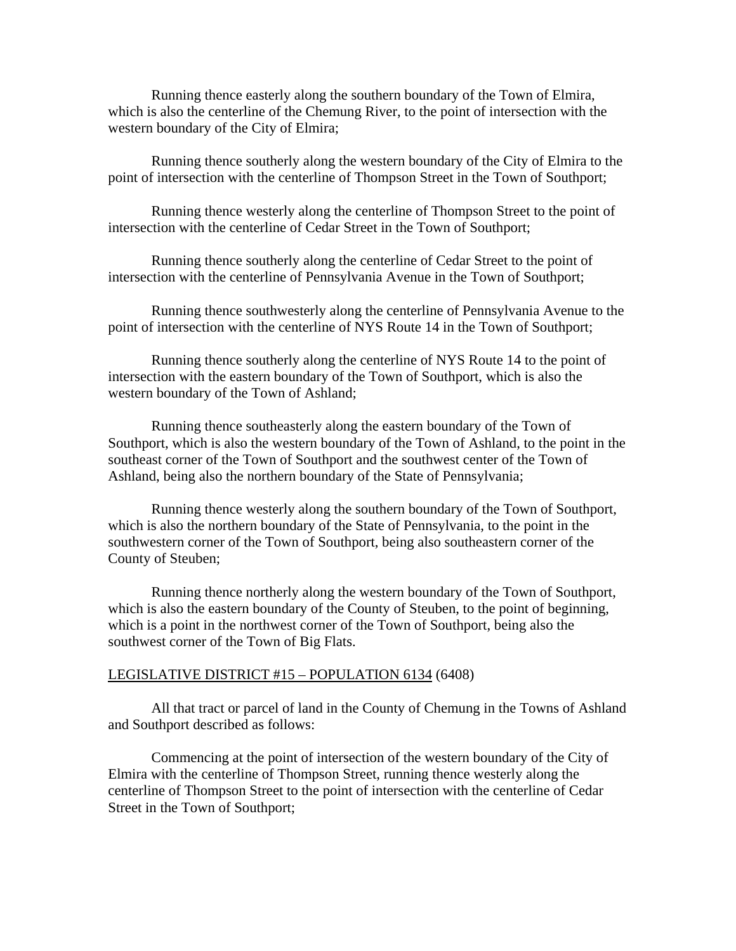Running thence easterly along the southern boundary of the Town of Elmira, which is also the centerline of the Chemung River, to the point of intersection with the western boundary of the City of Elmira;

 Running thence southerly along the western boundary of the City of Elmira to the point of intersection with the centerline of Thompson Street in the Town of Southport;

 Running thence westerly along the centerline of Thompson Street to the point of intersection with the centerline of Cedar Street in the Town of Southport;

 Running thence southerly along the centerline of Cedar Street to the point of intersection with the centerline of Pennsylvania Avenue in the Town of Southport;

 Running thence southwesterly along the centerline of Pennsylvania Avenue to the point of intersection with the centerline of NYS Route 14 in the Town of Southport;

 Running thence southerly along the centerline of NYS Route 14 to the point of intersection with the eastern boundary of the Town of Southport, which is also the western boundary of the Town of Ashland;

 Running thence southeasterly along the eastern boundary of the Town of Southport, which is also the western boundary of the Town of Ashland, to the point in the southeast corner of the Town of Southport and the southwest center of the Town of Ashland, being also the northern boundary of the State of Pennsylvania;

 Running thence westerly along the southern boundary of the Town of Southport, which is also the northern boundary of the State of Pennsylvania, to the point in the southwestern corner of the Town of Southport, being also southeastern corner of the County of Steuben;

 Running thence northerly along the western boundary of the Town of Southport, which is also the eastern boundary of the County of Steuben, to the point of beginning, which is a point in the northwest corner of the Town of Southport, being also the southwest corner of the Town of Big Flats.

#### LEGISLATIVE DISTRICT #15 – POPULATION 6134 (6408)

 All that tract or parcel of land in the County of Chemung in the Towns of Ashland and Southport described as follows:

 Commencing at the point of intersection of the western boundary of the City of Elmira with the centerline of Thompson Street, running thence westerly along the centerline of Thompson Street to the point of intersection with the centerline of Cedar Street in the Town of Southport;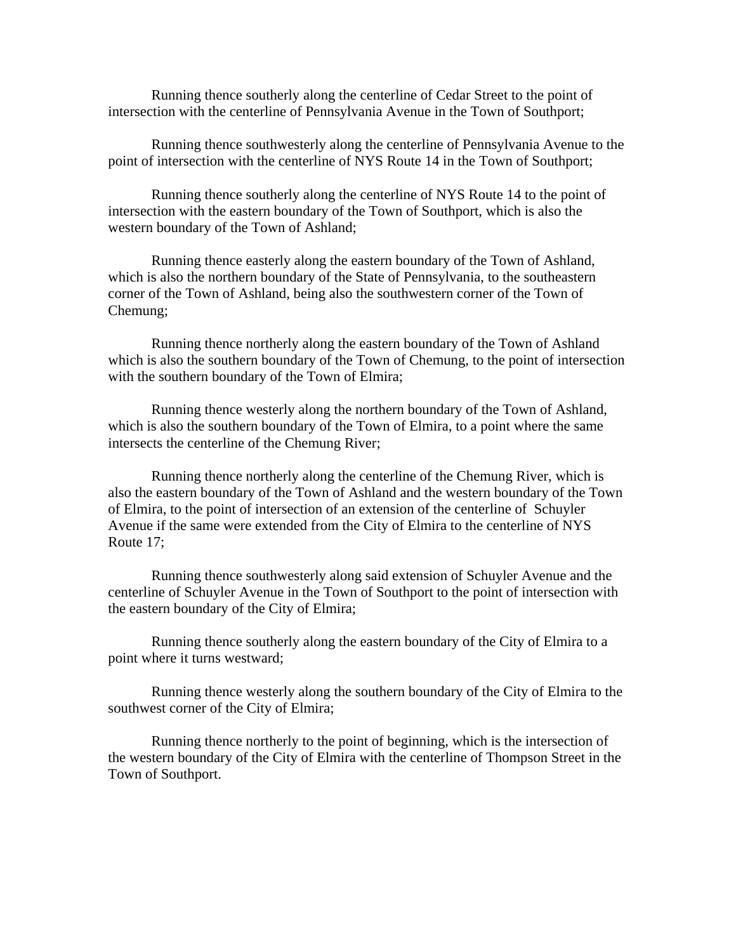Running thence southerly along the centerline of Cedar Street to the point of intersection with the centerline of Pennsylvania Avenue in the Town of Southport;

 Running thence southwesterly along the centerline of Pennsylvania Avenue to the point of intersection with the centerline of NYS Route 14 in the Town of Southport;

 Running thence southerly along the centerline of NYS Route 14 to the point of intersection with the eastern boundary of the Town of Southport, which is also the western boundary of the Town of Ashland;

 Running thence easterly along the eastern boundary of the Town of Ashland, which is also the northern boundary of the State of Pennsylvania, to the southeastern corner of the Town of Ashland, being also the southwestern corner of the Town of Chemung;

 Running thence northerly along the eastern boundary of the Town of Ashland which is also the southern boundary of the Town of Chemung, to the point of intersection with the southern boundary of the Town of Elmira;

 Running thence westerly along the northern boundary of the Town of Ashland, which is also the southern boundary of the Town of Elmira, to a point where the same intersects the centerline of the Chemung River;

 Running thence northerly along the centerline of the Chemung River, which is also the eastern boundary of the Town of Ashland and the western boundary of the Town of Elmira, to the point of intersection of an extension of the centerline of Schuyler Avenue if the same were extended from the City of Elmira to the centerline of NYS Route 17;

 Running thence southwesterly along said extension of Schuyler Avenue and the centerline of Schuyler Avenue in the Town of Southport to the point of intersection with the eastern boundary of the City of Elmira;

 Running thence southerly along the eastern boundary of the City of Elmira to a point where it turns westward;

 Running thence westerly along the southern boundary of the City of Elmira to the southwest corner of the City of Elmira;

 Running thence northerly to the point of beginning, which is the intersection of the western boundary of the City of Elmira with the centerline of Thompson Street in the Town of Southport.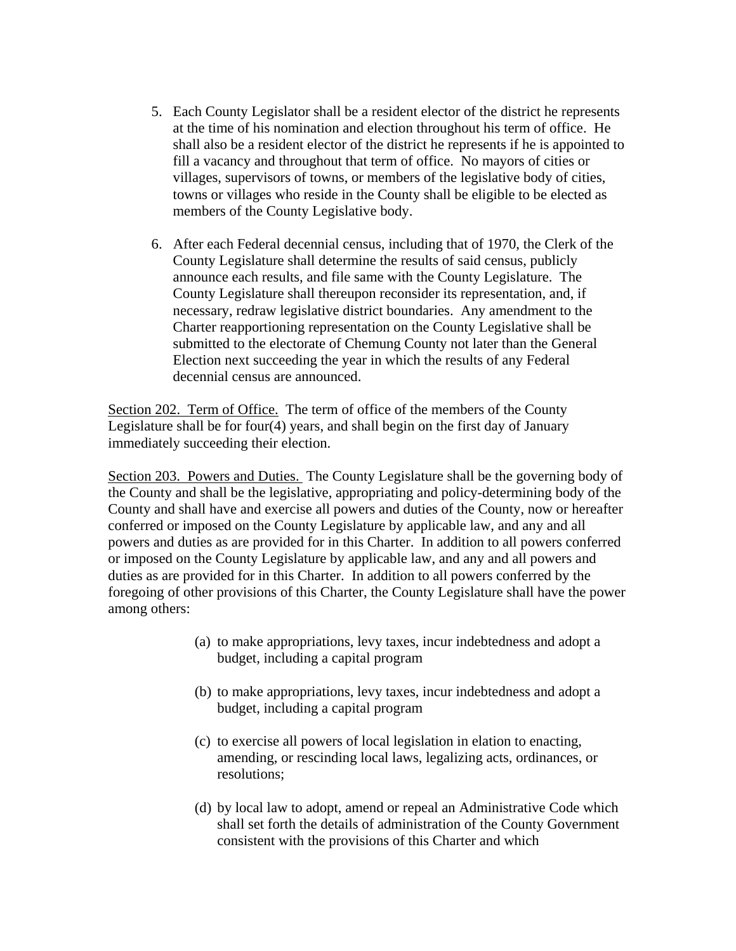- 5. Each County Legislator shall be a resident elector of the district he represents at the time of his nomination and election throughout his term of office. He shall also be a resident elector of the district he represents if he is appointed to fill a vacancy and throughout that term of office. No mayors of cities or villages, supervisors of towns, or members of the legislative body of cities, towns or villages who reside in the County shall be eligible to be elected as members of the County Legislative body.
- 6. After each Federal decennial census, including that of 1970, the Clerk of the County Legislature shall determine the results of said census, publicly announce each results, and file same with the County Legislature. The County Legislature shall thereupon reconsider its representation, and, if necessary, redraw legislative district boundaries. Any amendment to the Charter reapportioning representation on the County Legislative shall be submitted to the electorate of Chemung County not later than the General Election next succeeding the year in which the results of any Federal decennial census are announced.

Section 202. Term of Office. The term of office of the members of the County Legislature shall be for four(4) years, and shall begin on the first day of January immediately succeeding their election.

Section 203. Powers and Duties. The County Legislature shall be the governing body of the County and shall be the legislative, appropriating and policy-determining body of the County and shall have and exercise all powers and duties of the County, now or hereafter conferred or imposed on the County Legislature by applicable law, and any and all powers and duties as are provided for in this Charter. In addition to all powers conferred or imposed on the County Legislature by applicable law, and any and all powers and duties as are provided for in this Charter. In addition to all powers conferred by the foregoing of other provisions of this Charter, the County Legislature shall have the power among others:

- (a) to make appropriations, levy taxes, incur indebtedness and adopt a budget, including a capital program
- (b) to make appropriations, levy taxes, incur indebtedness and adopt a budget, including a capital program
- (c) to exercise all powers of local legislation in elation to enacting, amending, or rescinding local laws, legalizing acts, ordinances, or resolutions;
- (d) by local law to adopt, amend or repeal an Administrative Code which shall set forth the details of administration of the County Government consistent with the provisions of this Charter and which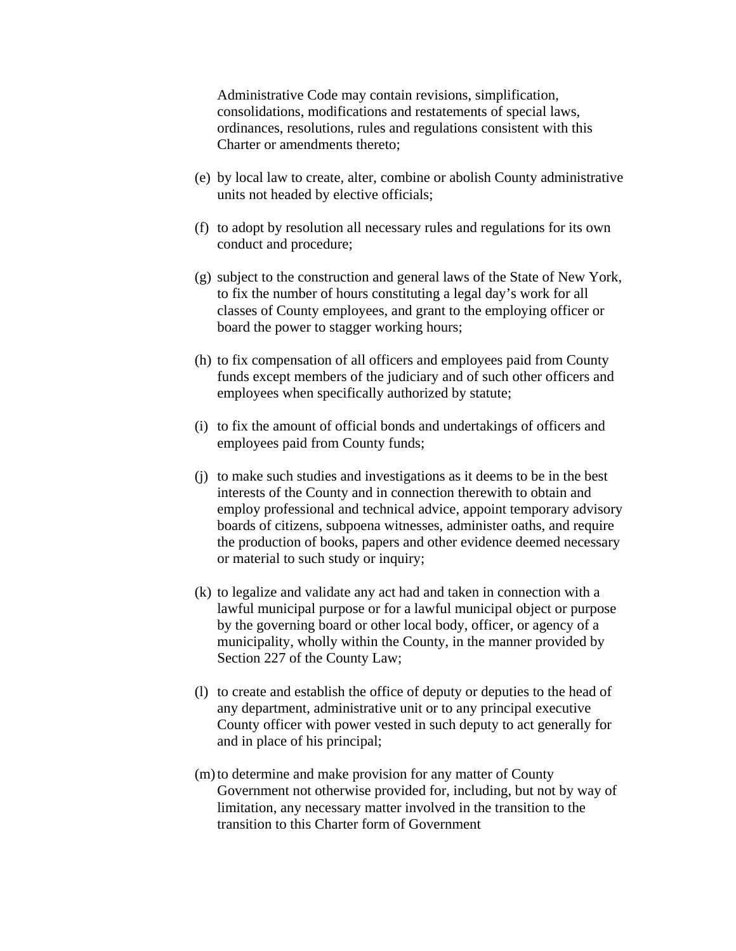Administrative Code may contain revisions, simplification, consolidations, modifications and restatements of special laws, ordinances, resolutions, rules and regulations consistent with this Charter or amendments thereto;

- (e) by local law to create, alter, combine or abolish County administrative units not headed by elective officials;
- (f) to adopt by resolution all necessary rules and regulations for its own conduct and procedure;
- (g) subject to the construction and general laws of the State of New York, to fix the number of hours constituting a legal day's work for all classes of County employees, and grant to the employing officer or board the power to stagger working hours;
- (h) to fix compensation of all officers and employees paid from County funds except members of the judiciary and of such other officers and employees when specifically authorized by statute;
- (i) to fix the amount of official bonds and undertakings of officers and employees paid from County funds;
- (j) to make such studies and investigations as it deems to be in the best interests of the County and in connection therewith to obtain and employ professional and technical advice, appoint temporary advisory boards of citizens, subpoena witnesses, administer oaths, and require the production of books, papers and other evidence deemed necessary or material to such study or inquiry;
- (k) to legalize and validate any act had and taken in connection with a lawful municipal purpose or for a lawful municipal object or purpose by the governing board or other local body, officer, or agency of a municipality, wholly within the County, in the manner provided by Section 227 of the County Law;
- (l) to create and establish the office of deputy or deputies to the head of any department, administrative unit or to any principal executive County officer with power vested in such deputy to act generally for and in place of his principal;
- (m) to determine and make provision for any matter of County Government not otherwise provided for, including, but not by way of limitation, any necessary matter involved in the transition to the transition to this Charter form of Government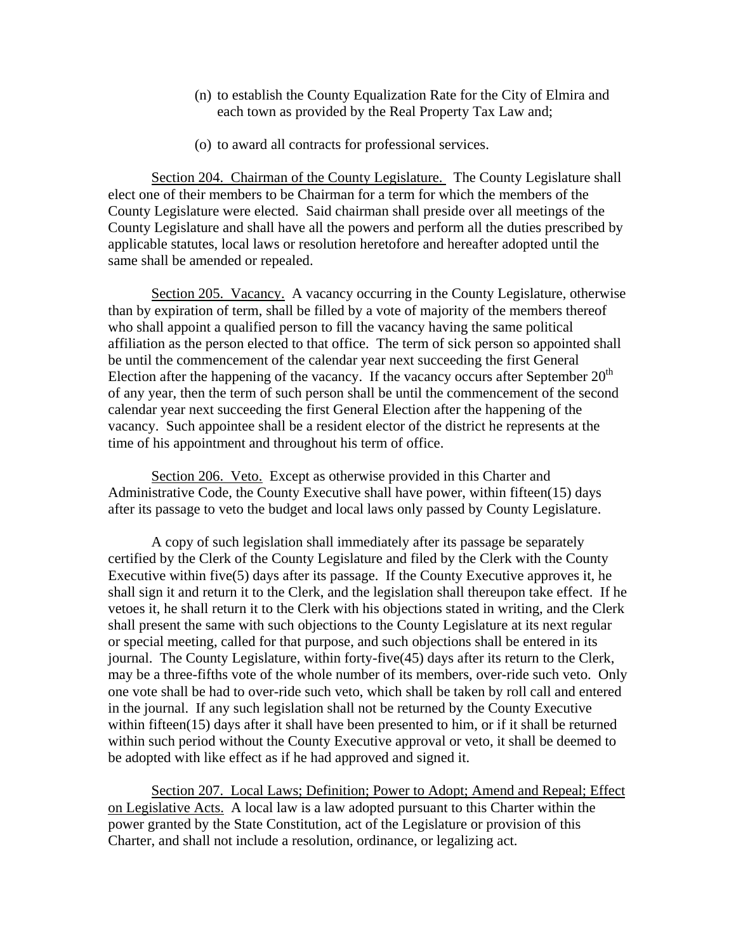- (n) to establish the County Equalization Rate for the City of Elmira and each town as provided by the Real Property Tax Law and;
- (o) to award all contracts for professional services.

Section 204. Chairman of the County Legislature. The County Legislature shall elect one of their members to be Chairman for a term for which the members of the County Legislature were elected. Said chairman shall preside over all meetings of the County Legislature and shall have all the powers and perform all the duties prescribed by applicable statutes, local laws or resolution heretofore and hereafter adopted until the same shall be amended or repealed.

Section 205. Vacancy. A vacancy occurring in the County Legislature, otherwise than by expiration of term, shall be filled by a vote of majority of the members thereof who shall appoint a qualified person to fill the vacancy having the same political affiliation as the person elected to that office. The term of sick person so appointed shall be until the commencement of the calendar year next succeeding the first General Election after the happening of the vacancy. If the vacancy occurs after September  $20<sup>th</sup>$ of any year, then the term of such person shall be until the commencement of the second calendar year next succeeding the first General Election after the happening of the vacancy. Such appointee shall be a resident elector of the district he represents at the time of his appointment and throughout his term of office.

Section 206. Veto. Except as otherwise provided in this Charter and Administrative Code, the County Executive shall have power, within fifteen(15) days after its passage to veto the budget and local laws only passed by County Legislature.

A copy of such legislation shall immediately after its passage be separately certified by the Clerk of the County Legislature and filed by the Clerk with the County Executive within five(5) days after its passage. If the County Executive approves it, he shall sign it and return it to the Clerk, and the legislation shall thereupon take effect. If he vetoes it, he shall return it to the Clerk with his objections stated in writing, and the Clerk shall present the same with such objections to the County Legislature at its next regular or special meeting, called for that purpose, and such objections shall be entered in its journal. The County Legislature, within forty-five(45) days after its return to the Clerk, may be a three-fifths vote of the whole number of its members, over-ride such veto. Only one vote shall be had to over-ride such veto, which shall be taken by roll call and entered in the journal. If any such legislation shall not be returned by the County Executive within fifteen(15) days after it shall have been presented to him, or if it shall be returned within such period without the County Executive approval or veto, it shall be deemed to be adopted with like effect as if he had approved and signed it.

Section 207. Local Laws; Definition; Power to Adopt; Amend and Repeal; Effect on Legislative Acts. A local law is a law adopted pursuant to this Charter within the power granted by the State Constitution, act of the Legislature or provision of this Charter, and shall not include a resolution, ordinance, or legalizing act.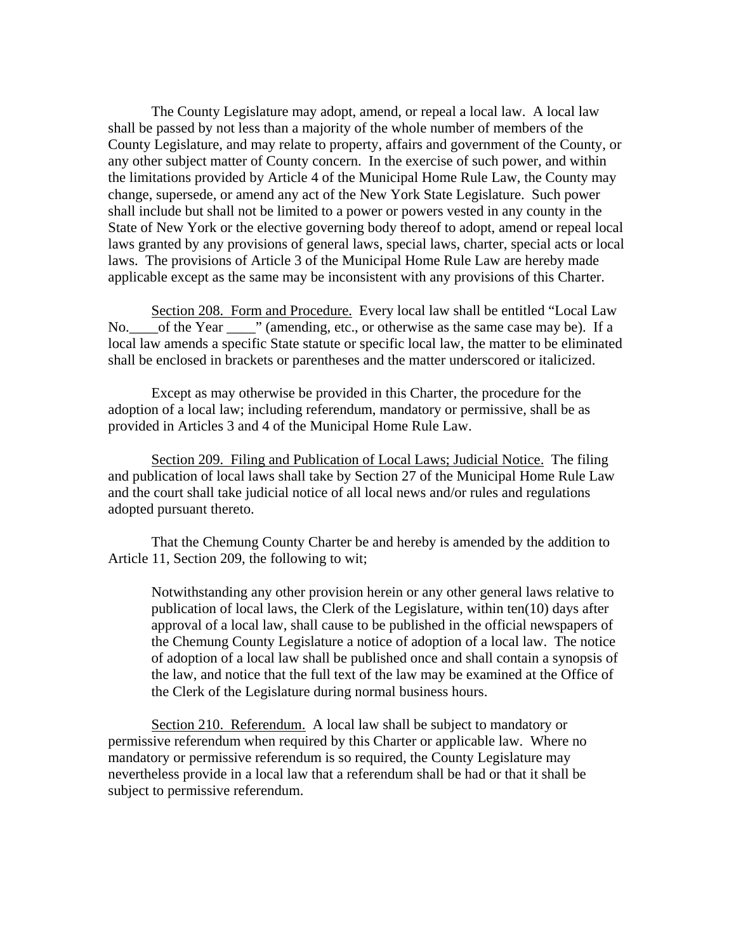The County Legislature may adopt, amend, or repeal a local law. A local law shall be passed by not less than a majority of the whole number of members of the County Legislature, and may relate to property, affairs and government of the County, or any other subject matter of County concern. In the exercise of such power, and within the limitations provided by Article 4 of the Municipal Home Rule Law, the County may change, supersede, or amend any act of the New York State Legislature. Such power shall include but shall not be limited to a power or powers vested in any county in the State of New York or the elective governing body thereof to adopt, amend or repeal local laws granted by any provisions of general laws, special laws, charter, special acts or local laws. The provisions of Article 3 of the Municipal Home Rule Law are hereby made applicable except as the same may be inconsistent with any provisions of this Charter.

Section 208. Form and Procedure. Every local law shall be entitled "Local Law No.\_\_\_\_of the Year \_\_\_\_" (amending, etc., or otherwise as the same case may be). If a local law amends a specific State statute or specific local law, the matter to be eliminated shall be enclosed in brackets or parentheses and the matter underscored or italicized.

Except as may otherwise be provided in this Charter, the procedure for the adoption of a local law; including referendum, mandatory or permissive, shall be as provided in Articles 3 and 4 of the Municipal Home Rule Law.

Section 209. Filing and Publication of Local Laws; Judicial Notice. The filing and publication of local laws shall take by Section 27 of the Municipal Home Rule Law and the court shall take judicial notice of all local news and/or rules and regulations adopted pursuant thereto.

That the Chemung County Charter be and hereby is amended by the addition to Article 11, Section 209, the following to wit;

Notwithstanding any other provision herein or any other general laws relative to publication of local laws, the Clerk of the Legislature, within ten(10) days after approval of a local law, shall cause to be published in the official newspapers of the Chemung County Legislature a notice of adoption of a local law. The notice of adoption of a local law shall be published once and shall contain a synopsis of the law, and notice that the full text of the law may be examined at the Office of the Clerk of the Legislature during normal business hours.

Section 210. Referendum. A local law shall be subject to mandatory or permissive referendum when required by this Charter or applicable law. Where no mandatory or permissive referendum is so required, the County Legislature may nevertheless provide in a local law that a referendum shall be had or that it shall be subject to permissive referendum.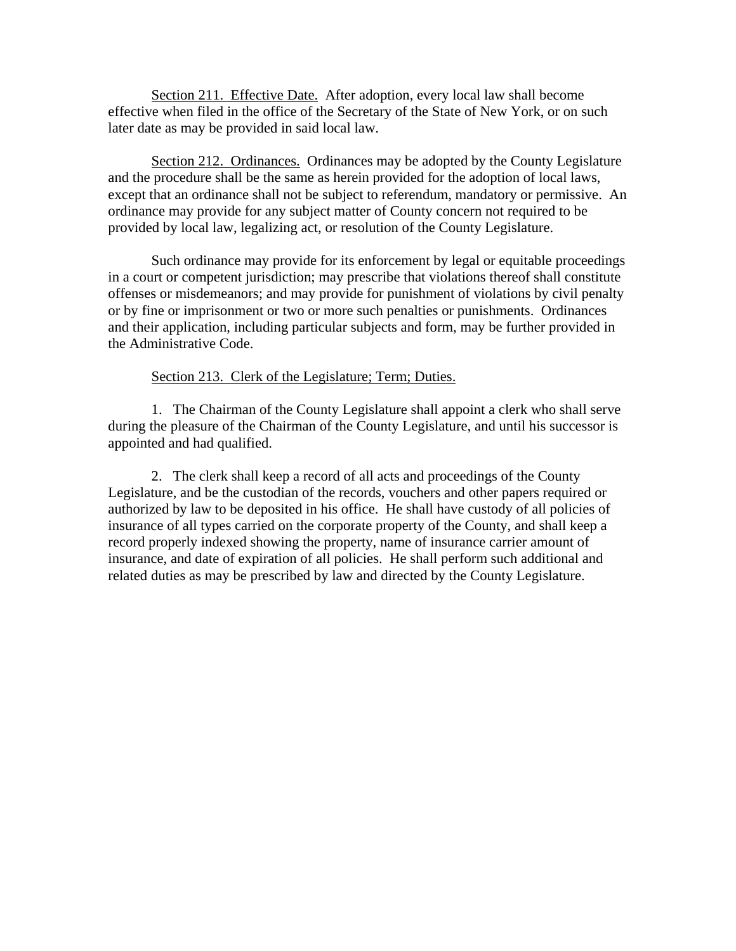Section 211. Effective Date. After adoption, every local law shall become effective when filed in the office of the Secretary of the State of New York, or on such later date as may be provided in said local law.

Section 212. Ordinances. Ordinances may be adopted by the County Legislature and the procedure shall be the same as herein provided for the adoption of local laws, except that an ordinance shall not be subject to referendum, mandatory or permissive. An ordinance may provide for any subject matter of County concern not required to be provided by local law, legalizing act, or resolution of the County Legislature.

Such ordinance may provide for its enforcement by legal or equitable proceedings in a court or competent jurisdiction; may prescribe that violations thereof shall constitute offenses or misdemeanors; and may provide for punishment of violations by civil penalty or by fine or imprisonment or two or more such penalties or punishments. Ordinances and their application, including particular subjects and form, may be further provided in the Administrative Code.

## Section 213. Clerk of the Legislature; Term; Duties.

1. The Chairman of the County Legislature shall appoint a clerk who shall serve during the pleasure of the Chairman of the County Legislature, and until his successor is appointed and had qualified.

2. The clerk shall keep a record of all acts and proceedings of the County Legislature, and be the custodian of the records, vouchers and other papers required or authorized by law to be deposited in his office. He shall have custody of all policies of insurance of all types carried on the corporate property of the County, and shall keep a record properly indexed showing the property, name of insurance carrier amount of insurance, and date of expiration of all policies. He shall perform such additional and related duties as may be prescribed by law and directed by the County Legislature.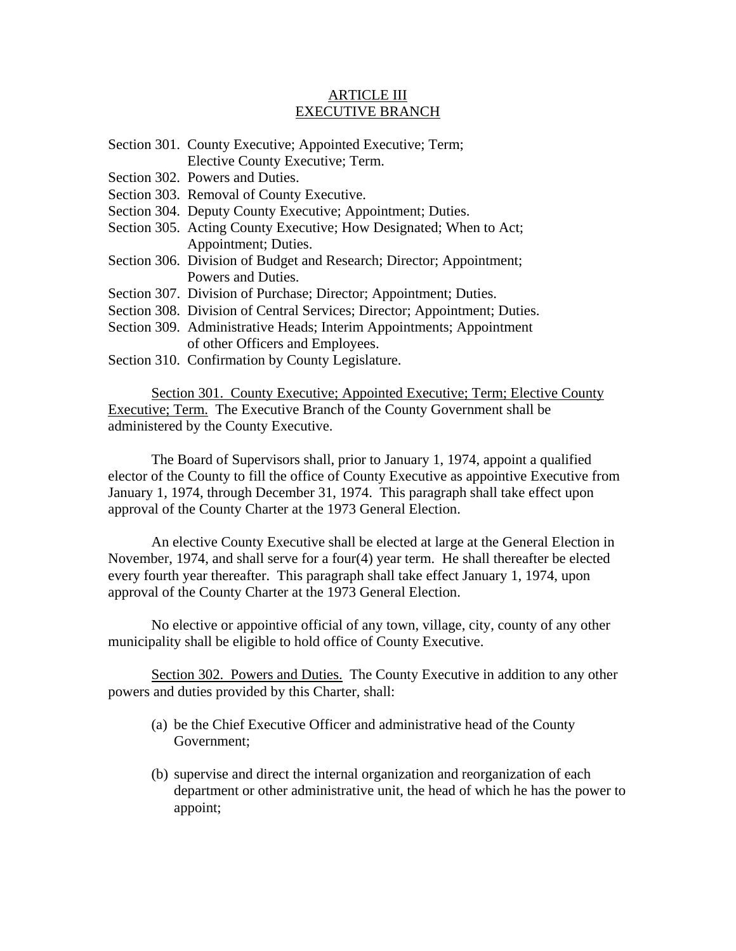## ARTICLE III EXECUTIVE BRANCH

- Section 301. County Executive; Appointed Executive; Term; Elective County Executive; Term.
- Section 302. Powers and Duties.
- Section 303. Removal of County Executive.
- Section 304. Deputy County Executive; Appointment; Duties.
- Section 305. Acting County Executive; How Designated; When to Act; Appointment; Duties.
- Section 306. Division of Budget and Research; Director; Appointment; Powers and Duties.
- Section 307. Division of Purchase; Director; Appointment; Duties.
- Section 308. Division of Central Services; Director; Appointment; Duties.
- Section 309. Administrative Heads; Interim Appointments; Appointment of other Officers and Employees.
- Section 310. Confirmation by County Legislature.

Section 301. County Executive; Appointed Executive; Term; Elective County Executive; Term. The Executive Branch of the County Government shall be administered by the County Executive.

The Board of Supervisors shall, prior to January 1, 1974, appoint a qualified elector of the County to fill the office of County Executive as appointive Executive from January 1, 1974, through December 31, 1974. This paragraph shall take effect upon approval of the County Charter at the 1973 General Election.

 An elective County Executive shall be elected at large at the General Election in November, 1974, and shall serve for a four(4) year term. He shall thereafter be elected every fourth year thereafter. This paragraph shall take effect January 1, 1974, upon approval of the County Charter at the 1973 General Election.

 No elective or appointive official of any town, village, city, county of any other municipality shall be eligible to hold office of County Executive.

Section 302. Powers and Duties. The County Executive in addition to any other powers and duties provided by this Charter, shall:

- (a) be the Chief Executive Officer and administrative head of the County Government;
- (b) supervise and direct the internal organization and reorganization of each department or other administrative unit, the head of which he has the power to appoint;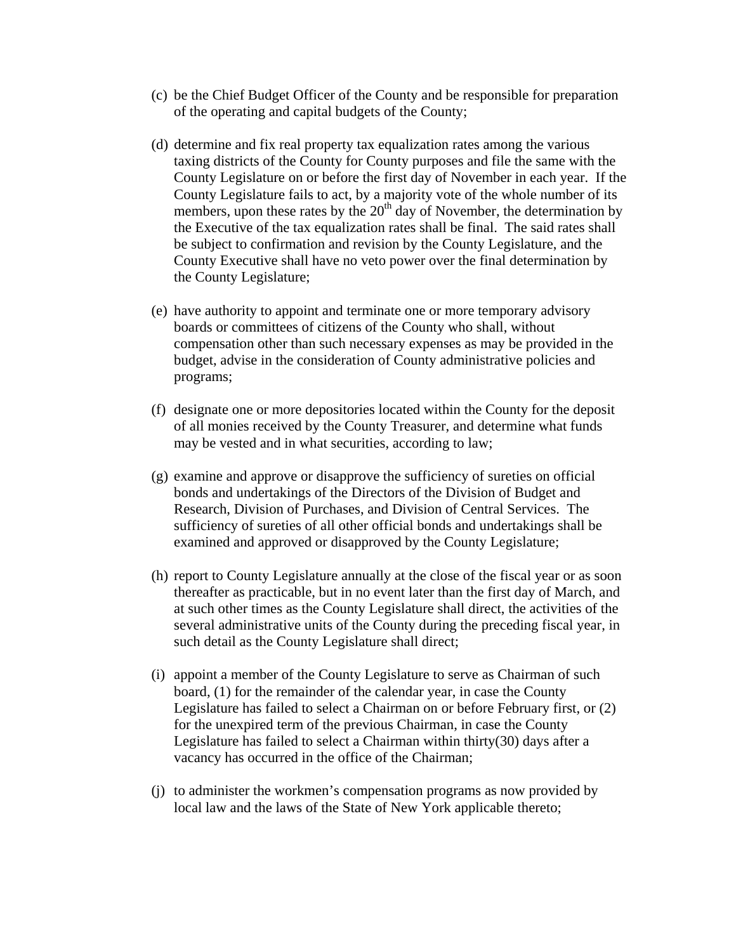- (c) be the Chief Budget Officer of the County and be responsible for preparation of the operating and capital budgets of the County;
- (d) determine and fix real property tax equalization rates among the various taxing districts of the County for County purposes and file the same with the County Legislature on or before the first day of November in each year. If the County Legislature fails to act, by a majority vote of the whole number of its members, upon these rates by the  $20<sup>th</sup>$  day of November, the determination by the Executive of the tax equalization rates shall be final. The said rates shall be subject to confirmation and revision by the County Legislature, and the County Executive shall have no veto power over the final determination by the County Legislature;
- (e) have authority to appoint and terminate one or more temporary advisory boards or committees of citizens of the County who shall, without compensation other than such necessary expenses as may be provided in the budget, advise in the consideration of County administrative policies and programs;
- (f) designate one or more depositories located within the County for the deposit of all monies received by the County Treasurer, and determine what funds may be vested and in what securities, according to law;
- (g) examine and approve or disapprove the sufficiency of sureties on official bonds and undertakings of the Directors of the Division of Budget and Research, Division of Purchases, and Division of Central Services. The sufficiency of sureties of all other official bonds and undertakings shall be examined and approved or disapproved by the County Legislature;
- (h) report to County Legislature annually at the close of the fiscal year or as soon thereafter as practicable, but in no event later than the first day of March, and at such other times as the County Legislature shall direct, the activities of the several administrative units of the County during the preceding fiscal year, in such detail as the County Legislature shall direct;
- (i) appoint a member of the County Legislature to serve as Chairman of such board, (1) for the remainder of the calendar year, in case the County Legislature has failed to select a Chairman on or before February first, or (2) for the unexpired term of the previous Chairman, in case the County Legislature has failed to select a Chairman within thirty(30) days after a vacancy has occurred in the office of the Chairman;
- (j) to administer the workmen's compensation programs as now provided by local law and the laws of the State of New York applicable thereto;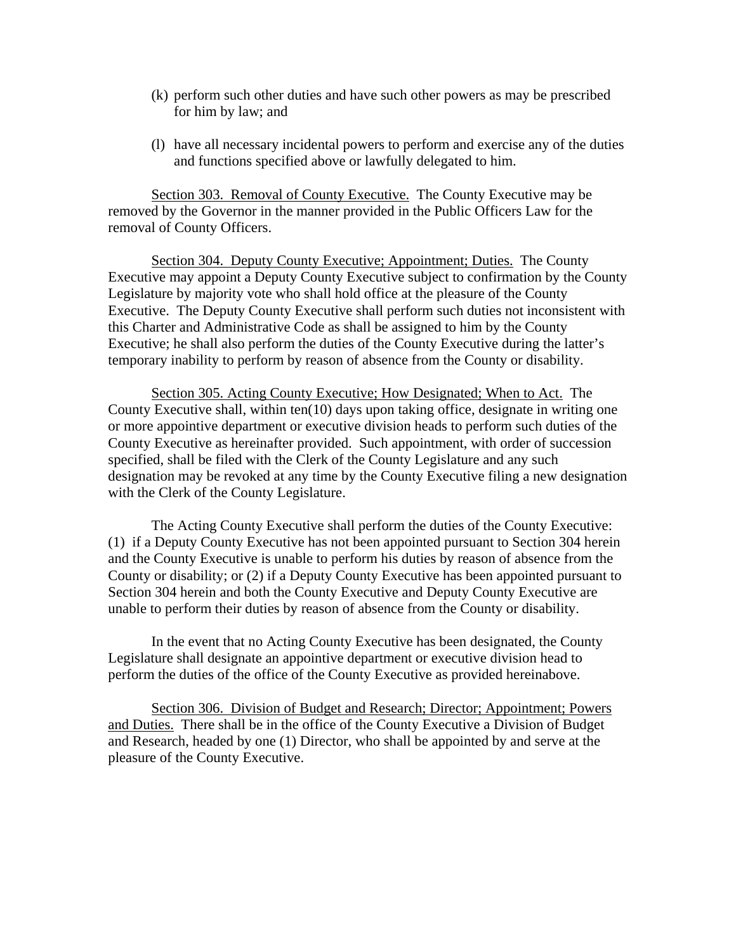- (k) perform such other duties and have such other powers as may be prescribed for him by law; and
- (l) have all necessary incidental powers to perform and exercise any of the duties and functions specified above or lawfully delegated to him.

Section 303. Removal of County Executive. The County Executive may be removed by the Governor in the manner provided in the Public Officers Law for the removal of County Officers.

Section 304. Deputy County Executive; Appointment; Duties. The County Executive may appoint a Deputy County Executive subject to confirmation by the County Legislature by majority vote who shall hold office at the pleasure of the County Executive. The Deputy County Executive shall perform such duties not inconsistent with this Charter and Administrative Code as shall be assigned to him by the County Executive; he shall also perform the duties of the County Executive during the latter's temporary inability to perform by reason of absence from the County or disability.

Section 305. Acting County Executive; How Designated; When to Act. The County Executive shall, within ten(10) days upon taking office, designate in writing one or more appointive department or executive division heads to perform such duties of the County Executive as hereinafter provided. Such appointment, with order of succession specified, shall be filed with the Clerk of the County Legislature and any such designation may be revoked at any time by the County Executive filing a new designation with the Clerk of the County Legislature.

 The Acting County Executive shall perform the duties of the County Executive: (1) if a Deputy County Executive has not been appointed pursuant to Section 304 herein and the County Executive is unable to perform his duties by reason of absence from the County or disability; or (2) if a Deputy County Executive has been appointed pursuant to Section 304 herein and both the County Executive and Deputy County Executive are unable to perform their duties by reason of absence from the County or disability.

 In the event that no Acting County Executive has been designated, the County Legislature shall designate an appointive department or executive division head to perform the duties of the office of the County Executive as provided hereinabove.

Section 306. Division of Budget and Research; Director; Appointment; Powers and Duties. There shall be in the office of the County Executive a Division of Budget and Research, headed by one (1) Director, who shall be appointed by and serve at the pleasure of the County Executive.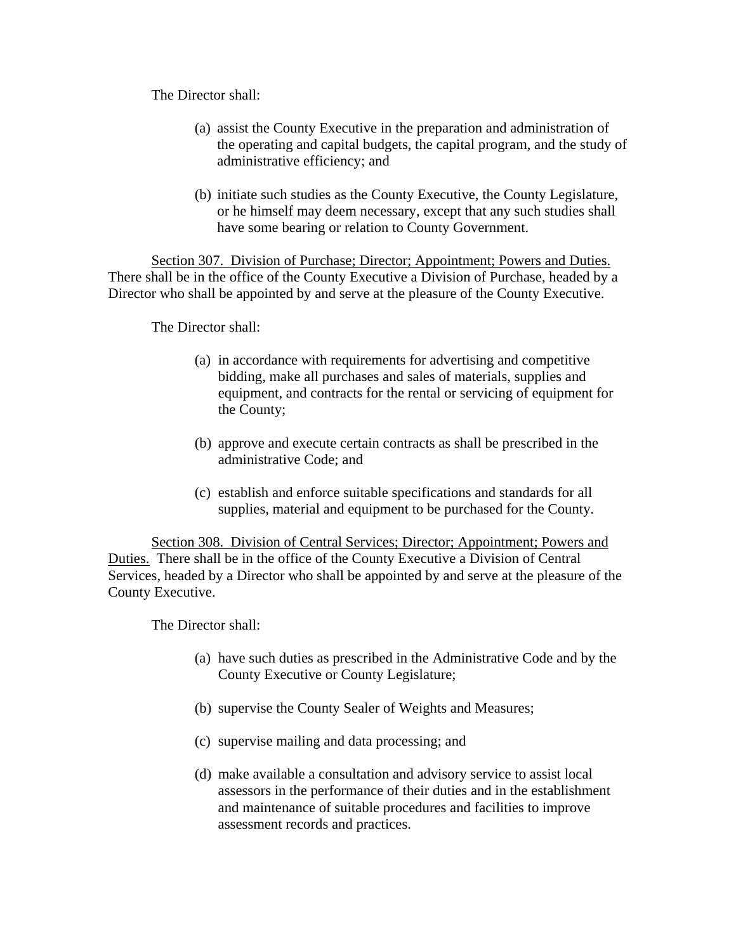The Director shall:

- (a) assist the County Executive in the preparation and administration of the operating and capital budgets, the capital program, and the study of administrative efficiency; and
- (b) initiate such studies as the County Executive, the County Legislature, or he himself may deem necessary, except that any such studies shall have some bearing or relation to County Government.

Section 307. Division of Purchase; Director; Appointment; Powers and Duties. There shall be in the office of the County Executive a Division of Purchase, headed by a Director who shall be appointed by and serve at the pleasure of the County Executive.

The Director shall:

- (a) in accordance with requirements for advertising and competitive bidding, make all purchases and sales of materials, supplies and equipment, and contracts for the rental or servicing of equipment for the County;
- (b) approve and execute certain contracts as shall be prescribed in the administrative Code; and
- (c) establish and enforce suitable specifications and standards for all supplies, material and equipment to be purchased for the County.

Section 308. Division of Central Services; Director; Appointment; Powers and Duties. There shall be in the office of the County Executive a Division of Central Services, headed by a Director who shall be appointed by and serve at the pleasure of the County Executive.

The Director shall:

- (a) have such duties as prescribed in the Administrative Code and by the County Executive or County Legislature;
- (b) supervise the County Sealer of Weights and Measures;
- (c) supervise mailing and data processing; and
- (d) make available a consultation and advisory service to assist local assessors in the performance of their duties and in the establishment and maintenance of suitable procedures and facilities to improve assessment records and practices.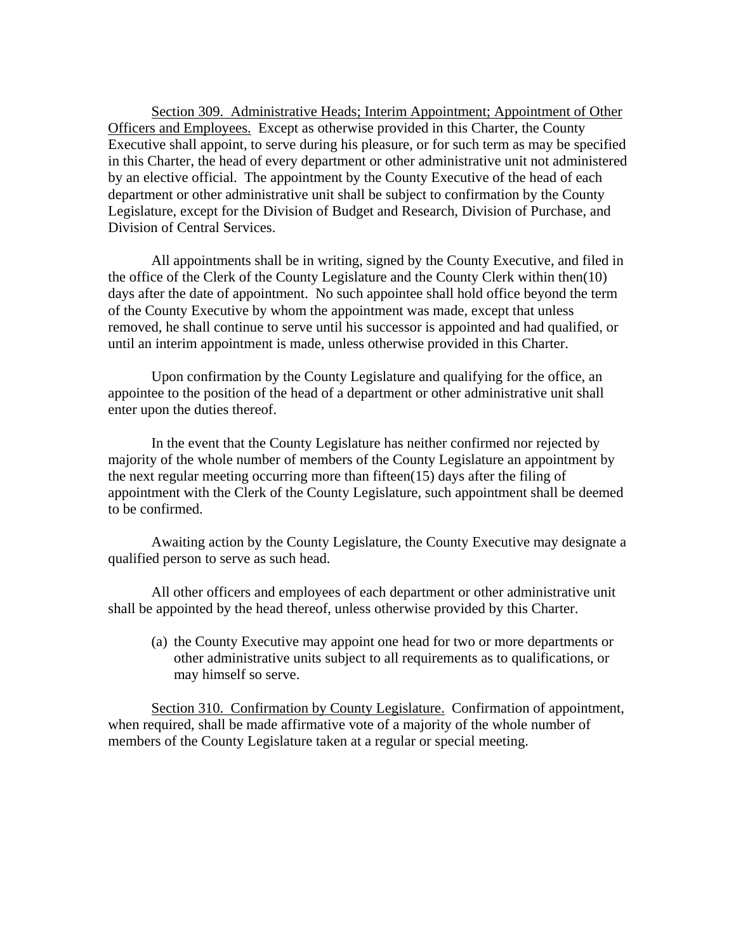Section 309. Administrative Heads; Interim Appointment; Appointment of Other Officers and Employees. Except as otherwise provided in this Charter, the County Executive shall appoint, to serve during his pleasure, or for such term as may be specified in this Charter, the head of every department or other administrative unit not administered by an elective official. The appointment by the County Executive of the head of each department or other administrative unit shall be subject to confirmation by the County Legislature, except for the Division of Budget and Research, Division of Purchase, and Division of Central Services.

All appointments shall be in writing, signed by the County Executive, and filed in the office of the Clerk of the County Legislature and the County Clerk within then(10) days after the date of appointment. No such appointee shall hold office beyond the term of the County Executive by whom the appointment was made, except that unless removed, he shall continue to serve until his successor is appointed and had qualified, or until an interim appointment is made, unless otherwise provided in this Charter.

Upon confirmation by the County Legislature and qualifying for the office, an appointee to the position of the head of a department or other administrative unit shall enter upon the duties thereof.

In the event that the County Legislature has neither confirmed nor rejected by majority of the whole number of members of the County Legislature an appointment by the next regular meeting occurring more than fifteen(15) days after the filing of appointment with the Clerk of the County Legislature, such appointment shall be deemed to be confirmed.

Awaiting action by the County Legislature, the County Executive may designate a qualified person to serve as such head.

All other officers and employees of each department or other administrative unit shall be appointed by the head thereof, unless otherwise provided by this Charter.

(a) the County Executive may appoint one head for two or more departments or other administrative units subject to all requirements as to qualifications, or may himself so serve.

Section 310. Confirmation by County Legislature. Confirmation of appointment, when required, shall be made affirmative vote of a majority of the whole number of members of the County Legislature taken at a regular or special meeting.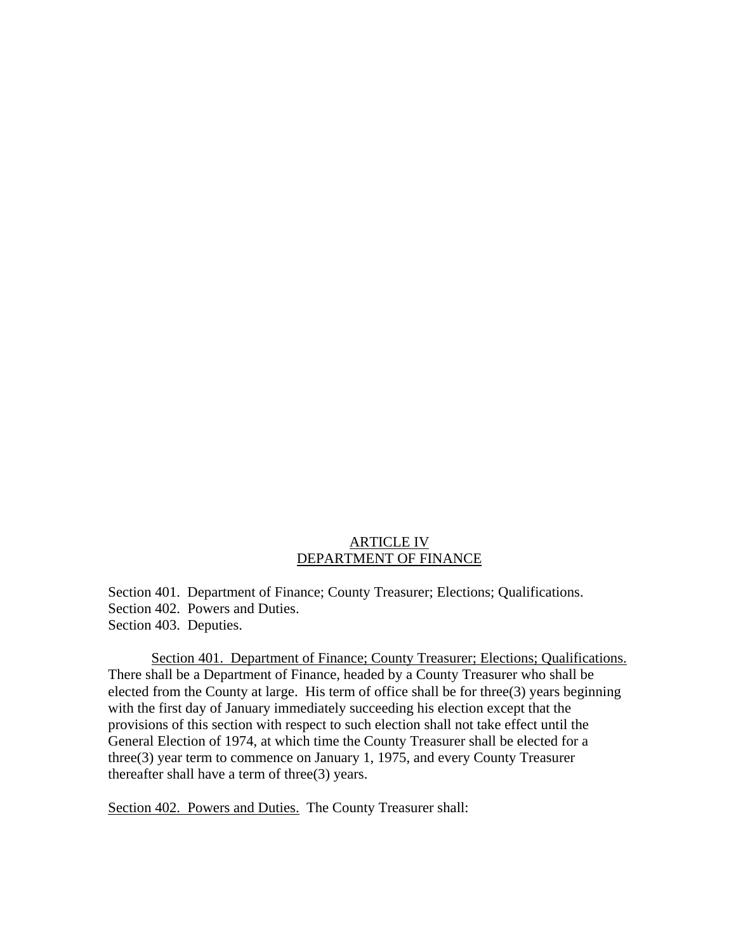# ARTICLE IV DEPARTMENT OF FINANCE

Section 401. Department of Finance; County Treasurer; Elections; Qualifications. Section 402. Powers and Duties. Section 403. Deputies.

Section 401. Department of Finance; County Treasurer; Elections; Qualifications. There shall be a Department of Finance, headed by a County Treasurer who shall be elected from the County at large. His term of office shall be for three(3) years beginning with the first day of January immediately succeeding his election except that the provisions of this section with respect to such election shall not take effect until the General Election of 1974, at which time the County Treasurer shall be elected for a three(3) year term to commence on January 1, 1975, and every County Treasurer thereafter shall have a term of three(3) years.

Section 402. Powers and Duties. The County Treasurer shall: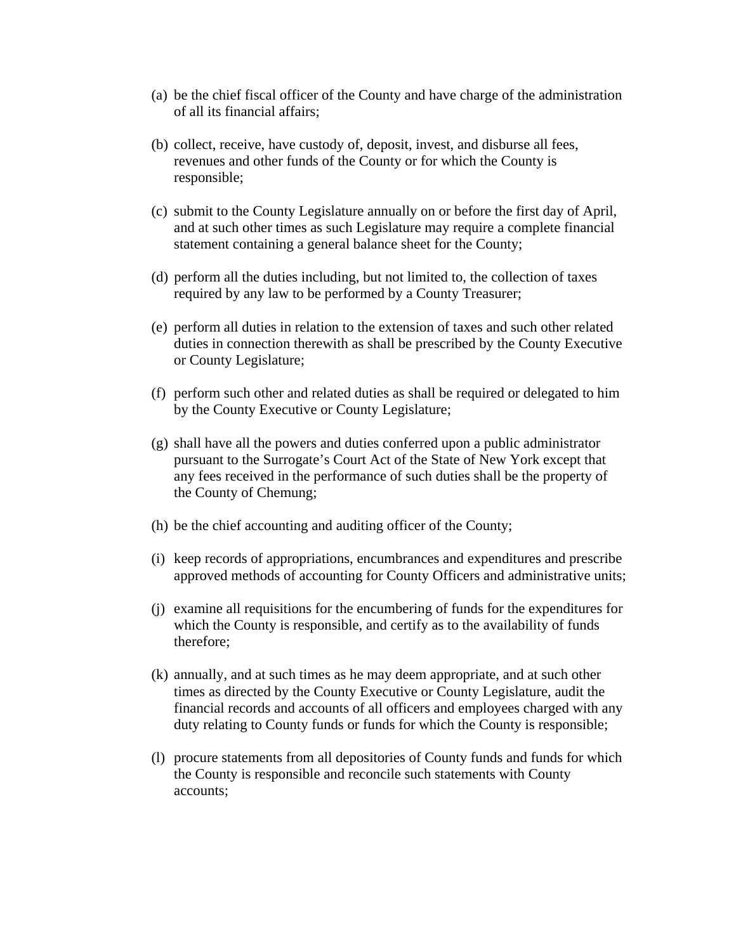- (a) be the chief fiscal officer of the County and have charge of the administration of all its financial affairs;
- (b) collect, receive, have custody of, deposit, invest, and disburse all fees, revenues and other funds of the County or for which the County is responsible;
- (c) submit to the County Legislature annually on or before the first day of April, and at such other times as such Legislature may require a complete financial statement containing a general balance sheet for the County;
- (d) perform all the duties including, but not limited to, the collection of taxes required by any law to be performed by a County Treasurer;
- (e) perform all duties in relation to the extension of taxes and such other related duties in connection therewith as shall be prescribed by the County Executive or County Legislature;
- (f) perform such other and related duties as shall be required or delegated to him by the County Executive or County Legislature;
- (g) shall have all the powers and duties conferred upon a public administrator pursuant to the Surrogate's Court Act of the State of New York except that any fees received in the performance of such duties shall be the property of the County of Chemung;
- (h) be the chief accounting and auditing officer of the County;
- (i) keep records of appropriations, encumbrances and expenditures and prescribe approved methods of accounting for County Officers and administrative units;
- (j) examine all requisitions for the encumbering of funds for the expenditures for which the County is responsible, and certify as to the availability of funds therefore;
- (k) annually, and at such times as he may deem appropriate, and at such other times as directed by the County Executive or County Legislature, audit the financial records and accounts of all officers and employees charged with any duty relating to County funds or funds for which the County is responsible;
- (l) procure statements from all depositories of County funds and funds for which the County is responsible and reconcile such statements with County accounts;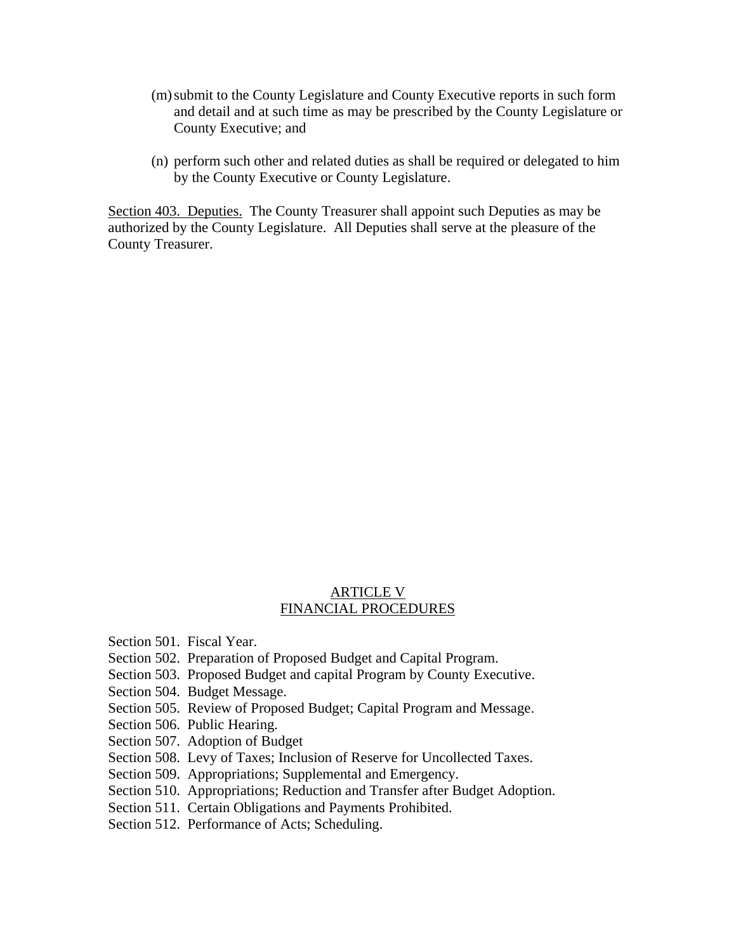- (m) submit to the County Legislature and County Executive reports in such form and detail and at such time as may be prescribed by the County Legislature or County Executive; and
- (n) perform such other and related duties as shall be required or delegated to him by the County Executive or County Legislature.

Section 403. Deputies. The County Treasurer shall appoint such Deputies as may be authorized by the County Legislature. All Deputies shall serve at the pleasure of the County Treasurer.

## ARTICLE V FINANCIAL PROCEDURES

Section 501. Fiscal Year.

- Section 502. Preparation of Proposed Budget and Capital Program.
- Section 503. Proposed Budget and capital Program by County Executive.
- Section 504. Budget Message.
- Section 505. Review of Proposed Budget; Capital Program and Message.
- Section 506. Public Hearing.
- Section 507. Adoption of Budget
- Section 508. Levy of Taxes; Inclusion of Reserve for Uncollected Taxes.
- Section 509. Appropriations; Supplemental and Emergency.
- Section 510. Appropriations; Reduction and Transfer after Budget Adoption.
- Section 511. Certain Obligations and Payments Prohibited.
- Section 512. Performance of Acts; Scheduling.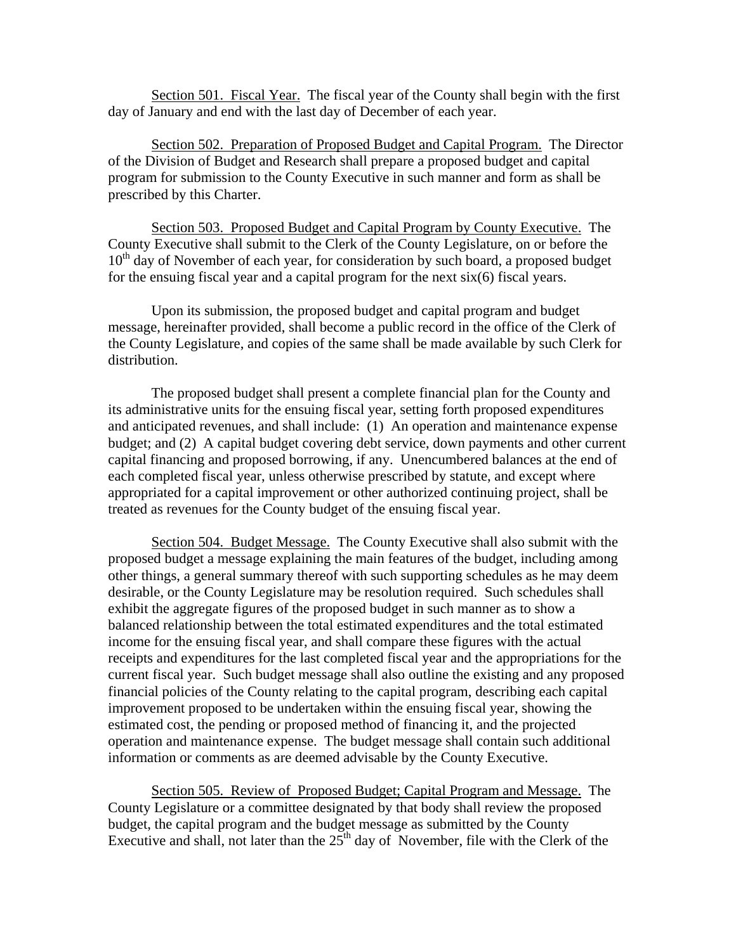Section 501. Fiscal Year. The fiscal year of the County shall begin with the first day of January and end with the last day of December of each year.

Section 502. Preparation of Proposed Budget and Capital Program. The Director of the Division of Budget and Research shall prepare a proposed budget and capital program for submission to the County Executive in such manner and form as shall be prescribed by this Charter.

Section 503. Proposed Budget and Capital Program by County Executive. The County Executive shall submit to the Clerk of the County Legislature, on or before the  $10<sup>th</sup>$  day of November of each year, for consideration by such board, a proposed budget for the ensuing fiscal year and a capital program for the next six(6) fiscal years.

 Upon its submission, the proposed budget and capital program and budget message, hereinafter provided, shall become a public record in the office of the Clerk of the County Legislature, and copies of the same shall be made available by such Clerk for distribution.

 The proposed budget shall present a complete financial plan for the County and its administrative units for the ensuing fiscal year, setting forth proposed expenditures and anticipated revenues, and shall include: (1) An operation and maintenance expense budget; and (2) A capital budget covering debt service, down payments and other current capital financing and proposed borrowing, if any. Unencumbered balances at the end of each completed fiscal year, unless otherwise prescribed by statute, and except where appropriated for a capital improvement or other authorized continuing project, shall be treated as revenues for the County budget of the ensuing fiscal year.

Section 504. Budget Message. The County Executive shall also submit with the proposed budget a message explaining the main features of the budget, including among other things, a general summary thereof with such supporting schedules as he may deem desirable, or the County Legislature may be resolution required. Such schedules shall exhibit the aggregate figures of the proposed budget in such manner as to show a balanced relationship between the total estimated expenditures and the total estimated income for the ensuing fiscal year, and shall compare these figures with the actual receipts and expenditures for the last completed fiscal year and the appropriations for the current fiscal year. Such budget message shall also outline the existing and any proposed financial policies of the County relating to the capital program, describing each capital improvement proposed to be undertaken within the ensuing fiscal year, showing the estimated cost, the pending or proposed method of financing it, and the projected operation and maintenance expense. The budget message shall contain such additional information or comments as are deemed advisable by the County Executive.

Section 505. Review of Proposed Budget; Capital Program and Message. The County Legislature or a committee designated by that body shall review the proposed budget, the capital program and the budget message as submitted by the County Executive and shall, not later than the  $25<sup>th</sup>$  day of November, file with the Clerk of the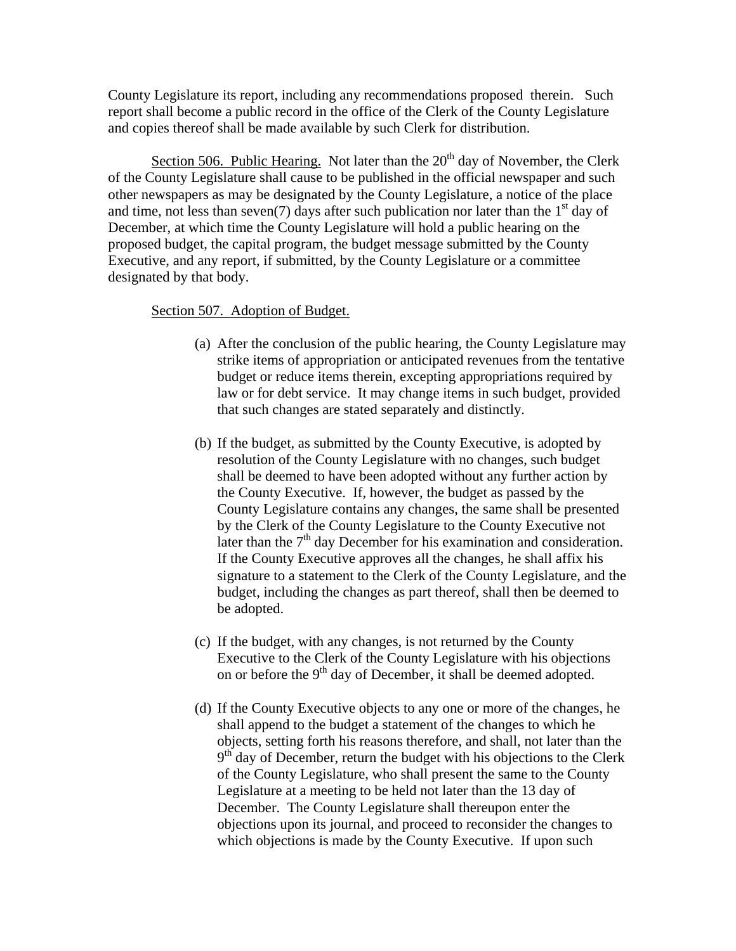County Legislature its report, including any recommendations proposed therein. Such report shall become a public record in the office of the Clerk of the County Legislature and copies thereof shall be made available by such Clerk for distribution.

Section 506. Public Hearing. Not later than the  $20<sup>th</sup>$  day of November, the Clerk of the County Legislature shall cause to be published in the official newspaper and such other newspapers as may be designated by the County Legislature, a notice of the place and time, not less than seven(7) days after such publication nor later than the  $1<sup>st</sup>$  day of December, at which time the County Legislature will hold a public hearing on the proposed budget, the capital program, the budget message submitted by the County Executive, and any report, if submitted, by the County Legislature or a committee designated by that body.

# Section 507. Adoption of Budget.

- (a) After the conclusion of the public hearing, the County Legislature may strike items of appropriation or anticipated revenues from the tentative budget or reduce items therein, excepting appropriations required by law or for debt service. It may change items in such budget, provided that such changes are stated separately and distinctly.
- (b) If the budget, as submitted by the County Executive, is adopted by resolution of the County Legislature with no changes, such budget shall be deemed to have been adopted without any further action by the County Executive. If, however, the budget as passed by the County Legislature contains any changes, the same shall be presented by the Clerk of the County Legislature to the County Executive not later than the  $7<sup>th</sup>$  day December for his examination and consideration. If the County Executive approves all the changes, he shall affix his signature to a statement to the Clerk of the County Legislature, and the budget, including the changes as part thereof, shall then be deemed to be adopted.
- (c) If the budget, with any changes, is not returned by the County Executive to the Clerk of the County Legislature with his objections on or before the 9th day of December, it shall be deemed adopted.
- (d) If the County Executive objects to any one or more of the changes, he shall append to the budget a statement of the changes to which he objects, setting forth his reasons therefore, and shall, not later than the  $9<sup>th</sup>$  day of December, return the budget with his objections to the Clerk of the County Legislature, who shall present the same to the County Legislature at a meeting to be held not later than the 13 day of December. The County Legislature shall thereupon enter the objections upon its journal, and proceed to reconsider the changes to which objections is made by the County Executive. If upon such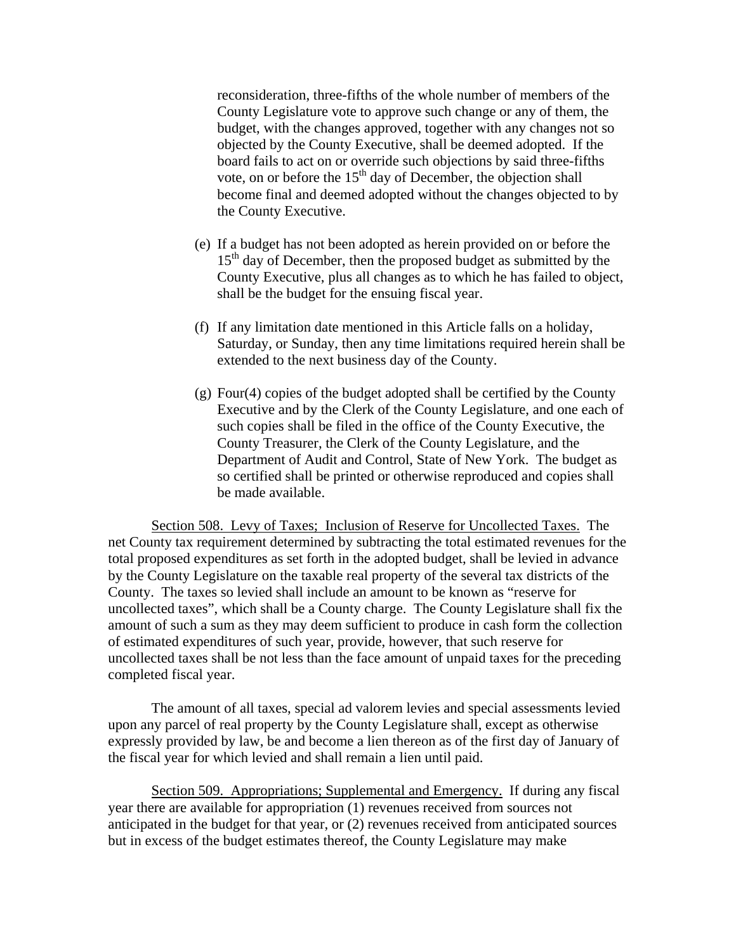reconsideration, three-fifths of the whole number of members of the County Legislature vote to approve such change or any of them, the budget, with the changes approved, together with any changes not so objected by the County Executive, shall be deemed adopted. If the board fails to act on or override such objections by said three-fifths vote, on or before the 15<sup>th</sup> day of December, the objection shall become final and deemed adopted without the changes objected to by the County Executive.

- (e) If a budget has not been adopted as herein provided on or before the 15<sup>th</sup> day of December, then the proposed budget as submitted by the County Executive, plus all changes as to which he has failed to object, shall be the budget for the ensuing fiscal year.
- (f) If any limitation date mentioned in this Article falls on a holiday, Saturday, or Sunday, then any time limitations required herein shall be extended to the next business day of the County.
- (g) Four(4) copies of the budget adopted shall be certified by the County Executive and by the Clerk of the County Legislature, and one each of such copies shall be filed in the office of the County Executive, the County Treasurer, the Clerk of the County Legislature, and the Department of Audit and Control, State of New York. The budget as so certified shall be printed or otherwise reproduced and copies shall be made available.

Section 508. Levy of Taxes; Inclusion of Reserve for Uncollected Taxes. The net County tax requirement determined by subtracting the total estimated revenues for the total proposed expenditures as set forth in the adopted budget, shall be levied in advance by the County Legislature on the taxable real property of the several tax districts of the County. The taxes so levied shall include an amount to be known as "reserve for uncollected taxes", which shall be a County charge. The County Legislature shall fix the amount of such a sum as they may deem sufficient to produce in cash form the collection of estimated expenditures of such year, provide, however, that such reserve for uncollected taxes shall be not less than the face amount of unpaid taxes for the preceding completed fiscal year.

The amount of all taxes, special ad valorem levies and special assessments levied upon any parcel of real property by the County Legislature shall, except as otherwise expressly provided by law, be and become a lien thereon as of the first day of January of the fiscal year for which levied and shall remain a lien until paid.

Section 509. Appropriations; Supplemental and Emergency. If during any fiscal year there are available for appropriation (1) revenues received from sources not anticipated in the budget for that year, or (2) revenues received from anticipated sources but in excess of the budget estimates thereof, the County Legislature may make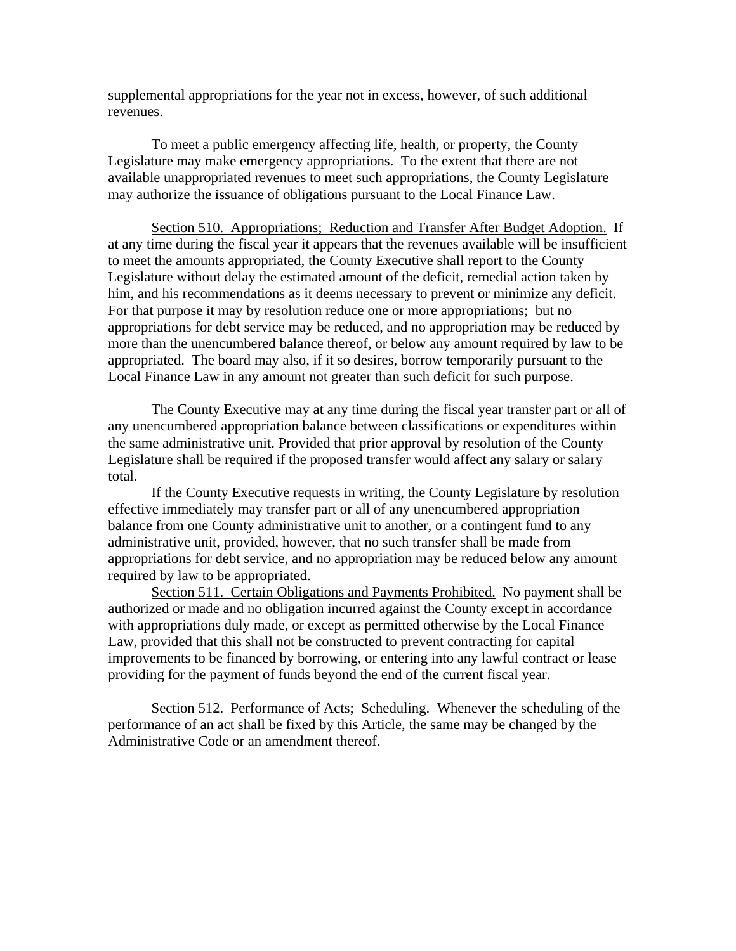supplemental appropriations for the year not in excess, however, of such additional revenues.

To meet a public emergency affecting life, health, or property, the County Legislature may make emergency appropriations. To the extent that there are not available unappropriated revenues to meet such appropriations, the County Legislature may authorize the issuance of obligations pursuant to the Local Finance Law.

Section 510. Appropriations; Reduction and Transfer After Budget Adoption. If at any time during the fiscal year it appears that the revenues available will be insufficient to meet the amounts appropriated, the County Executive shall report to the County Legislature without delay the estimated amount of the deficit, remedial action taken by him, and his recommendations as it deems necessary to prevent or minimize any deficit. For that purpose it may by resolution reduce one or more appropriations; but no appropriations for debt service may be reduced, and no appropriation may be reduced by more than the unencumbered balance thereof, or below any amount required by law to be appropriated. The board may also, if it so desires, borrow temporarily pursuant to the Local Finance Law in any amount not greater than such deficit for such purpose.

The County Executive may at any time during the fiscal year transfer part or all of any unencumbered appropriation balance between classifications or expenditures within the same administrative unit. Provided that prior approval by resolution of the County Legislature shall be required if the proposed transfer would affect any salary or salary total.

If the County Executive requests in writing, the County Legislature by resolution effective immediately may transfer part or all of any unencumbered appropriation balance from one County administrative unit to another, or a contingent fund to any administrative unit, provided, however, that no such transfer shall be made from appropriations for debt service, and no appropriation may be reduced below any amount required by law to be appropriated.

Section 511. Certain Obligations and Payments Prohibited. No payment shall be authorized or made and no obligation incurred against the County except in accordance with appropriations duly made, or except as permitted otherwise by the Local Finance Law, provided that this shall not be constructed to prevent contracting for capital improvements to be financed by borrowing, or entering into any lawful contract or lease providing for the payment of funds beyond the end of the current fiscal year.

Section 512. Performance of Acts; Scheduling. Whenever the scheduling of the performance of an act shall be fixed by this Article, the same may be changed by the Administrative Code or an amendment thereof.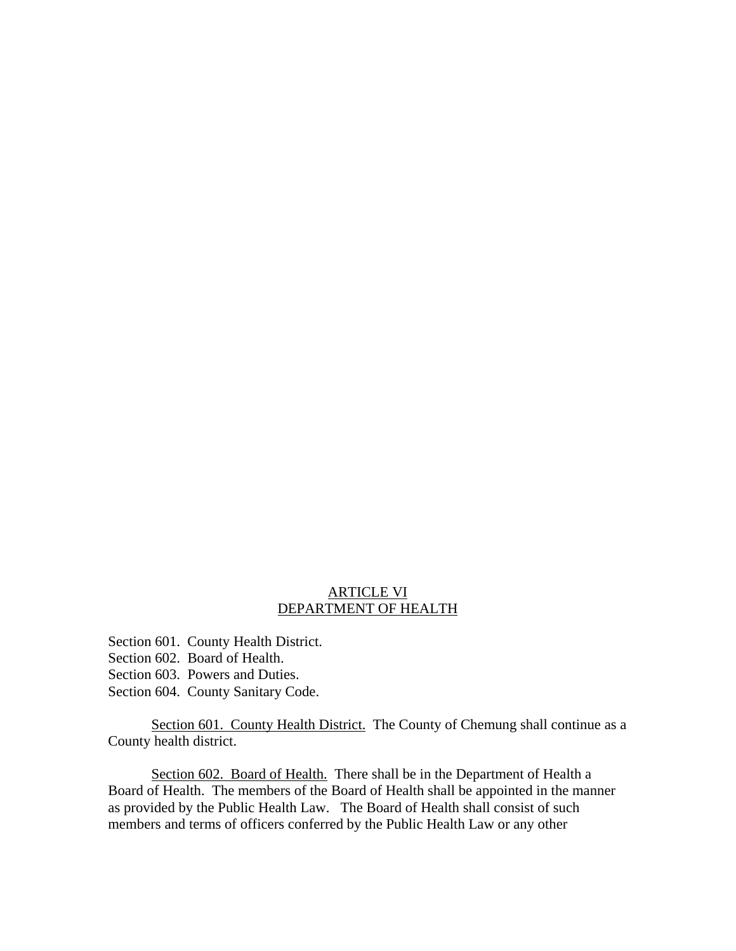#### ARTICLE VI DEPARTMENT OF HEALTH

- Section 601. County Health District.
- Section 602. Board of Health.
- Section 603. Powers and Duties.
- Section 604. County Sanitary Code.

Section 601. County Health District. The County of Chemung shall continue as a County health district.

Section 602. Board of Health. There shall be in the Department of Health a Board of Health. The members of the Board of Health shall be appointed in the manner as provided by the Public Health Law. The Board of Health shall consist of such members and terms of officers conferred by the Public Health Law or any other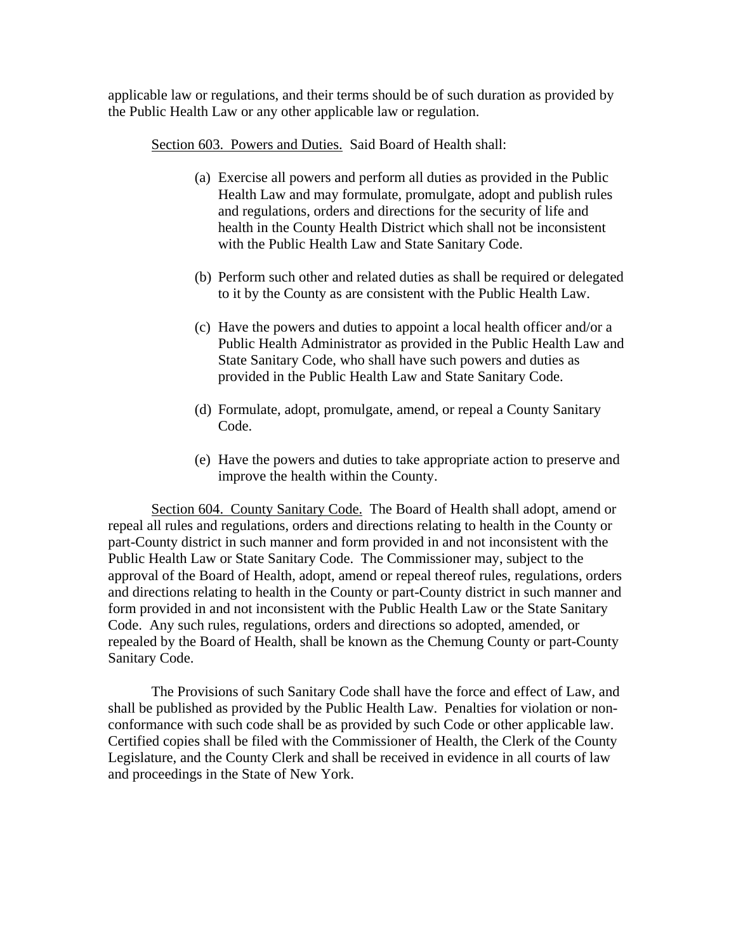applicable law or regulations, and their terms should be of such duration as provided by the Public Health Law or any other applicable law or regulation.

Section 603. Powers and Duties. Said Board of Health shall:

- (a) Exercise all powers and perform all duties as provided in the Public Health Law and may formulate, promulgate, adopt and publish rules and regulations, orders and directions for the security of life and health in the County Health District which shall not be inconsistent with the Public Health Law and State Sanitary Code.
- (b) Perform such other and related duties as shall be required or delegated to it by the County as are consistent with the Public Health Law.
- (c) Have the powers and duties to appoint a local health officer and/or a Public Health Administrator as provided in the Public Health Law and State Sanitary Code, who shall have such powers and duties as provided in the Public Health Law and State Sanitary Code.
- (d) Formulate, adopt, promulgate, amend, or repeal a County Sanitary Code.
- (e) Have the powers and duties to take appropriate action to preserve and improve the health within the County.

Section 604. County Sanitary Code. The Board of Health shall adopt, amend or repeal all rules and regulations, orders and directions relating to health in the County or part-County district in such manner and form provided in and not inconsistent with the Public Health Law or State Sanitary Code. The Commissioner may, subject to the approval of the Board of Health, adopt, amend or repeal thereof rules, regulations, orders and directions relating to health in the County or part-County district in such manner and form provided in and not inconsistent with the Public Health Law or the State Sanitary Code. Any such rules, regulations, orders and directions so adopted, amended, or repealed by the Board of Health, shall be known as the Chemung County or part-County Sanitary Code.

The Provisions of such Sanitary Code shall have the force and effect of Law, and shall be published as provided by the Public Health Law. Penalties for violation or nonconformance with such code shall be as provided by such Code or other applicable law. Certified copies shall be filed with the Commissioner of Health, the Clerk of the County Legislature, and the County Clerk and shall be received in evidence in all courts of law and proceedings in the State of New York.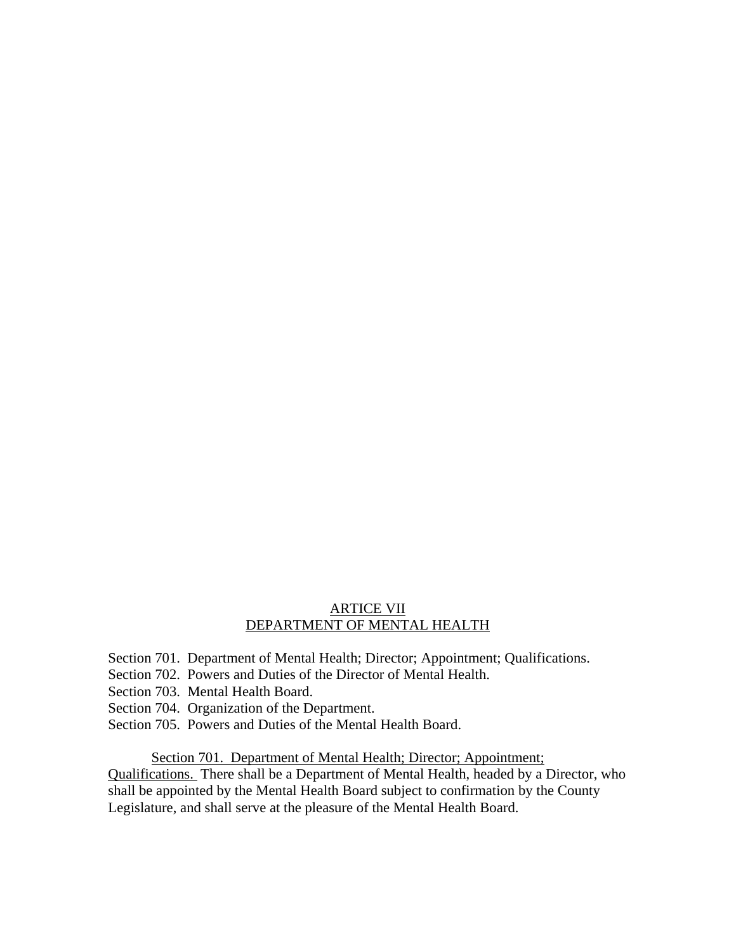## ARTICE VII DEPARTMENT OF MENTAL HEALTH

- Section 701. Department of Mental Health; Director; Appointment; Qualifications.
- Section 702. Powers and Duties of the Director of Mental Health.
- Section 703. Mental Health Board.
- Section 704. Organization of the Department.
- Section 705. Powers and Duties of the Mental Health Board.

Section 701. Department of Mental Health; Director; Appointment;

Qualifications. There shall be a Department of Mental Health, headed by a Director, who shall be appointed by the Mental Health Board subject to confirmation by the County Legislature, and shall serve at the pleasure of the Mental Health Board.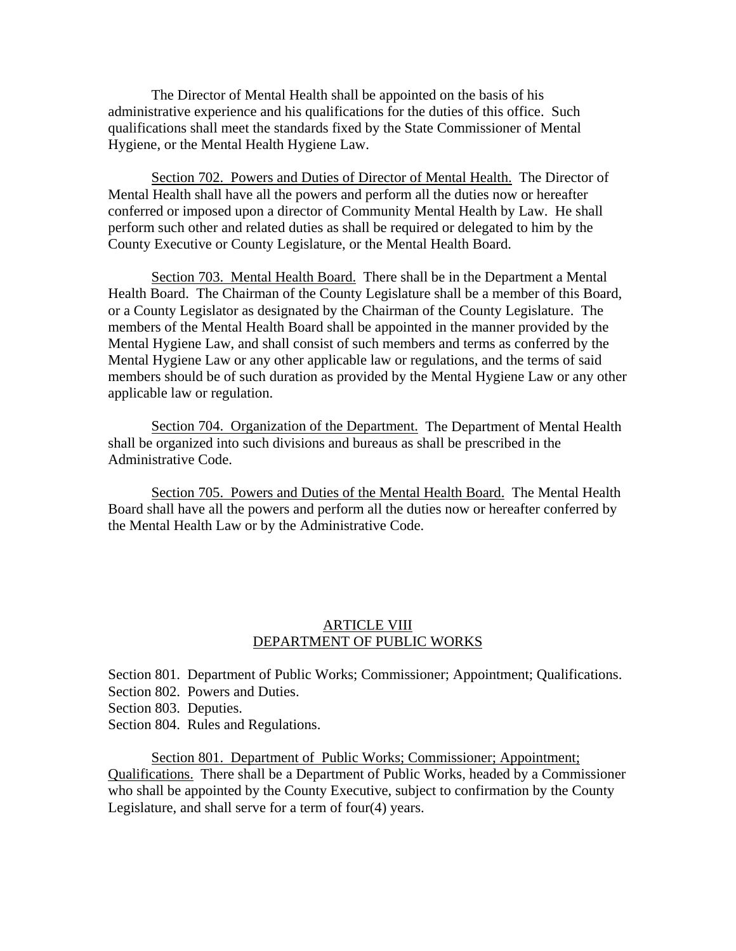The Director of Mental Health shall be appointed on the basis of his administrative experience and his qualifications for the duties of this office. Such qualifications shall meet the standards fixed by the State Commissioner of Mental Hygiene, or the Mental Health Hygiene Law.

Section 702. Powers and Duties of Director of Mental Health. The Director of Mental Health shall have all the powers and perform all the duties now or hereafter conferred or imposed upon a director of Community Mental Health by Law. He shall perform such other and related duties as shall be required or delegated to him by the County Executive or County Legislature, or the Mental Health Board.

 Section 703. Mental Health Board. There shall be in the Department a Mental Health Board. The Chairman of the County Legislature shall be a member of this Board, or a County Legislator as designated by the Chairman of the County Legislature. The members of the Mental Health Board shall be appointed in the manner provided by the Mental Hygiene Law, and shall consist of such members and terms as conferred by the Mental Hygiene Law or any other applicable law or regulations, and the terms of said members should be of such duration as provided by the Mental Hygiene Law or any other applicable law or regulation.

 Section 704. Organization of the Department. The Department of Mental Health shall be organized into such divisions and bureaus as shall be prescribed in the Administrative Code.

 Section 705. Powers and Duties of the Mental Health Board. The Mental Health Board shall have all the powers and perform all the duties now or hereafter conferred by the Mental Health Law or by the Administrative Code.

#### ARTICLE VIII DEPARTMENT OF PUBLIC WORKS

Section 801. Department of Public Works; Commissioner; Appointment; Qualifications. Section 802. Powers and Duties.

Section 803. Deputies.

Section 804. Rules and Regulations.

 Section 801. Department of Public Works; Commissioner; Appointment; Qualifications. There shall be a Department of Public Works, headed by a Commissioner who shall be appointed by the County Executive, subject to confirmation by the County Legislature, and shall serve for a term of four(4) years.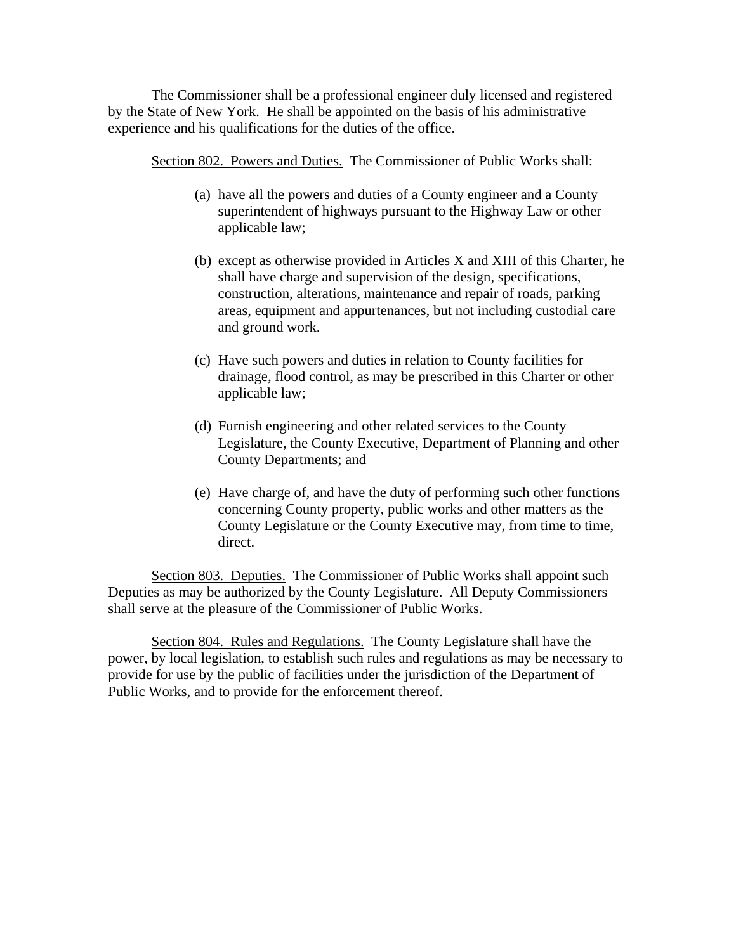The Commissioner shall be a professional engineer duly licensed and registered by the State of New York. He shall be appointed on the basis of his administrative experience and his qualifications for the duties of the office.

Section 802. Powers and Duties. The Commissioner of Public Works shall:

- (a) have all the powers and duties of a County engineer and a County superintendent of highways pursuant to the Highway Law or other applicable law;
- (b) except as otherwise provided in Articles X and XIII of this Charter, he shall have charge and supervision of the design, specifications, construction, alterations, maintenance and repair of roads, parking areas, equipment and appurtenances, but not including custodial care and ground work.
- (c) Have such powers and duties in relation to County facilities for drainage, flood control, as may be prescribed in this Charter or other applicable law;
- (d) Furnish engineering and other related services to the County Legislature, the County Executive, Department of Planning and other County Departments; and
- (e) Have charge of, and have the duty of performing such other functions concerning County property, public works and other matters as the County Legislature or the County Executive may, from time to time, direct.

Section 803. Deputies. The Commissioner of Public Works shall appoint such Deputies as may be authorized by the County Legislature. All Deputy Commissioners shall serve at the pleasure of the Commissioner of Public Works.

Section 804. Rules and Regulations. The County Legislature shall have the power, by local legislation, to establish such rules and regulations as may be necessary to provide for use by the public of facilities under the jurisdiction of the Department of Public Works, and to provide for the enforcement thereof.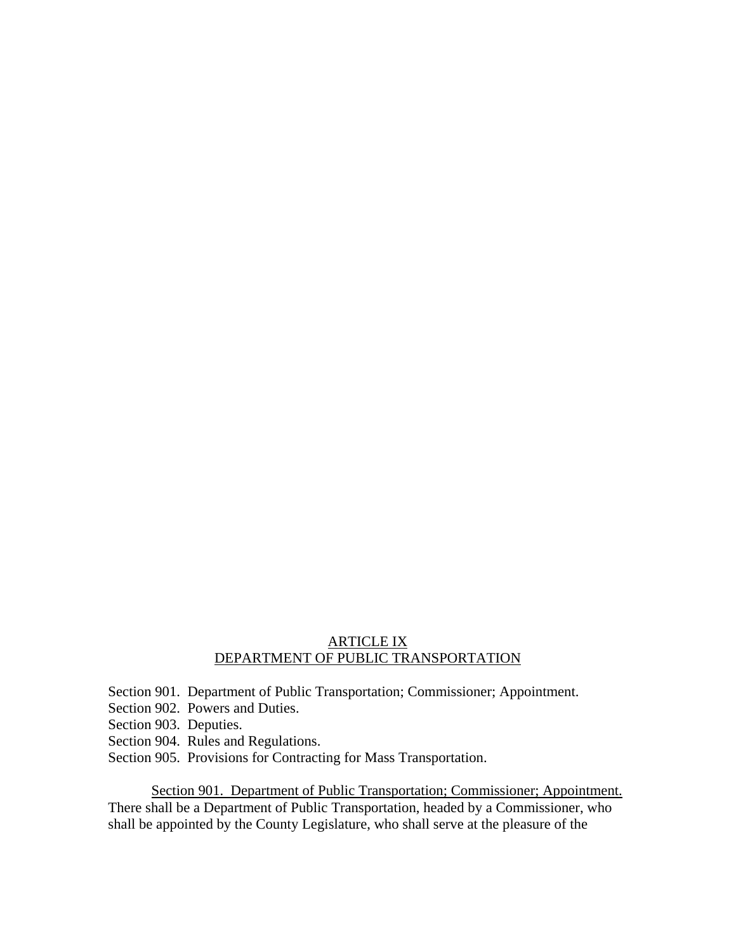## ARTICLE IX DEPARTMENT OF PUBLIC TRANSPORTATION

Section 901. Department of Public Transportation; Commissioner; Appointment.

Section 902. Powers and Duties.

- Section 903. Deputies.
- Section 904. Rules and Regulations.
- Section 905. Provisions for Contracting for Mass Transportation.

 Section 901. Department of Public Transportation; Commissioner; Appointment. There shall be a Department of Public Transportation, headed by a Commissioner, who shall be appointed by the County Legislature, who shall serve at the pleasure of the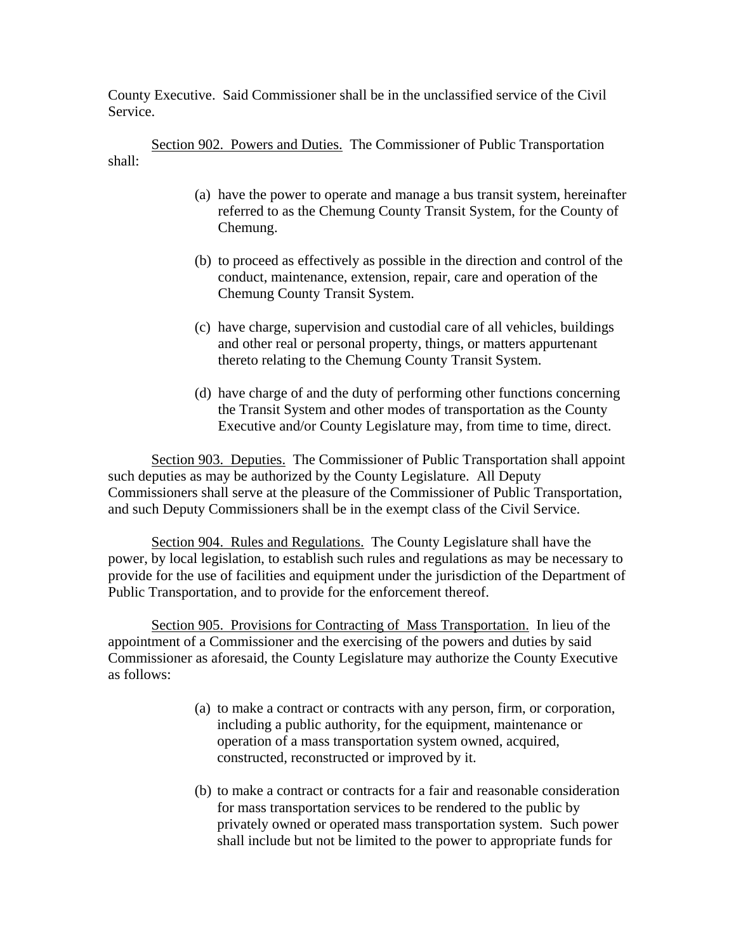County Executive. Said Commissioner shall be in the unclassified service of the Civil Service.

Section 902. Powers and Duties. The Commissioner of Public Transportation shall:

- (a) have the power to operate and manage a bus transit system, hereinafter referred to as the Chemung County Transit System, for the County of Chemung.
- (b) to proceed as effectively as possible in the direction and control of the conduct, maintenance, extension, repair, care and operation of the Chemung County Transit System.
- (c) have charge, supervision and custodial care of all vehicles, buildings and other real or personal property, things, or matters appurtenant thereto relating to the Chemung County Transit System.
- (d) have charge of and the duty of performing other functions concerning the Transit System and other modes of transportation as the County Executive and/or County Legislature may, from time to time, direct.

Section 903. Deputies. The Commissioner of Public Transportation shall appoint such deputies as may be authorized by the County Legislature. All Deputy Commissioners shall serve at the pleasure of the Commissioner of Public Transportation, and such Deputy Commissioners shall be in the exempt class of the Civil Service.

Section 904. Rules and Regulations. The County Legislature shall have the power, by local legislation, to establish such rules and regulations as may be necessary to provide for the use of facilities and equipment under the jurisdiction of the Department of Public Transportation, and to provide for the enforcement thereof.

Section 905. Provisions for Contracting of Mass Transportation. In lieu of the appointment of a Commissioner and the exercising of the powers and duties by said Commissioner as aforesaid, the County Legislature may authorize the County Executive as follows:

- (a) to make a contract or contracts with any person, firm, or corporation, including a public authority, for the equipment, maintenance or operation of a mass transportation system owned, acquired, constructed, reconstructed or improved by it.
- (b) to make a contract or contracts for a fair and reasonable consideration for mass transportation services to be rendered to the public by privately owned or operated mass transportation system. Such power shall include but not be limited to the power to appropriate funds for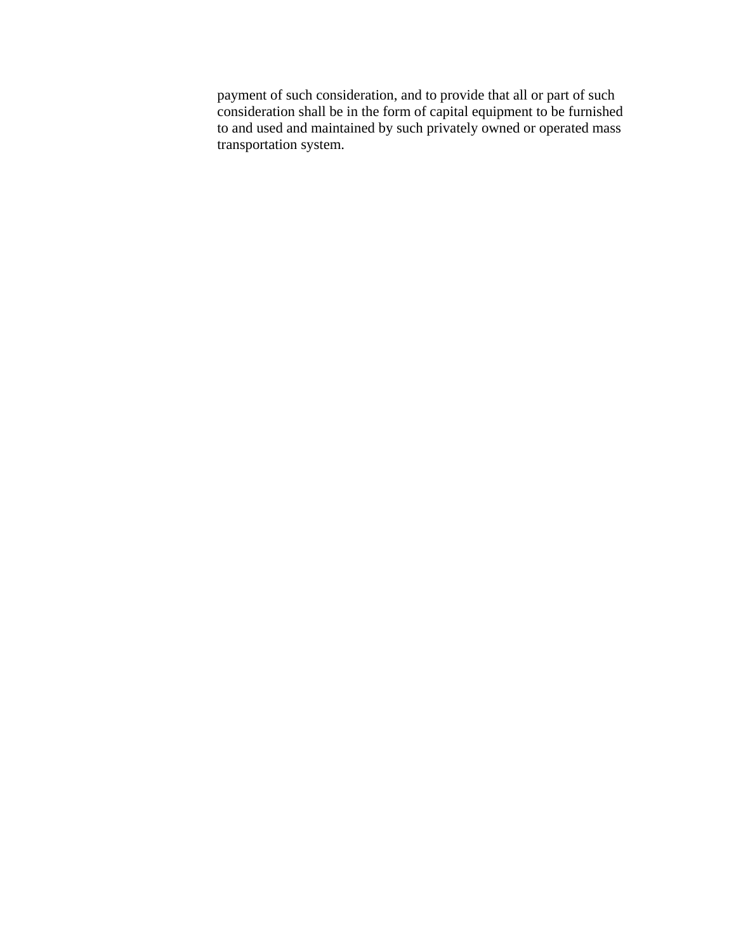payment of such consideration, and to provide that all or part of such consideration shall be in the form of capital equipment to be furnished to and used and maintained by such privately owned or operated mass transportation system.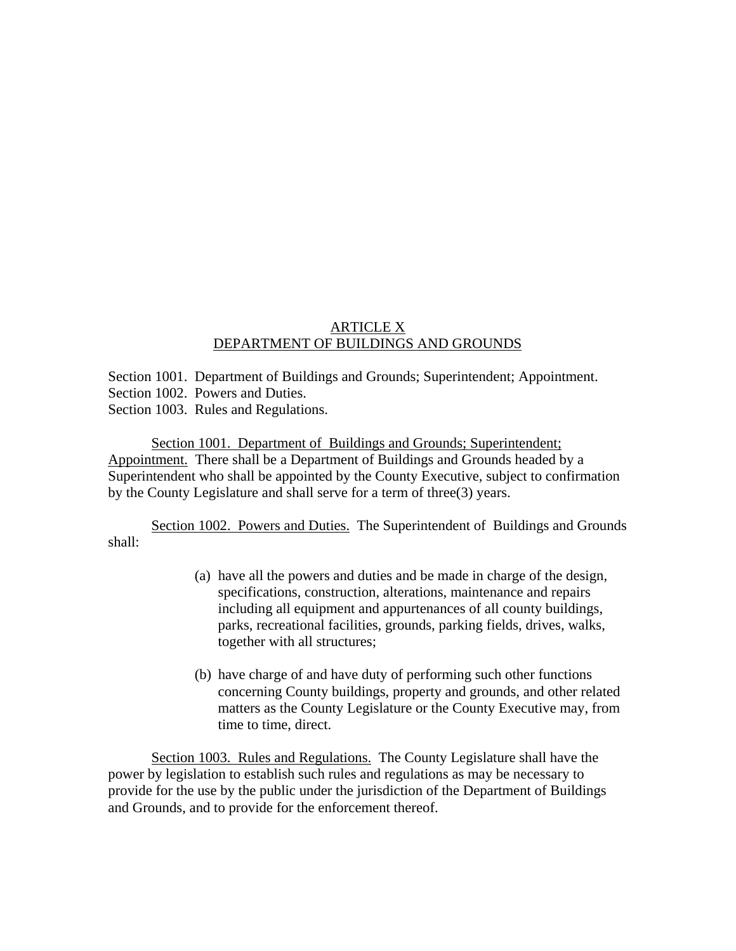# ARTICLE X DEPARTMENT OF BUILDINGS AND GROUNDS

Section 1001. Department of Buildings and Grounds; Superintendent; Appointment. Section 1002. Powers and Duties. Section 1003. Rules and Regulations.

 Section 1001. Department of Buildings and Grounds; Superintendent; Appointment. There shall be a Department of Buildings and Grounds headed by a Superintendent who shall be appointed by the County Executive, subject to confirmation by the County Legislature and shall serve for a term of three(3) years.

Section 1002. Powers and Duties. The Superintendent of Buildings and Grounds shall:

- (a) have all the powers and duties and be made in charge of the design, specifications, construction, alterations, maintenance and repairs including all equipment and appurtenances of all county buildings, parks, recreational facilities, grounds, parking fields, drives, walks, together with all structures;
- (b) have charge of and have duty of performing such other functions concerning County buildings, property and grounds, and other related matters as the County Legislature or the County Executive may, from time to time, direct.

Section 1003. Rules and Regulations. The County Legislature shall have the power by legislation to establish such rules and regulations as may be necessary to provide for the use by the public under the jurisdiction of the Department of Buildings and Grounds, and to provide for the enforcement thereof.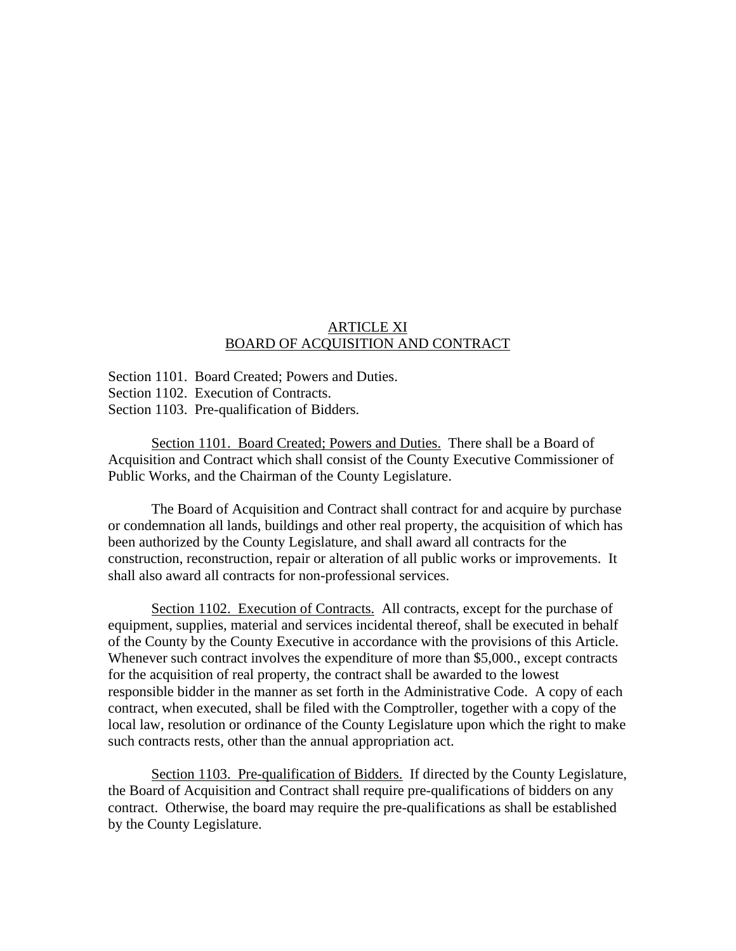## ARTICLE XI BOARD OF ACQUISITION AND CONTRACT

Section 1101. Board Created; Powers and Duties. Section 1102. Execution of Contracts. Section 1103. Pre-qualification of Bidders.

 Section 1101. Board Created; Powers and Duties. There shall be a Board of Acquisition and Contract which shall consist of the County Executive Commissioner of Public Works, and the Chairman of the County Legislature.

 The Board of Acquisition and Contract shall contract for and acquire by purchase or condemnation all lands, buildings and other real property, the acquisition of which has been authorized by the County Legislature, and shall award all contracts for the construction, reconstruction, repair or alteration of all public works or improvements. It shall also award all contracts for non-professional services.

Section 1102. Execution of Contracts. All contracts, except for the purchase of equipment, supplies, material and services incidental thereof, shall be executed in behalf of the County by the County Executive in accordance with the provisions of this Article. Whenever such contract involves the expenditure of more than \$5,000., except contracts for the acquisition of real property, the contract shall be awarded to the lowest responsible bidder in the manner as set forth in the Administrative Code. A copy of each contract, when executed, shall be filed with the Comptroller, together with a copy of the local law, resolution or ordinance of the County Legislature upon which the right to make such contracts rests, other than the annual appropriation act.

 Section 1103. Pre-qualification of Bidders. If directed by the County Legislature, the Board of Acquisition and Contract shall require pre-qualifications of bidders on any contract. Otherwise, the board may require the pre-qualifications as shall be established by the County Legislature.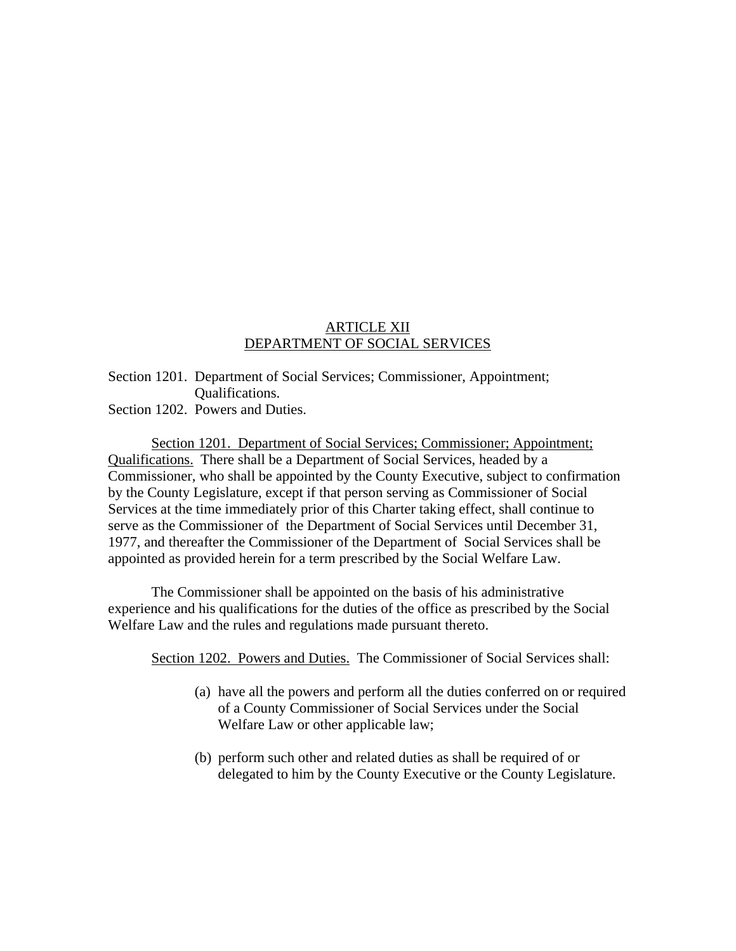## ARTICLE XII DEPARTMENT OF SOCIAL SERVICES

# Section 1201. Department of Social Services; Commissioner, Appointment; Qualifications.

Section 1202. Powers and Duties.

 Section 1201. Department of Social Services; Commissioner; Appointment; Qualifications. There shall be a Department of Social Services, headed by a Commissioner, who shall be appointed by the County Executive, subject to confirmation by the County Legislature, except if that person serving as Commissioner of Social Services at the time immediately prior of this Charter taking effect, shall continue to serve as the Commissioner of the Department of Social Services until December 31, 1977, and thereafter the Commissioner of the Department of Social Services shall be appointed as provided herein for a term prescribed by the Social Welfare Law.

 The Commissioner shall be appointed on the basis of his administrative experience and his qualifications for the duties of the office as prescribed by the Social Welfare Law and the rules and regulations made pursuant thereto.

Section 1202. Powers and Duties. The Commissioner of Social Services shall:

- (a) have all the powers and perform all the duties conferred on or required of a County Commissioner of Social Services under the Social Welfare Law or other applicable law;
- (b) perform such other and related duties as shall be required of or delegated to him by the County Executive or the County Legislature.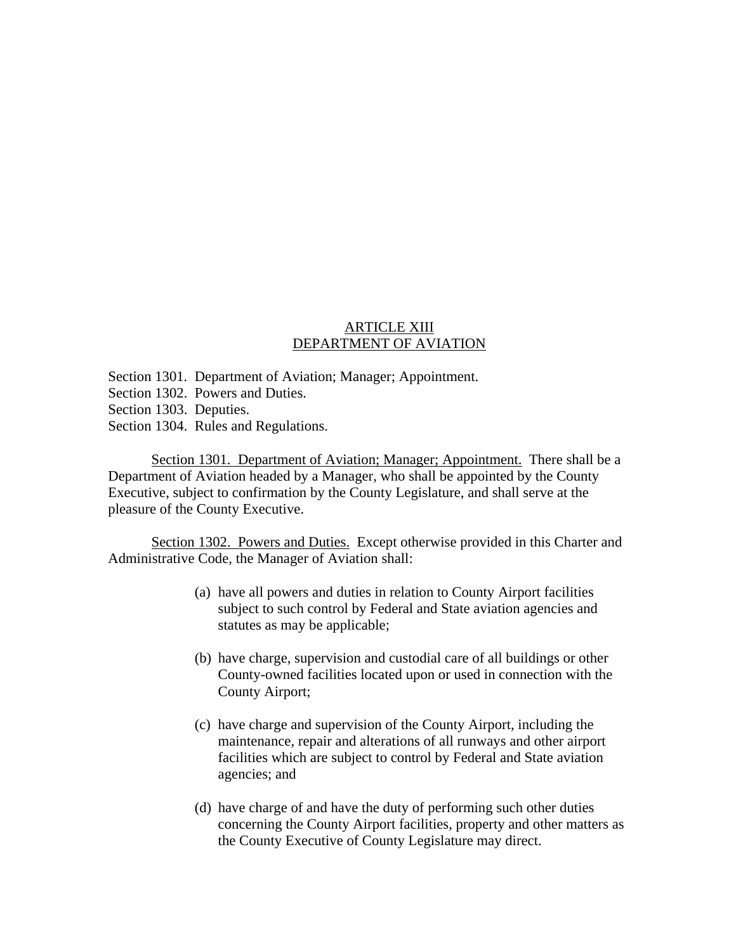## ARTICLE XIII DEPARTMENT OF AVIATION

- Section 1301. Department of Aviation; Manager; Appointment.
- Section 1302. Powers and Duties.
- Section 1303. Deputies.
- Section 1304. Rules and Regulations.

 Section 1301. Department of Aviation; Manager; Appointment. There shall be a Department of Aviation headed by a Manager, who shall be appointed by the County Executive, subject to confirmation by the County Legislature, and shall serve at the pleasure of the County Executive.

 Section 1302. Powers and Duties. Except otherwise provided in this Charter and Administrative Code, the Manager of Aviation shall:

- (a) have all powers and duties in relation to County Airport facilities subject to such control by Federal and State aviation agencies and statutes as may be applicable;
- (b) have charge, supervision and custodial care of all buildings or other County-owned facilities located upon or used in connection with the County Airport;
- (c) have charge and supervision of the County Airport, including the maintenance, repair and alterations of all runways and other airport facilities which are subject to control by Federal and State aviation agencies; and
- (d) have charge of and have the duty of performing such other duties concerning the County Airport facilities, property and other matters as the County Executive of County Legislature may direct.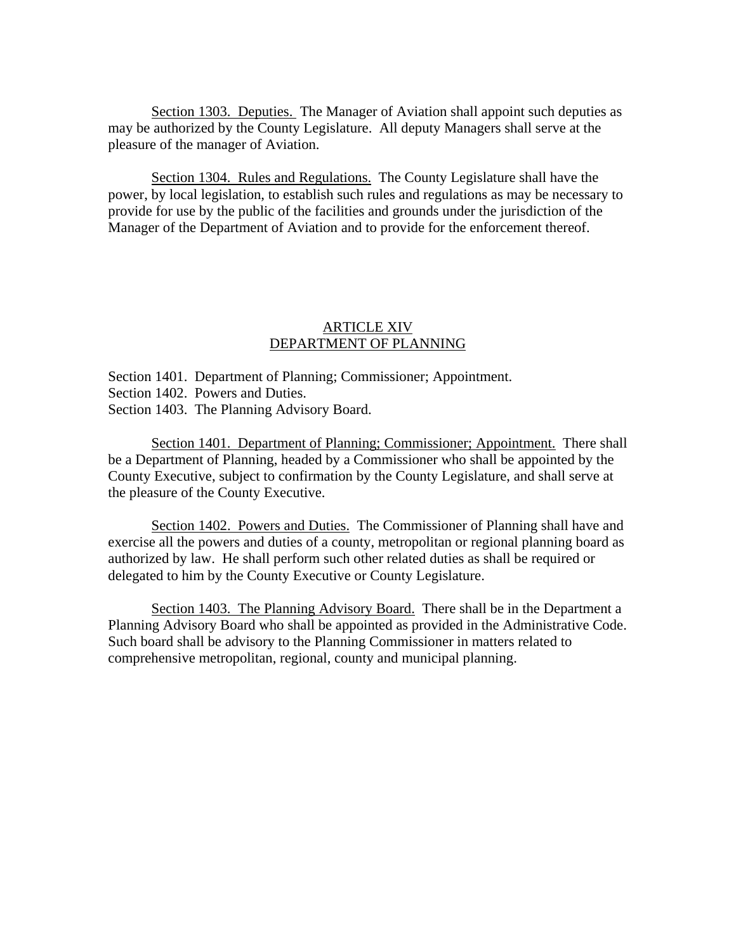Section 1303. Deputies. The Manager of Aviation shall appoint such deputies as may be authorized by the County Legislature. All deputy Managers shall serve at the pleasure of the manager of Aviation.

Section 1304. Rules and Regulations. The County Legislature shall have the power, by local legislation, to establish such rules and regulations as may be necessary to provide for use by the public of the facilities and grounds under the jurisdiction of the Manager of the Department of Aviation and to provide for the enforcement thereof.

## ARTICLE XIV DEPARTMENT OF PLANNING

Section 1401. Department of Planning; Commissioner; Appointment. Section 1402. Powers and Duties. Section 1403. The Planning Advisory Board.

 Section 1401. Department of Planning; Commissioner; Appointment. There shall be a Department of Planning, headed by a Commissioner who shall be appointed by the County Executive, subject to confirmation by the County Legislature, and shall serve at the pleasure of the County Executive.

Section 1402. Powers and Duties. The Commissioner of Planning shall have and exercise all the powers and duties of a county, metropolitan or regional planning board as authorized by law. He shall perform such other related duties as shall be required or delegated to him by the County Executive or County Legislature.

Section 1403. The Planning Advisory Board. There shall be in the Department a Planning Advisory Board who shall be appointed as provided in the Administrative Code. Such board shall be advisory to the Planning Commissioner in matters related to comprehensive metropolitan, regional, county and municipal planning.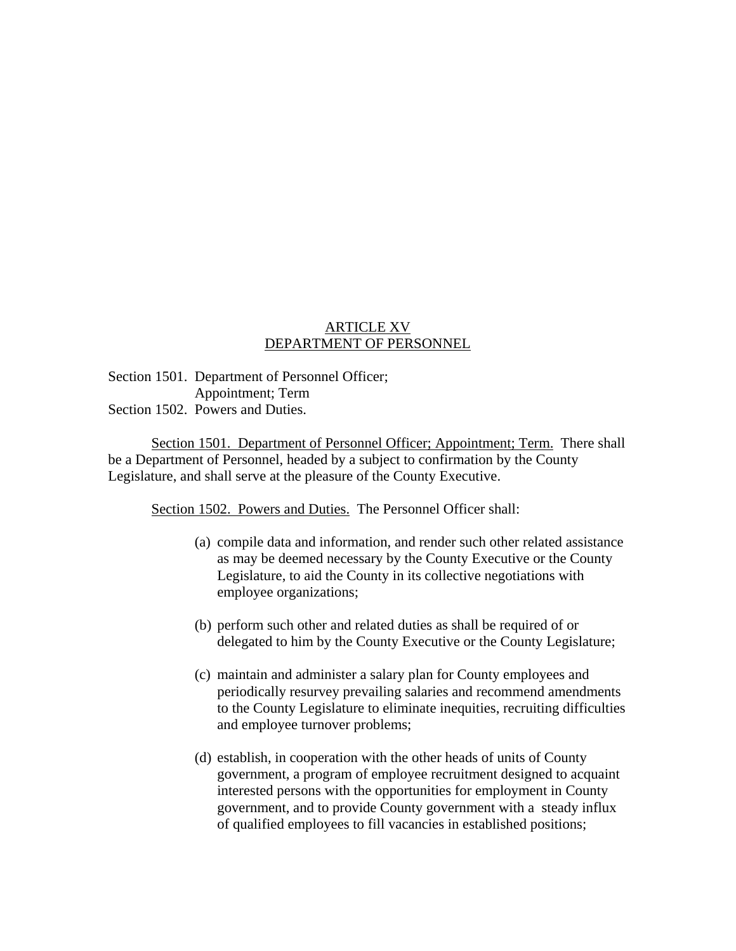## ARTICLE XV DEPARTMENT OF PERSONNEL

Section 1501. Department of Personnel Officer; Appointment; Term Section 1502. Powers and Duties.

 Section 1501. Department of Personnel Officer; Appointment; Term. There shall be a Department of Personnel, headed by a subject to confirmation by the County Legislature, and shall serve at the pleasure of the County Executive.

Section 1502. Powers and Duties. The Personnel Officer shall:

- (a) compile data and information, and render such other related assistance as may be deemed necessary by the County Executive or the County Legislature, to aid the County in its collective negotiations with employee organizations;
- (b) perform such other and related duties as shall be required of or delegated to him by the County Executive or the County Legislature;
- (c) maintain and administer a salary plan for County employees and periodically resurvey prevailing salaries and recommend amendments to the County Legislature to eliminate inequities, recruiting difficulties and employee turnover problems;
- (d) establish, in cooperation with the other heads of units of County government, a program of employee recruitment designed to acquaint interested persons with the opportunities for employment in County government, and to provide County government with a steady influx of qualified employees to fill vacancies in established positions;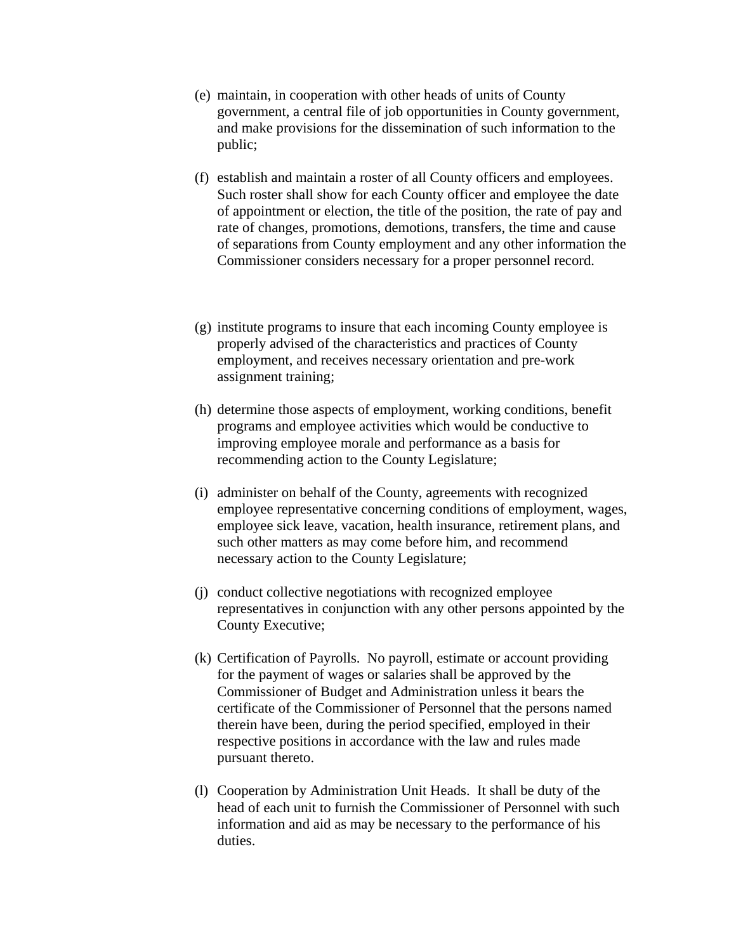- (e) maintain, in cooperation with other heads of units of County government, a central file of job opportunities in County government, and make provisions for the dissemination of such information to the public;
- (f) establish and maintain a roster of all County officers and employees. Such roster shall show for each County officer and employee the date of appointment or election, the title of the position, the rate of pay and rate of changes, promotions, demotions, transfers, the time and cause of separations from County employment and any other information the Commissioner considers necessary for a proper personnel record.
- (g) institute programs to insure that each incoming County employee is properly advised of the characteristics and practices of County employment, and receives necessary orientation and pre-work assignment training;
- (h) determine those aspects of employment, working conditions, benefit programs and employee activities which would be conductive to improving employee morale and performance as a basis for recommending action to the County Legislature;
- (i) administer on behalf of the County, agreements with recognized employee representative concerning conditions of employment, wages, employee sick leave, vacation, health insurance, retirement plans, and such other matters as may come before him, and recommend necessary action to the County Legislature;
- (j) conduct collective negotiations with recognized employee representatives in conjunction with any other persons appointed by the County Executive;
- (k) Certification of Payrolls. No payroll, estimate or account providing for the payment of wages or salaries shall be approved by the Commissioner of Budget and Administration unless it bears the certificate of the Commissioner of Personnel that the persons named therein have been, during the period specified, employed in their respective positions in accordance with the law and rules made pursuant thereto.
- (l) Cooperation by Administration Unit Heads. It shall be duty of the head of each unit to furnish the Commissioner of Personnel with such information and aid as may be necessary to the performance of his duties.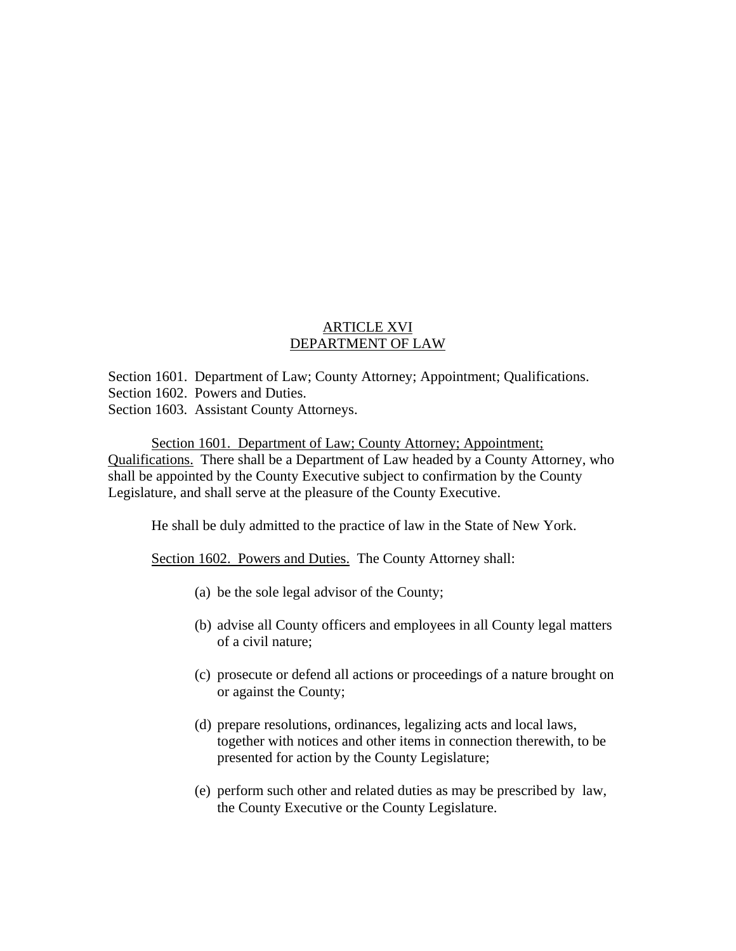## ARTICLE XVI DEPARTMENT OF LAW

Section 1601. Department of Law; County Attorney; Appointment; Qualifications. Section 1602. Powers and Duties. Section 1603. Assistant County Attorneys.

Section 1601. Department of Law; County Attorney; Appointment; Qualifications. There shall be a Department of Law headed by a County Attorney, who shall be appointed by the County Executive subject to confirmation by the County Legislature, and shall serve at the pleasure of the County Executive.

He shall be duly admitted to the practice of law in the State of New York.

Section 1602. Powers and Duties. The County Attorney shall:

- (a) be the sole legal advisor of the County;
- (b) advise all County officers and employees in all County legal matters of a civil nature;
- (c) prosecute or defend all actions or proceedings of a nature brought on or against the County;
- (d) prepare resolutions, ordinances, legalizing acts and local laws, together with notices and other items in connection therewith, to be presented for action by the County Legislature;
- (e) perform such other and related duties as may be prescribed by law, the County Executive or the County Legislature.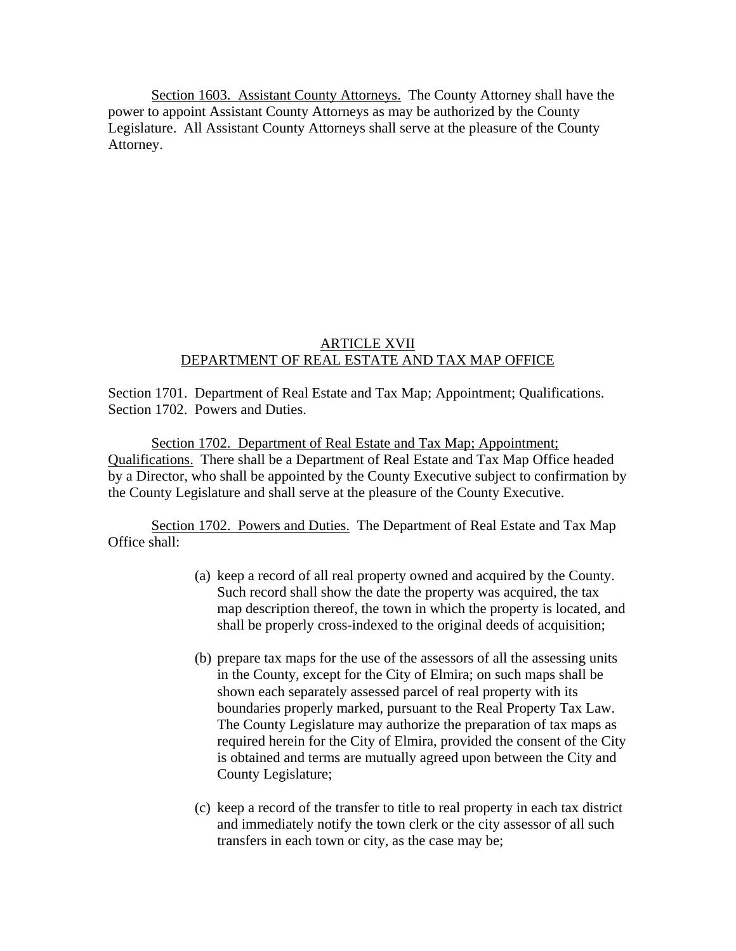Section 1603. Assistant County Attorneys. The County Attorney shall have the power to appoint Assistant County Attorneys as may be authorized by the County Legislature. All Assistant County Attorneys shall serve at the pleasure of the County Attorney.

### ARTICLE XVII DEPARTMENT OF REAL ESTATE AND TAX MAP OFFICE

Section 1701. Department of Real Estate and Tax Map; Appointment; Qualifications. Section 1702. Powers and Duties.

 Section 1702. Department of Real Estate and Tax Map; Appointment; Qualifications. There shall be a Department of Real Estate and Tax Map Office headed by a Director, who shall be appointed by the County Executive subject to confirmation by the County Legislature and shall serve at the pleasure of the County Executive.

 Section 1702. Powers and Duties. The Department of Real Estate and Tax Map Office shall:

- (a) keep a record of all real property owned and acquired by the County. Such record shall show the date the property was acquired, the tax map description thereof, the town in which the property is located, and shall be properly cross-indexed to the original deeds of acquisition;
- (b) prepare tax maps for the use of the assessors of all the assessing units in the County, except for the City of Elmira; on such maps shall be shown each separately assessed parcel of real property with its boundaries properly marked, pursuant to the Real Property Tax Law. The County Legislature may authorize the preparation of tax maps as required herein for the City of Elmira, provided the consent of the City is obtained and terms are mutually agreed upon between the City and County Legislature;
- (c) keep a record of the transfer to title to real property in each tax district and immediately notify the town clerk or the city assessor of all such transfers in each town or city, as the case may be;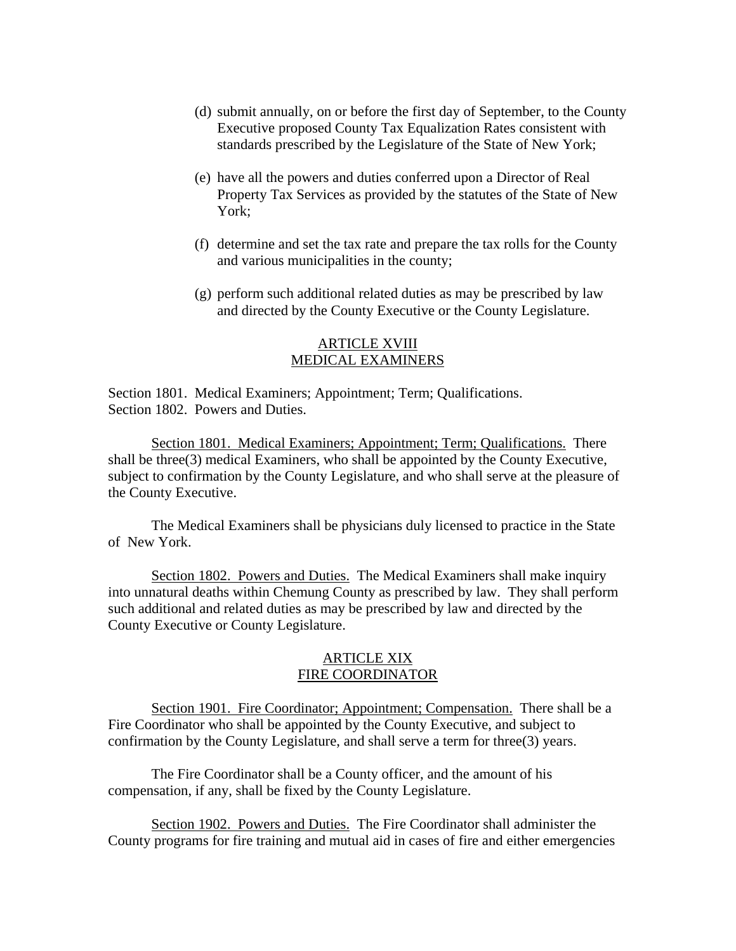- (d) submit annually, on or before the first day of September, to the County Executive proposed County Tax Equalization Rates consistent with standards prescribed by the Legislature of the State of New York;
- (e) have all the powers and duties conferred upon a Director of Real Property Tax Services as provided by the statutes of the State of New York;
- (f) determine and set the tax rate and prepare the tax rolls for the County and various municipalities in the county;
- (g) perform such additional related duties as may be prescribed by law and directed by the County Executive or the County Legislature.

#### ARTICLE XVIII MEDICAL EXAMINERS

Section 1801. Medical Examiners; Appointment; Term; Qualifications. Section 1802. Powers and Duties.

 Section 1801. Medical Examiners; Appointment; Term; Qualifications. There shall be three(3) medical Examiners, who shall be appointed by the County Executive, subject to confirmation by the County Legislature, and who shall serve at the pleasure of the County Executive.

 The Medical Examiners shall be physicians duly licensed to practice in the State of New York.

 Section 1802. Powers and Duties. The Medical Examiners shall make inquiry into unnatural deaths within Chemung County as prescribed by law. They shall perform such additional and related duties as may be prescribed by law and directed by the County Executive or County Legislature.

#### ARTICLE XIX FIRE COORDINATOR

 Section 1901. Fire Coordinator; Appointment; Compensation. There shall be a Fire Coordinator who shall be appointed by the County Executive, and subject to confirmation by the County Legislature, and shall serve a term for three(3) years.

 The Fire Coordinator shall be a County officer, and the amount of his compensation, if any, shall be fixed by the County Legislature.

 Section 1902. Powers and Duties. The Fire Coordinator shall administer the County programs for fire training and mutual aid in cases of fire and either emergencies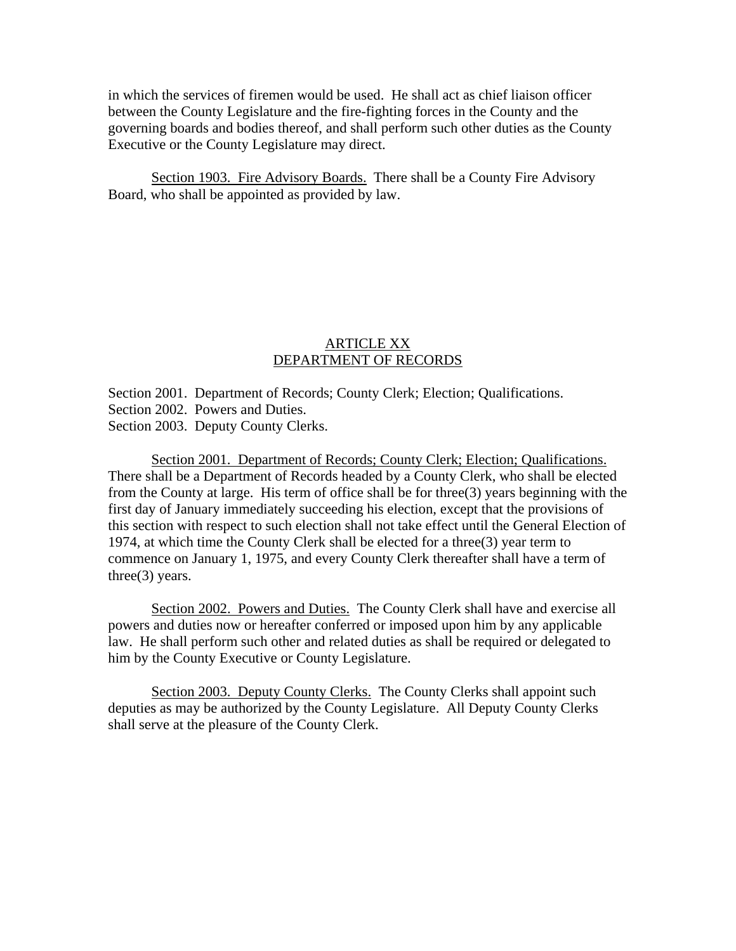in which the services of firemen would be used. He shall act as chief liaison officer between the County Legislature and the fire-fighting forces in the County and the governing boards and bodies thereof, and shall perform such other duties as the County Executive or the County Legislature may direct.

Section 1903. Fire Advisory Boards. There shall be a County Fire Advisory Board, who shall be appointed as provided by law.

### ARTICLE XX DEPARTMENT OF RECORDS

Section 2001. Department of Records; County Clerk; Election; Qualifications. Section 2002. Powers and Duties. Section 2003. Deputy County Clerks.

 Section 2001. Department of Records; County Clerk; Election; Qualifications. There shall be a Department of Records headed by a County Clerk, who shall be elected from the County at large. His term of office shall be for three(3) years beginning with the first day of January immediately succeeding his election, except that the provisions of this section with respect to such election shall not take effect until the General Election of 1974, at which time the County Clerk shall be elected for a three(3) year term to commence on January 1, 1975, and every County Clerk thereafter shall have a term of three(3) years.

Section 2002. Powers and Duties. The County Clerk shall have and exercise all powers and duties now or hereafter conferred or imposed upon him by any applicable law. He shall perform such other and related duties as shall be required or delegated to him by the County Executive or County Legislature.

Section 2003. Deputy County Clerks. The County Clerks shall appoint such deputies as may be authorized by the County Legislature. All Deputy County Clerks shall serve at the pleasure of the County Clerk.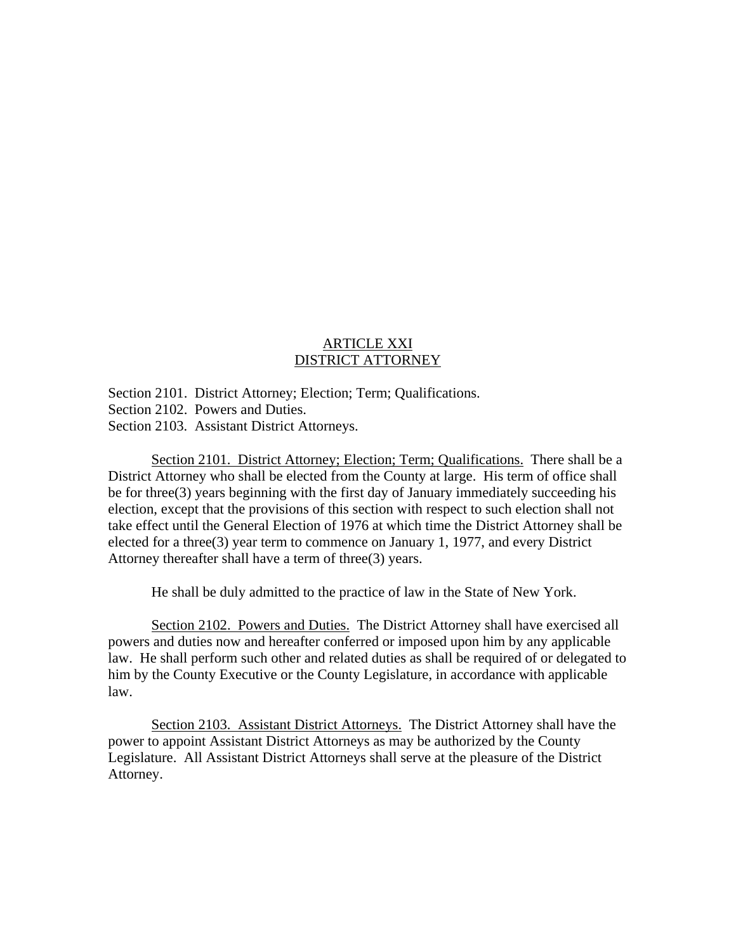## ARTICLE XXI DISTRICT ATTORNEY

Section 2101. District Attorney; Election; Term; Qualifications. Section 2102. Powers and Duties. Section 2103. Assistant District Attorneys.

 Section 2101. District Attorney; Election; Term; Qualifications. There shall be a District Attorney who shall be elected from the County at large. His term of office shall be for three(3) years beginning with the first day of January immediately succeeding his election, except that the provisions of this section with respect to such election shall not take effect until the General Election of 1976 at which time the District Attorney shall be elected for a three(3) year term to commence on January 1, 1977, and every District Attorney thereafter shall have a term of three(3) years.

He shall be duly admitted to the practice of law in the State of New York.

 Section 2102. Powers and Duties. The District Attorney shall have exercised all powers and duties now and hereafter conferred or imposed upon him by any applicable law. He shall perform such other and related duties as shall be required of or delegated to him by the County Executive or the County Legislature, in accordance with applicable law.

 Section 2103. Assistant District Attorneys. The District Attorney shall have the power to appoint Assistant District Attorneys as may be authorized by the County Legislature. All Assistant District Attorneys shall serve at the pleasure of the District Attorney.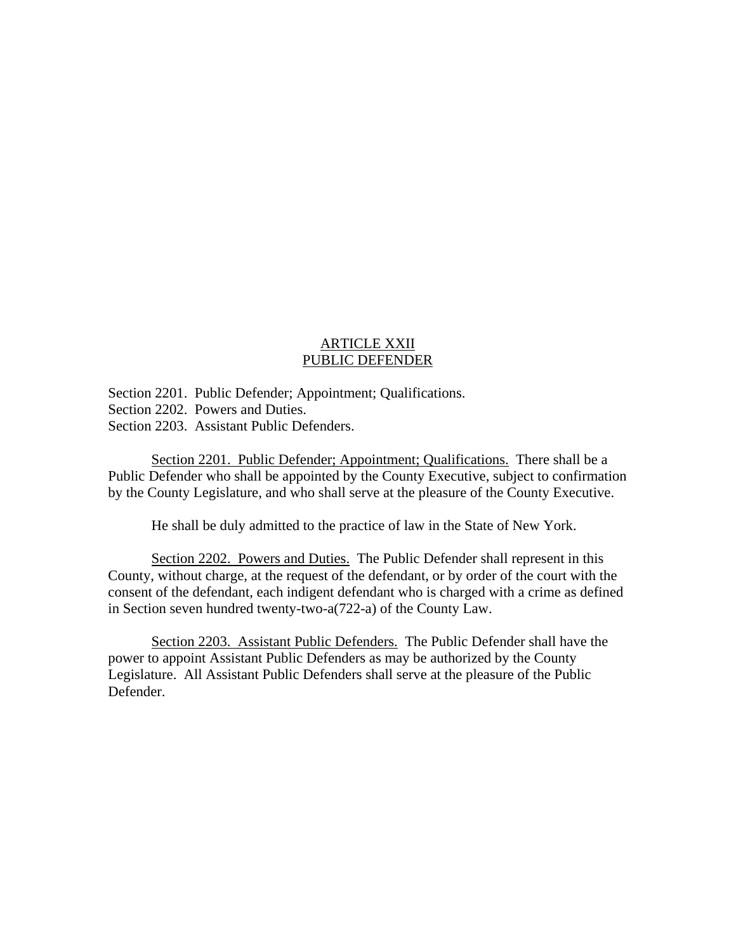## ARTICLE XXII PUBLIC DEFENDER

Section 2201. Public Defender; Appointment; Qualifications. Section 2202. Powers and Duties. Section 2203. Assistant Public Defenders.

Section 2201. Public Defender; Appointment; Qualifications. There shall be a Public Defender who shall be appointed by the County Executive, subject to confirmation by the County Legislature, and who shall serve at the pleasure of the County Executive.

He shall be duly admitted to the practice of law in the State of New York.

 Section 2202. Powers and Duties. The Public Defender shall represent in this County, without charge, at the request of the defendant, or by order of the court with the consent of the defendant, each indigent defendant who is charged with a crime as defined in Section seven hundred twenty-two-a(722-a) of the County Law.

 Section 2203. Assistant Public Defenders. The Public Defender shall have the power to appoint Assistant Public Defenders as may be authorized by the County Legislature. All Assistant Public Defenders shall serve at the pleasure of the Public Defender.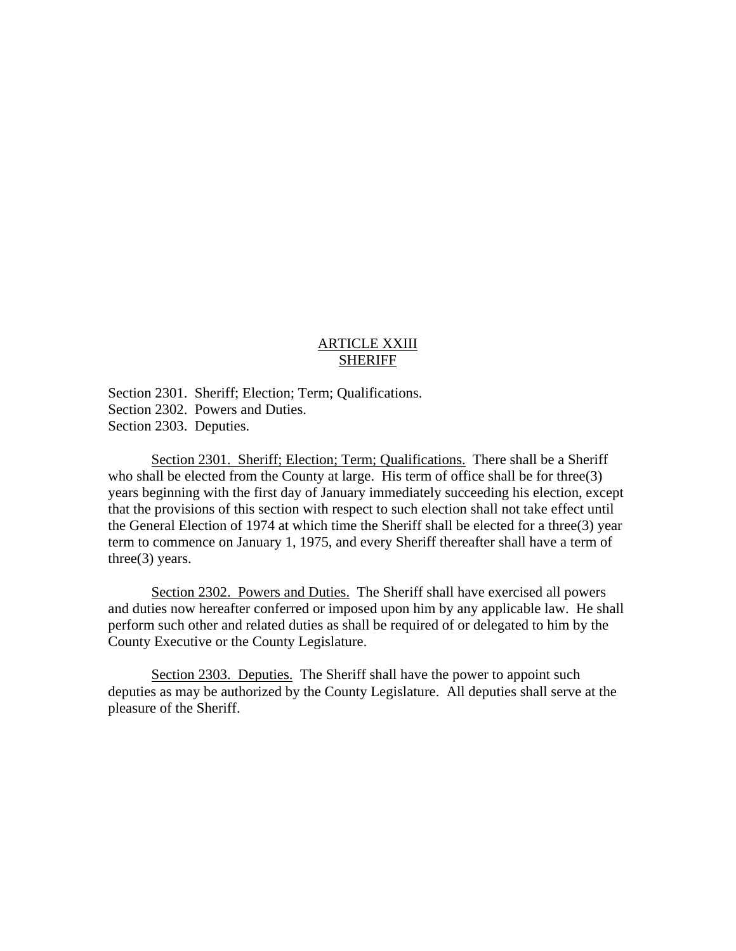## ARTICLE XXIII SHERIFF

Section 2301. Sheriff; Election; Term; Qualifications. Section 2302. Powers and Duties. Section 2303. Deputies.

 Section 2301. Sheriff; Election; Term; Qualifications. There shall be a Sheriff who shall be elected from the County at large. His term of office shall be for three(3) years beginning with the first day of January immediately succeeding his election, except that the provisions of this section with respect to such election shall not take effect until the General Election of 1974 at which time the Sheriff shall be elected for a three(3) year term to commence on January 1, 1975, and every Sheriff thereafter shall have a term of three(3) years.

 Section 2302. Powers and Duties. The Sheriff shall have exercised all powers and duties now hereafter conferred or imposed upon him by any applicable law. He shall perform such other and related duties as shall be required of or delegated to him by the County Executive or the County Legislature.

 Section 2303. Deputies. The Sheriff shall have the power to appoint such deputies as may be authorized by the County Legislature. All deputies shall serve at the pleasure of the Sheriff.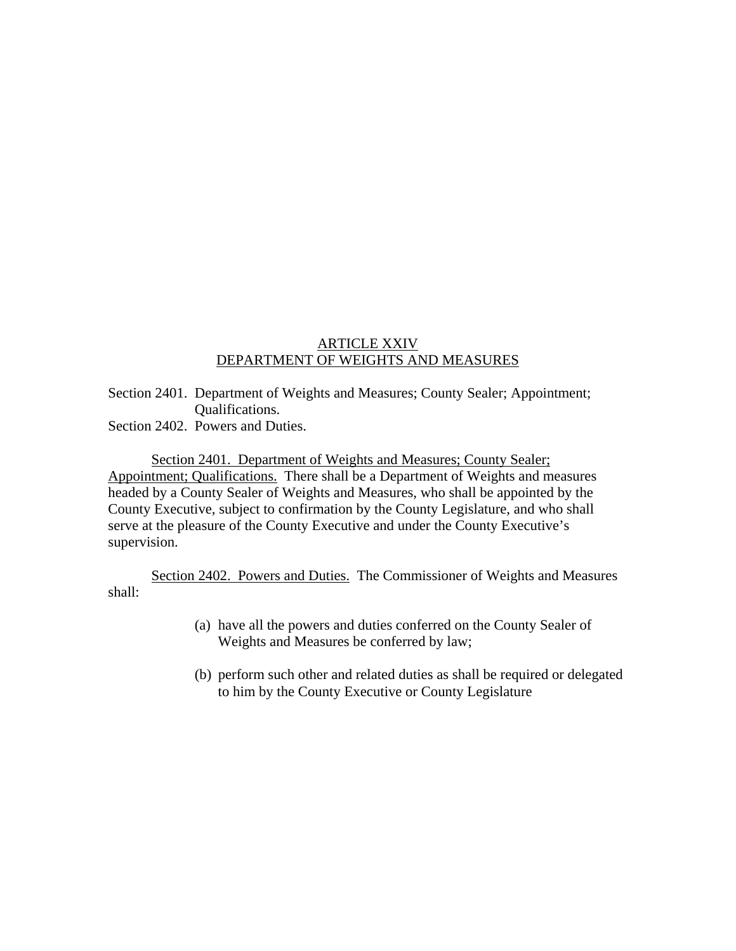## ARTICLE XXIV DEPARTMENT OF WEIGHTS AND MEASURES

Section 2401. Department of Weights and Measures; County Sealer; Appointment; Qualifications.

Section 2402. Powers and Duties.

Section 2401. Department of Weights and Measures; County Sealer; Appointment; Qualifications. There shall be a Department of Weights and measures headed by a County Sealer of Weights and Measures, who shall be appointed by the County Executive, subject to confirmation by the County Legislature, and who shall serve at the pleasure of the County Executive and under the County Executive's supervision.

 Section 2402. Powers and Duties. The Commissioner of Weights and Measures shall:

- (a) have all the powers and duties conferred on the County Sealer of Weights and Measures be conferred by law;
- (b) perform such other and related duties as shall be required or delegated to him by the County Executive or County Legislature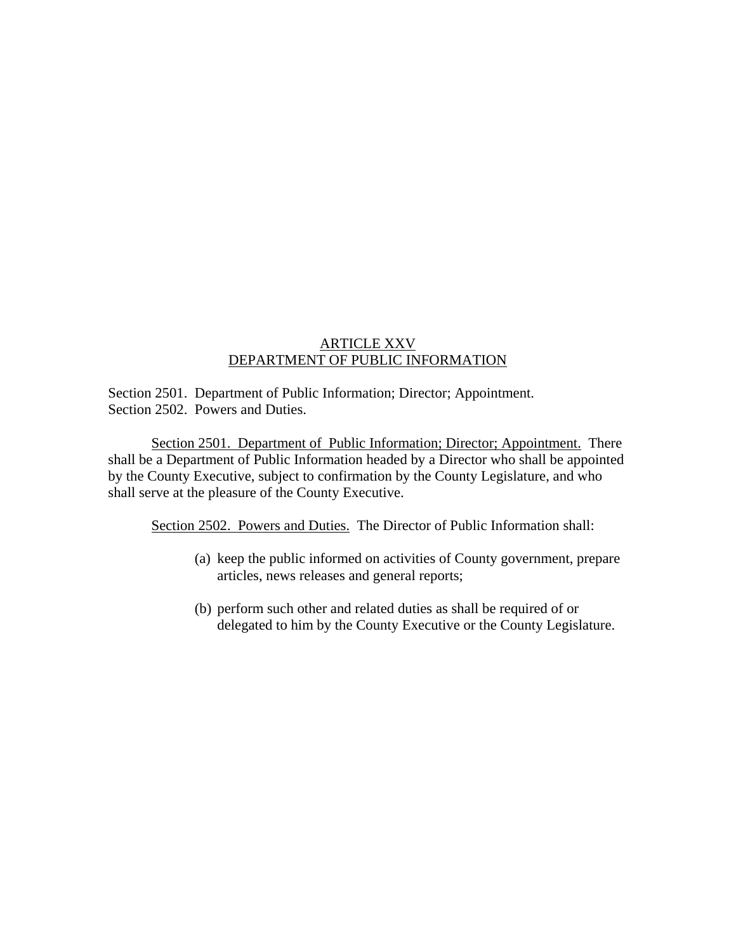## ARTICLE XXV DEPARTMENT OF PUBLIC INFORMATION

Section 2501. Department of Public Information; Director; Appointment. Section 2502. Powers and Duties.

 Section 2501. Department of Public Information; Director; Appointment. There shall be a Department of Public Information headed by a Director who shall be appointed by the County Executive, subject to confirmation by the County Legislature, and who shall serve at the pleasure of the County Executive.

Section 2502. Powers and Duties. The Director of Public Information shall:

- (a) keep the public informed on activities of County government, prepare articles, news releases and general reports;
- (b) perform such other and related duties as shall be required of or delegated to him by the County Executive or the County Legislature.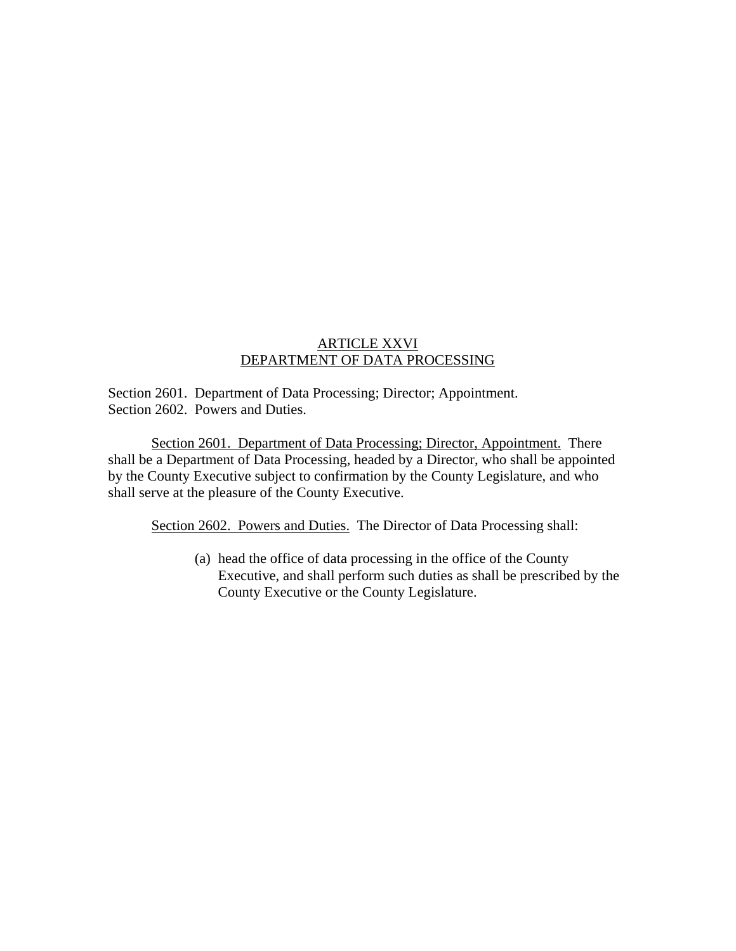## ARTICLE XXVI DEPARTMENT OF DATA PROCESSING

Section 2601. Department of Data Processing; Director; Appointment. Section 2602. Powers and Duties.

 Section 2601. Department of Data Processing; Director, Appointment. There shall be a Department of Data Processing, headed by a Director, who shall be appointed by the County Executive subject to confirmation by the County Legislature, and who shall serve at the pleasure of the County Executive.

Section 2602. Powers and Duties. The Director of Data Processing shall:

(a) head the office of data processing in the office of the County Executive, and shall perform such duties as shall be prescribed by the County Executive or the County Legislature.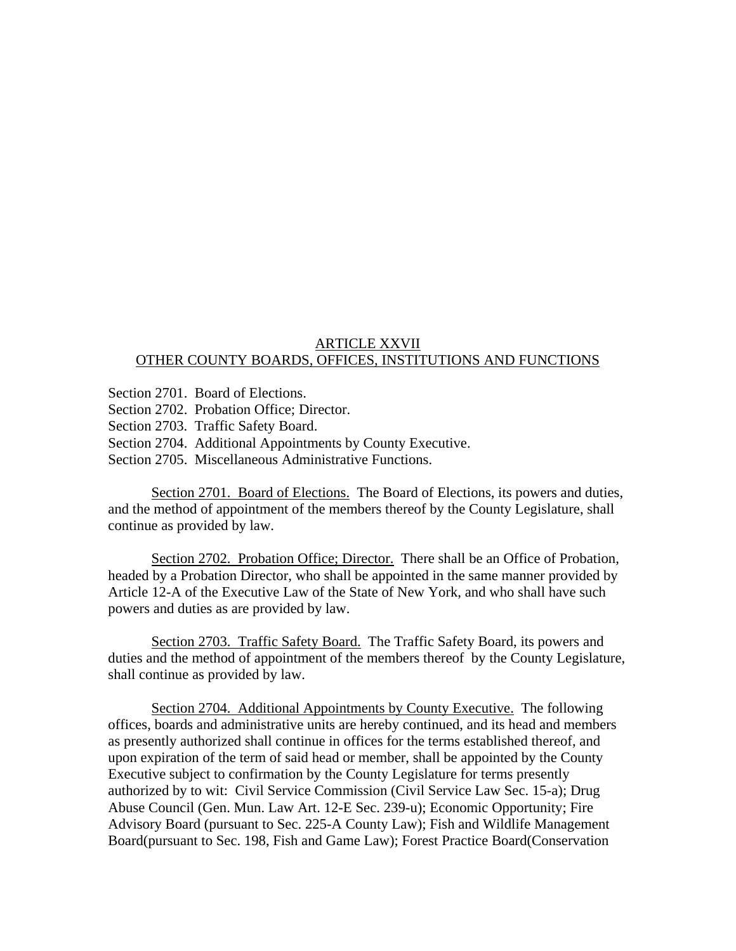#### ARTICLE XXVII OTHER COUNTY BOARDS, OFFICES, INSTITUTIONS AND FUNCTIONS

- Section 2701. Board of Elections.
- Section 2702. Probation Office; Director.
- Section 2703. Traffic Safety Board.
- Section 2704. Additional Appointments by County Executive.
- Section 2705. Miscellaneous Administrative Functions.

 Section 2701. Board of Elections. The Board of Elections, its powers and duties, and the method of appointment of the members thereof by the County Legislature, shall continue as provided by law.

Section 2702. Probation Office; Director. There shall be an Office of Probation, headed by a Probation Director, who shall be appointed in the same manner provided by Article 12-A of the Executive Law of the State of New York, and who shall have such powers and duties as are provided by law.

 Section 2703. Traffic Safety Board. The Traffic Safety Board, its powers and duties and the method of appointment of the members thereof by the County Legislature, shall continue as provided by law.

 Section 2704. Additional Appointments by County Executive. The following offices, boards and administrative units are hereby continued, and its head and members as presently authorized shall continue in offices for the terms established thereof, and upon expiration of the term of said head or member, shall be appointed by the County Executive subject to confirmation by the County Legislature for terms presently authorized by to wit: Civil Service Commission (Civil Service Law Sec. 15-a); Drug Abuse Council (Gen. Mun. Law Art. 12-E Sec. 239-u); Economic Opportunity; Fire Advisory Board (pursuant to Sec. 225-A County Law); Fish and Wildlife Management Board(pursuant to Sec. 198, Fish and Game Law); Forest Practice Board(Conservation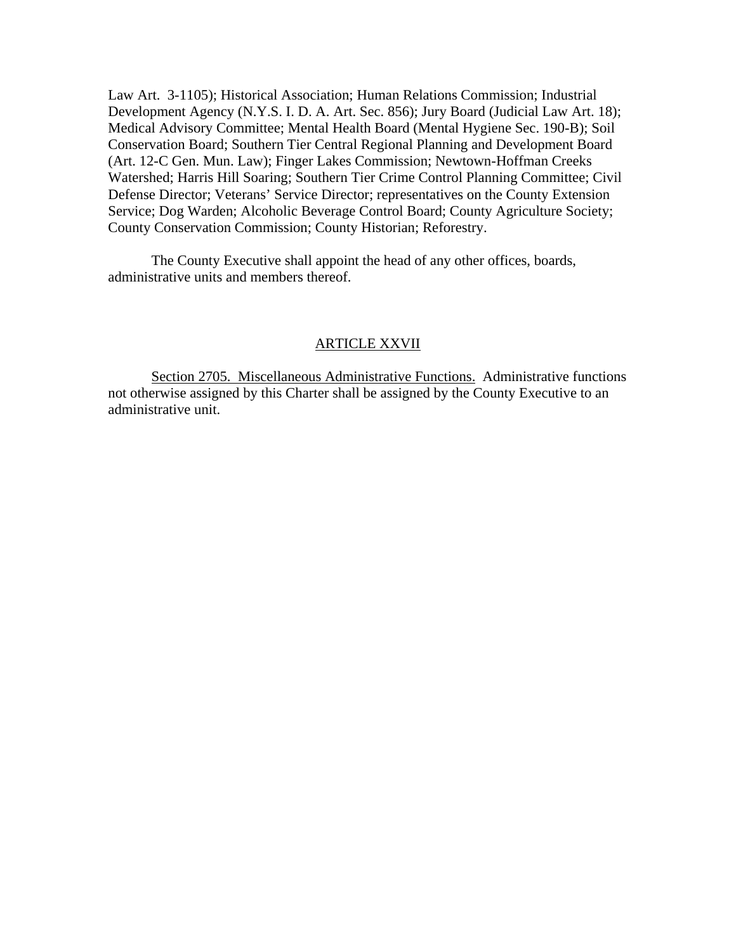Law Art. 3-1105); Historical Association; Human Relations Commission; Industrial Development Agency (N.Y.S. I. D. A. Art. Sec. 856); Jury Board (Judicial Law Art. 18); Medical Advisory Committee; Mental Health Board (Mental Hygiene Sec. 190-B); Soil Conservation Board; Southern Tier Central Regional Planning and Development Board (Art. 12-C Gen. Mun. Law); Finger Lakes Commission; Newtown-Hoffman Creeks Watershed; Harris Hill Soaring; Southern Tier Crime Control Planning Committee; Civil Defense Director; Veterans' Service Director; representatives on the County Extension Service; Dog Warden; Alcoholic Beverage Control Board; County Agriculture Society; County Conservation Commission; County Historian; Reforestry.

 The County Executive shall appoint the head of any other offices, boards, administrative units and members thereof.

#### ARTICLE XXVII

 Section 2705. Miscellaneous Administrative Functions. Administrative functions not otherwise assigned by this Charter shall be assigned by the County Executive to an administrative unit.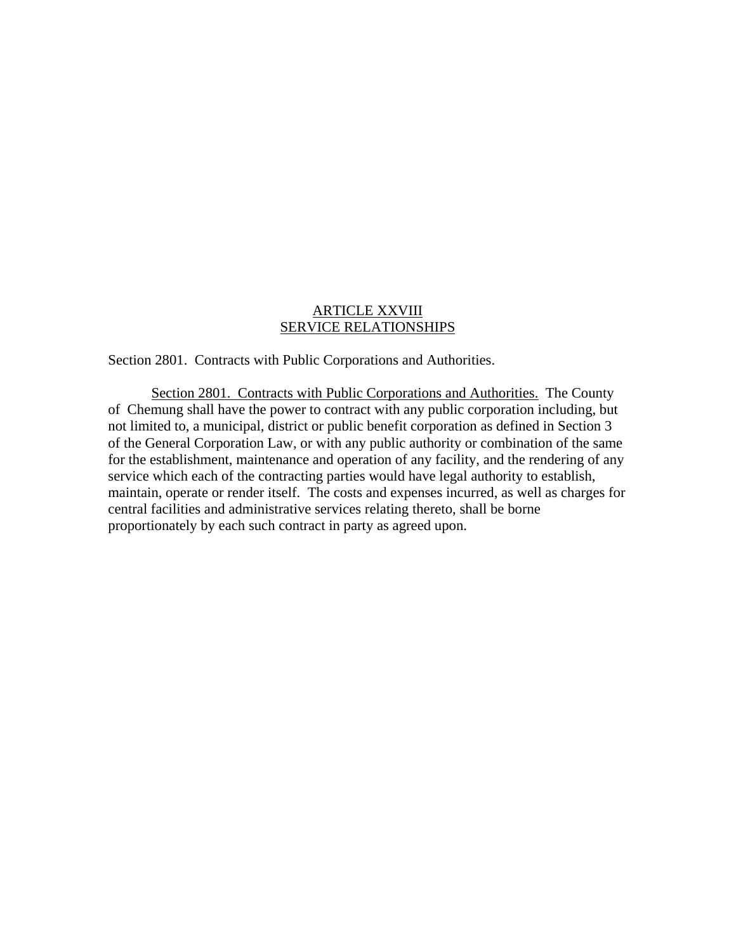## ARTICLE XXVIII SERVICE RELATIONSHIPS

Section 2801. Contracts with Public Corporations and Authorities.

 Section 2801. Contracts with Public Corporations and Authorities. The County of Chemung shall have the power to contract with any public corporation including, but not limited to, a municipal, district or public benefit corporation as defined in Section 3 of the General Corporation Law, or with any public authority or combination of the same for the establishment, maintenance and operation of any facility, and the rendering of any service which each of the contracting parties would have legal authority to establish, maintain, operate or render itself. The costs and expenses incurred, as well as charges for central facilities and administrative services relating thereto, shall be borne proportionately by each such contract in party as agreed upon.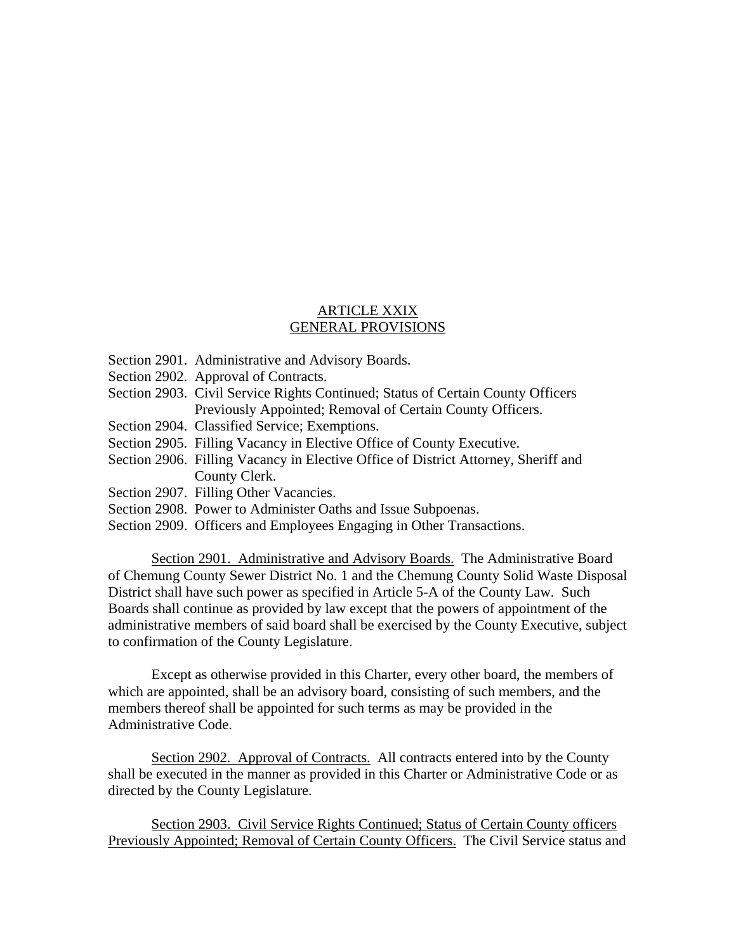## ARTICLE XXIX GENERAL PROVISIONS

- Section 2901. Administrative and Advisory Boards.
- Section 2902. Approval of Contracts.
- Section 2903. Civil Service Rights Continued; Status of Certain County Officers Previously Appointed; Removal of Certain County Officers.
- Section 2904. Classified Service; Exemptions.
- Section 2905. Filling Vacancy in Elective Office of County Executive.
- Section 2906. Filling Vacancy in Elective Office of District Attorney, Sheriff and County Clerk.
- Section 2907. Filling Other Vacancies.
- Section 2908. Power to Administer Oaths and Issue Subpoenas.
- Section 2909. Officers and Employees Engaging in Other Transactions.

Section 2901. Administrative and Advisory Boards. The Administrative Board of Chemung County Sewer District No. 1 and the Chemung County Solid Waste Disposal District shall have such power as specified in Article 5-A of the County Law. Such Boards shall continue as provided by law except that the powers of appointment of the administrative members of said board shall be exercised by the County Executive, subject to confirmation of the County Legislature.

 Except as otherwise provided in this Charter, every other board, the members of which are appointed, shall be an advisory board, consisting of such members, and the members thereof shall be appointed for such terms as may be provided in the Administrative Code.

Section 2902. Approval of Contracts. All contracts entered into by the County shall be executed in the manner as provided in this Charter or Administrative Code or as directed by the County Legislature.

 Section 2903. Civil Service Rights Continued; Status of Certain County officers Previously Appointed; Removal of Certain County Officers. The Civil Service status and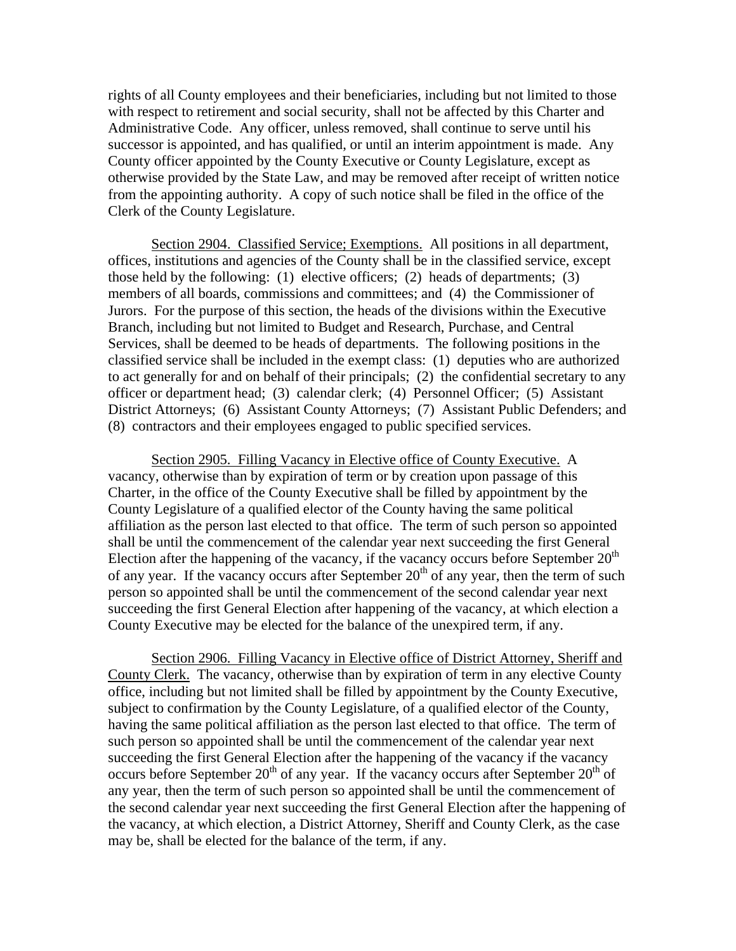rights of all County employees and their beneficiaries, including but not limited to those with respect to retirement and social security, shall not be affected by this Charter and Administrative Code. Any officer, unless removed, shall continue to serve until his successor is appointed, and has qualified, or until an interim appointment is made. Any County officer appointed by the County Executive or County Legislature, except as otherwise provided by the State Law, and may be removed after receipt of written notice from the appointing authority. A copy of such notice shall be filed in the office of the Clerk of the County Legislature.

 Section 2904. Classified Service; Exemptions. All positions in all department, offices, institutions and agencies of the County shall be in the classified service, except those held by the following: (1) elective officers; (2) heads of departments; (3) members of all boards, commissions and committees; and (4) the Commissioner of Jurors. For the purpose of this section, the heads of the divisions within the Executive Branch, including but not limited to Budget and Research, Purchase, and Central Services, shall be deemed to be heads of departments. The following positions in the classified service shall be included in the exempt class: (1) deputies who are authorized to act generally for and on behalf of their principals; (2) the confidential secretary to any officer or department head; (3) calendar clerk; (4) Personnel Officer; (5) Assistant District Attorneys; (6) Assistant County Attorneys; (7) Assistant Public Defenders; and (8) contractors and their employees engaged to public specified services.

 Section 2905. Filling Vacancy in Elective office of County Executive. A vacancy, otherwise than by expiration of term or by creation upon passage of this Charter, in the office of the County Executive shall be filled by appointment by the County Legislature of a qualified elector of the County having the same political affiliation as the person last elected to that office. The term of such person so appointed shall be until the commencement of the calendar year next succeeding the first General Election after the happening of the vacancy, if the vacancy occurs before September  $20<sup>th</sup>$ of any year. If the vacancy occurs after September  $20<sup>th</sup>$  of any year, then the term of such person so appointed shall be until the commencement of the second calendar year next succeeding the first General Election after happening of the vacancy, at which election a County Executive may be elected for the balance of the unexpired term, if any.

 Section 2906. Filling Vacancy in Elective office of District Attorney, Sheriff and County Clerk. The vacancy, otherwise than by expiration of term in any elective County office, including but not limited shall be filled by appointment by the County Executive, subject to confirmation by the County Legislature, of a qualified elector of the County, having the same political affiliation as the person last elected to that office. The term of such person so appointed shall be until the commencement of the calendar year next succeeding the first General Election after the happening of the vacancy if the vacancy occurs before September  $20<sup>th</sup>$  of any year. If the vacancy occurs after September  $20<sup>th</sup>$  of any year, then the term of such person so appointed shall be until the commencement of the second calendar year next succeeding the first General Election after the happening of the vacancy, at which election, a District Attorney, Sheriff and County Clerk, as the case may be, shall be elected for the balance of the term, if any.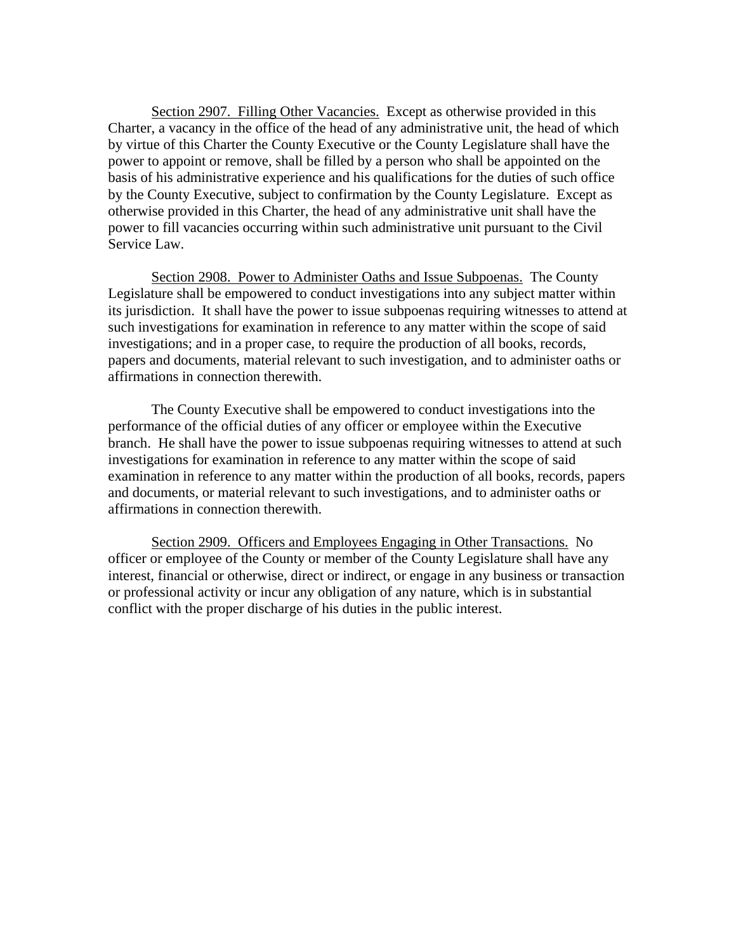Section 2907. Filling Other Vacancies. Except as otherwise provided in this Charter, a vacancy in the office of the head of any administrative unit, the head of which by virtue of this Charter the County Executive or the County Legislature shall have the power to appoint or remove, shall be filled by a person who shall be appointed on the basis of his administrative experience and his qualifications for the duties of such office by the County Executive, subject to confirmation by the County Legislature. Except as otherwise provided in this Charter, the head of any administrative unit shall have the power to fill vacancies occurring within such administrative unit pursuant to the Civil Service Law.

 Section 2908. Power to Administer Oaths and Issue Subpoenas. The County Legislature shall be empowered to conduct investigations into any subject matter within its jurisdiction. It shall have the power to issue subpoenas requiring witnesses to attend at such investigations for examination in reference to any matter within the scope of said investigations; and in a proper case, to require the production of all books, records, papers and documents, material relevant to such investigation, and to administer oaths or affirmations in connection therewith.

 The County Executive shall be empowered to conduct investigations into the performance of the official duties of any officer or employee within the Executive branch. He shall have the power to issue subpoenas requiring witnesses to attend at such investigations for examination in reference to any matter within the scope of said examination in reference to any matter within the production of all books, records, papers and documents, or material relevant to such investigations, and to administer oaths or affirmations in connection therewith.

 Section 2909. Officers and Employees Engaging in Other Transactions. No officer or employee of the County or member of the County Legislature shall have any interest, financial or otherwise, direct or indirect, or engage in any business or transaction or professional activity or incur any obligation of any nature, which is in substantial conflict with the proper discharge of his duties in the public interest.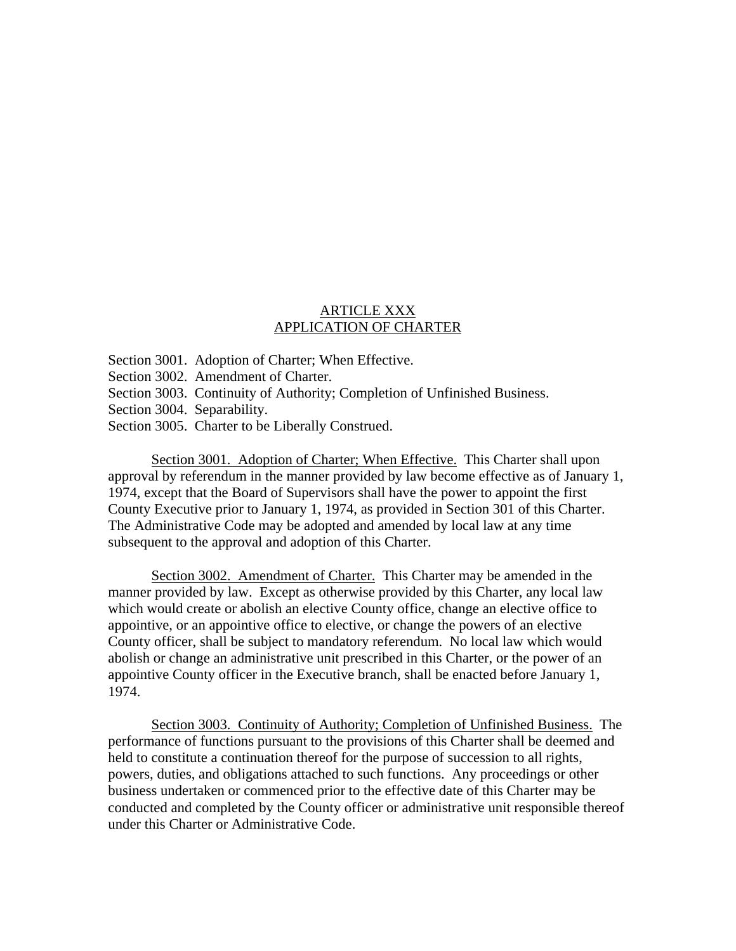# ARTICLE XXX APPLICATION OF CHARTER

Section 3001. Adoption of Charter; When Effective.

Section 3002. Amendment of Charter.

Section 3003. Continuity of Authority; Completion of Unfinished Business.

Section 3004. Separability.

Section 3005. Charter to be Liberally Construed.

Section 3001. Adoption of Charter; When Effective. This Charter shall upon approval by referendum in the manner provided by law become effective as of January 1, 1974, except that the Board of Supervisors shall have the power to appoint the first County Executive prior to January 1, 1974, as provided in Section 301 of this Charter. The Administrative Code may be adopted and amended by local law at any time subsequent to the approval and adoption of this Charter.

 Section 3002. Amendment of Charter. This Charter may be amended in the manner provided by law. Except as otherwise provided by this Charter, any local law which would create or abolish an elective County office, change an elective office to appointive, or an appointive office to elective, or change the powers of an elective County officer, shall be subject to mandatory referendum. No local law which would abolish or change an administrative unit prescribed in this Charter, or the power of an appointive County officer in the Executive branch, shall be enacted before January 1, 1974.

 Section 3003. Continuity of Authority; Completion of Unfinished Business. The performance of functions pursuant to the provisions of this Charter shall be deemed and held to constitute a continuation thereof for the purpose of succession to all rights, powers, duties, and obligations attached to such functions. Any proceedings or other business undertaken or commenced prior to the effective date of this Charter may be conducted and completed by the County officer or administrative unit responsible thereof under this Charter or Administrative Code.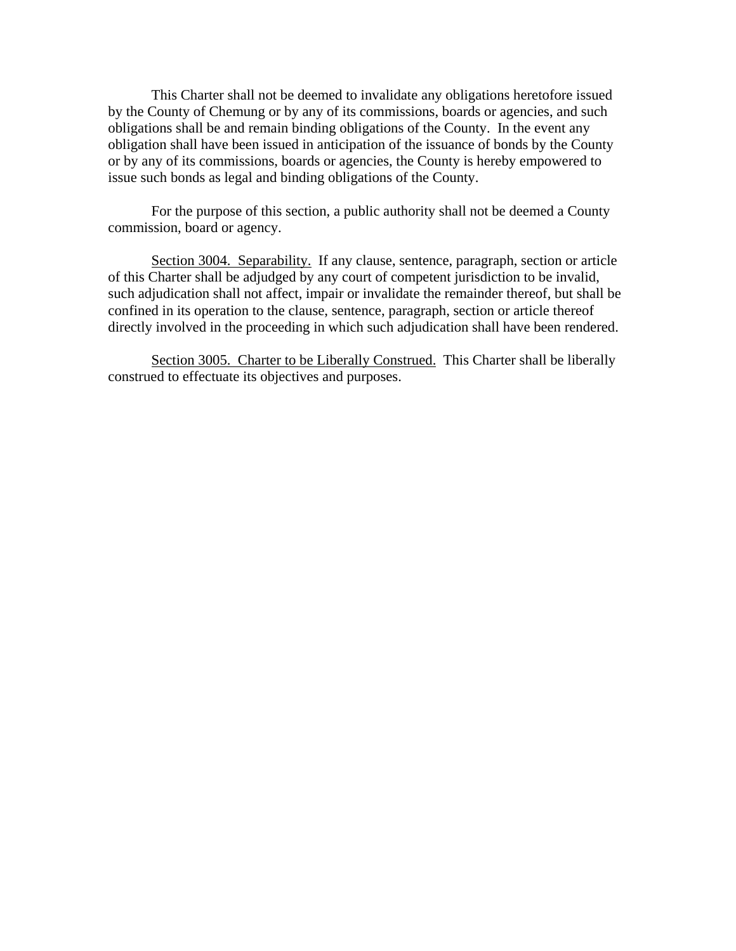This Charter shall not be deemed to invalidate any obligations heretofore issued by the County of Chemung or by any of its commissions, boards or agencies, and such obligations shall be and remain binding obligations of the County. In the event any obligation shall have been issued in anticipation of the issuance of bonds by the County or by any of its commissions, boards or agencies, the County is hereby empowered to issue such bonds as legal and binding obligations of the County.

 For the purpose of this section, a public authority shall not be deemed a County commission, board or agency.

 Section 3004. Separability. If any clause, sentence, paragraph, section or article of this Charter shall be adjudged by any court of competent jurisdiction to be invalid, such adjudication shall not affect, impair or invalidate the remainder thereof, but shall be confined in its operation to the clause, sentence, paragraph, section or article thereof directly involved in the proceeding in which such adjudication shall have been rendered.

 Section 3005. Charter to be Liberally Construed. This Charter shall be liberally construed to effectuate its objectives and purposes.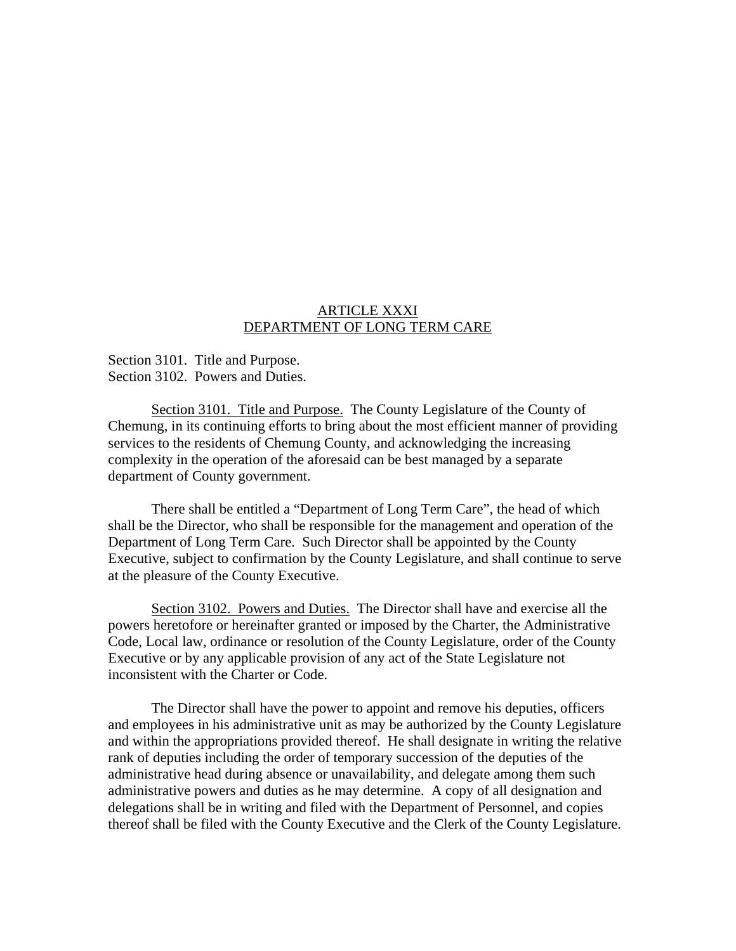## ARTICLE XXXI DEPARTMENT OF LONG TERM CARE

Section 3101. Title and Purpose. Section 3102. Powers and Duties.

 Section 3101. Title and Purpose. The County Legislature of the County of Chemung, in its continuing efforts to bring about the most efficient manner of providing services to the residents of Chemung County, and acknowledging the increasing complexity in the operation of the aforesaid can be best managed by a separate department of County government.

 There shall be entitled a "Department of Long Term Care", the head of which shall be the Director, who shall be responsible for the management and operation of the Department of Long Term Care. Such Director shall be appointed by the County Executive, subject to confirmation by the County Legislature, and shall continue to serve at the pleasure of the County Executive.

 Section 3102. Powers and Duties. The Director shall have and exercise all the powers heretofore or hereinafter granted or imposed by the Charter, the Administrative Code, Local law, ordinance or resolution of the County Legislature, order of the County Executive or by any applicable provision of any act of the State Legislature not inconsistent with the Charter or Code.

 The Director shall have the power to appoint and remove his deputies, officers and employees in his administrative unit as may be authorized by the County Legislature and within the appropriations provided thereof. He shall designate in writing the relative rank of deputies including the order of temporary succession of the deputies of the administrative head during absence or unavailability, and delegate among them such administrative powers and duties as he may determine. A copy of all designation and delegations shall be in writing and filed with the Department of Personnel, and copies thereof shall be filed with the County Executive and the Clerk of the County Legislature.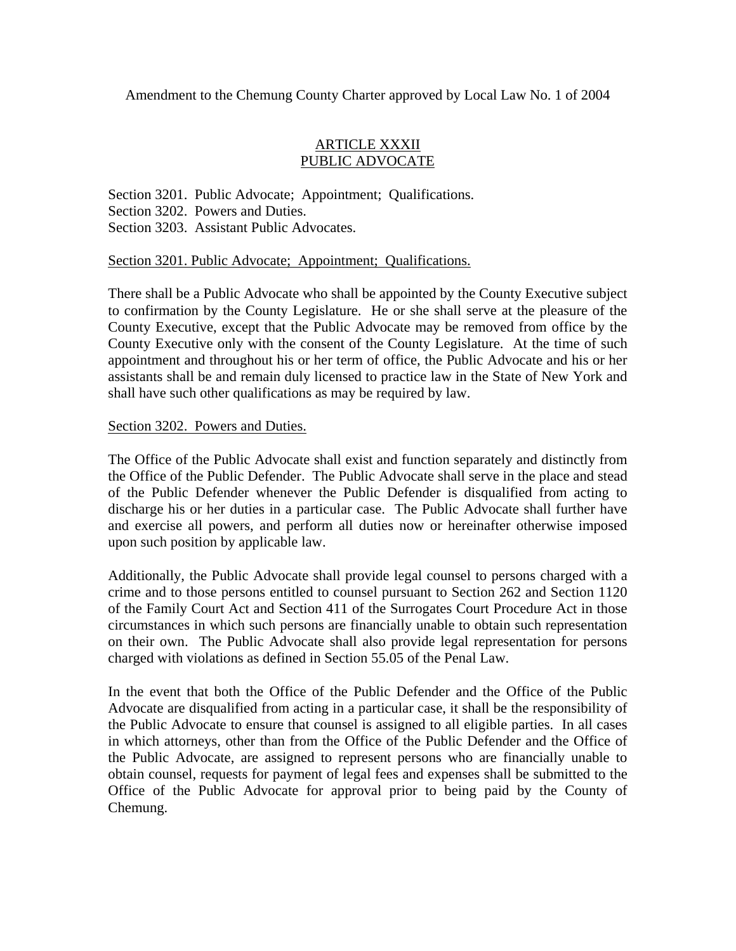### ARTICLE XXXII PUBLIC ADVOCATE

Section 3201. Public Advocate; Appointment; Qualifications. Section 3202. Powers and Duties. Section 3203. Assistant Public Advocates.

Section 3201. Public Advocate; Appointment; Qualifications.

There shall be a Public Advocate who shall be appointed by the County Executive subject to confirmation by the County Legislature. He or she shall serve at the pleasure of the County Executive, except that the Public Advocate may be removed from office by the County Executive only with the consent of the County Legislature. At the time of such appointment and throughout his or her term of office, the Public Advocate and his or her assistants shall be and remain duly licensed to practice law in the State of New York and shall have such other qualifications as may be required by law.

Section 3202. Powers and Duties.

The Office of the Public Advocate shall exist and function separately and distinctly from the Office of the Public Defender. The Public Advocate shall serve in the place and stead of the Public Defender whenever the Public Defender is disqualified from acting to discharge his or her duties in a particular case. The Public Advocate shall further have and exercise all powers, and perform all duties now or hereinafter otherwise imposed upon such position by applicable law.

Additionally, the Public Advocate shall provide legal counsel to persons charged with a crime and to those persons entitled to counsel pursuant to Section 262 and Section 1120 of the Family Court Act and Section 411 of the Surrogates Court Procedure Act in those circumstances in which such persons are financially unable to obtain such representation on their own. The Public Advocate shall also provide legal representation for persons charged with violations as defined in Section 55.05 of the Penal Law.

In the event that both the Office of the Public Defender and the Office of the Public Advocate are disqualified from acting in a particular case, it shall be the responsibility of the Public Advocate to ensure that counsel is assigned to all eligible parties. In all cases in which attorneys, other than from the Office of the Public Defender and the Office of the Public Advocate, are assigned to represent persons who are financially unable to obtain counsel, requests for payment of legal fees and expenses shall be submitted to the Office of the Public Advocate for approval prior to being paid by the County of Chemung.